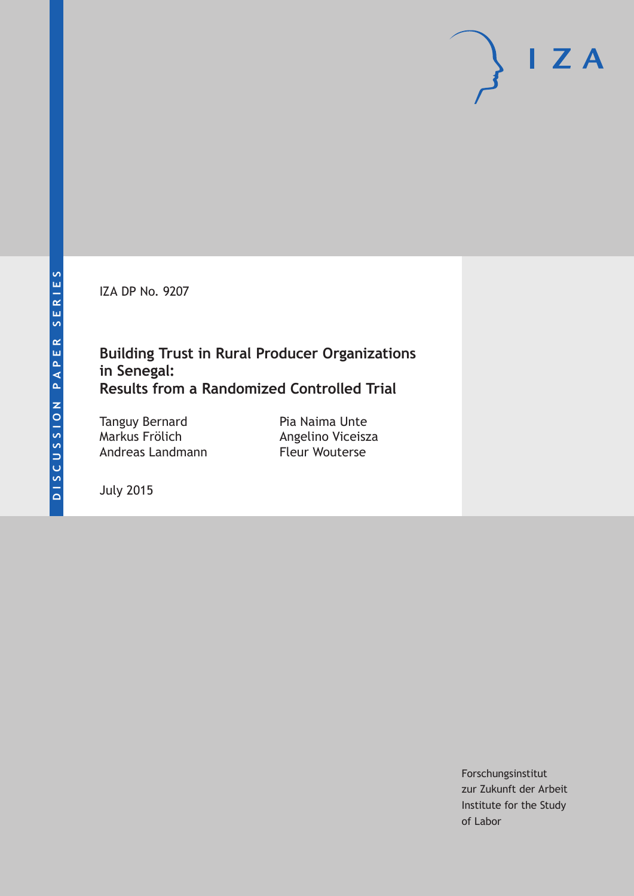IZA DP No. 9207

### **Building Trust in Rural Producer Organizations in Senegal: Results from a Randomized Controlled Trial**

Tanguy Bernard Markus Frölich Andreas Landmann

Pia Naima Unte Angelino Viceisza Fleur Wouterse

July 2015

Forschungsinstitut zur Zukunft der Arbeit Institute for the Study of Labor

 $I Z A$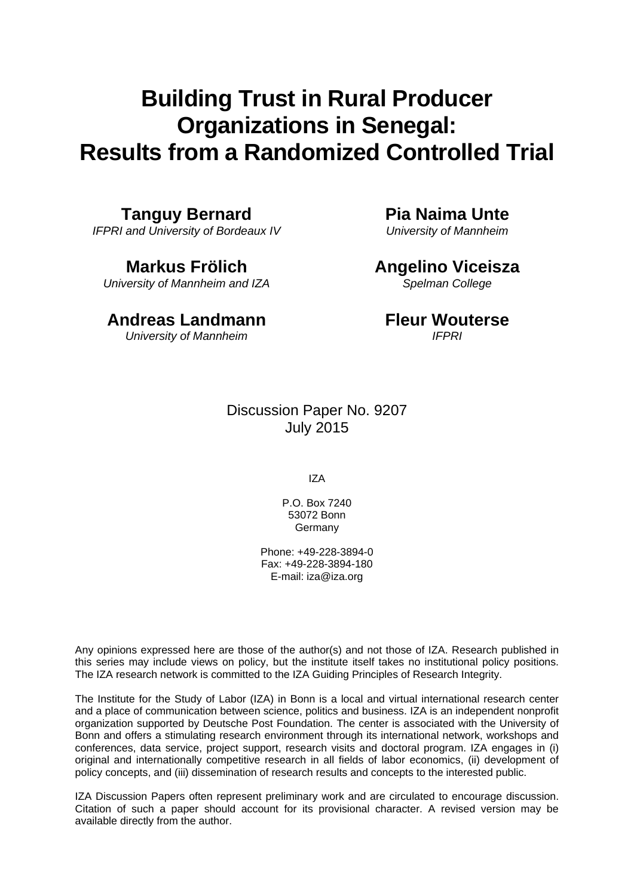# **Building Trust in Rural Producer Organizations in Senegal: Results from a Randomized Controlled Trial**

**Tanguy Bernard** 

*IFPRI and University of Bordeaux IV* 

**Markus Frölich**  *University of Mannheim and IZA* 

# **Andreas Landmann**

*University of Mannheim* 

**Pia Naima Unte** 

*University of Mannheim* 

## **Angelino Viceisza**

*Spelman College* 

#### **Fleur Wouterse**  *IFPRI*

Discussion Paper No. 9207 July 2015

IZA

P.O. Box 7240 53072 Bonn Germany

Phone: +49-228-3894-0 Fax: +49-228-3894-180 E-mail: iza@iza.org

Any opinions expressed here are those of the author(s) and not those of IZA. Research published in this series may include views on policy, but the institute itself takes no institutional policy positions. The IZA research network is committed to the IZA Guiding Principles of Research Integrity.

The Institute for the Study of Labor (IZA) in Bonn is a local and virtual international research center and a place of communication between science, politics and business. IZA is an independent nonprofit organization supported by Deutsche Post Foundation. The center is associated with the University of Bonn and offers a stimulating research environment through its international network, workshops and conferences, data service, project support, research visits and doctoral program. IZA engages in (i) original and internationally competitive research in all fields of labor economics, (ii) development of policy concepts, and (iii) dissemination of research results and concepts to the interested public.

IZA Discussion Papers often represent preliminary work and are circulated to encourage discussion. Citation of such a paper should account for its provisional character. A revised version may be available directly from the author.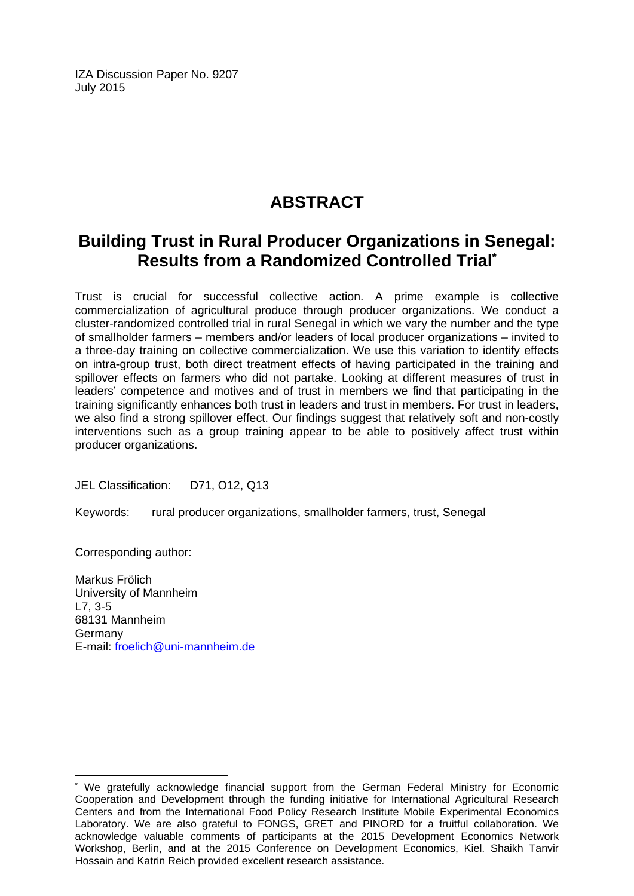IZA Discussion Paper No. 9207 July 2015

# **ABSTRACT**

## **Building Trust in Rural Producer Organizations in Senegal: Results from a Randomized Controlled Trial\***

Trust is crucial for successful collective action. A prime example is collective commercialization of agricultural produce through producer organizations. We conduct a cluster-randomized controlled trial in rural Senegal in which we vary the number and the type of smallholder farmers – members and/or leaders of local producer organizations – invited to a three-day training on collective commercialization. We use this variation to identify effects on intra-group trust, both direct treatment effects of having participated in the training and spillover effects on farmers who did not partake. Looking at different measures of trust in leaders' competence and motives and of trust in members we find that participating in the training significantly enhances both trust in leaders and trust in members. For trust in leaders, we also find a strong spillover effect. Our findings suggest that relatively soft and non-costly interventions such as a group training appear to be able to positively affect trust within producer organizations.

JEL Classification: D71, O12, Q13

Keywords: rural producer organizations, smallholder farmers, trust, Senegal

Corresponding author:

 $\overline{\phantom{a}}$ 

Markus Frölich University of Mannheim L7, 3-5 68131 Mannheim Germany E-mail: froelich@uni-mannheim.de

<sup>\*</sup> We gratefully acknowledge financial support from the German Federal Ministry for Economic Cooperation and Development through the funding initiative for International Agricultural Research Centers and from the International Food Policy Research Institute Mobile Experimental Economics Laboratory. We are also grateful to FONGS, GRET and PINORD for a fruitful collaboration. We acknowledge valuable comments of participants at the 2015 Development Economics Network Workshop, Berlin, and at the 2015 Conference on Development Economics, Kiel. Shaikh Tanvir Hossain and Katrin Reich provided excellent research assistance.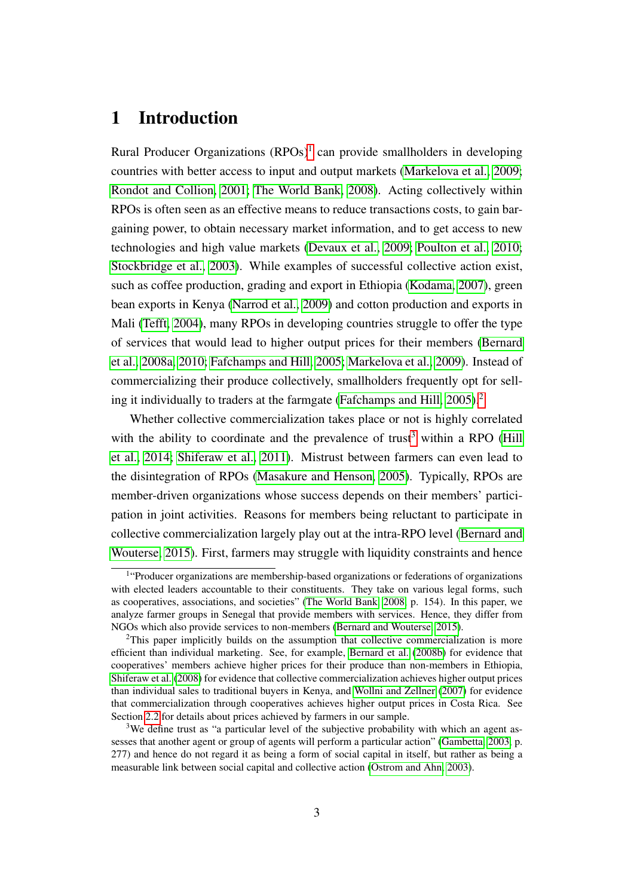### 1 Introduction

Rural Producer Organizations (RPOs)<sup>[1](#page--1-0)</sup> can provide smallholders in developing countries with better access to input and output markets [\(Markelova et al., 2009;](#page-40-0) [Rondot and Collion, 2001;](#page-41-0) [The World Bank, 2008\)](#page-42-0). Acting collectively within RPOs is often seen as an effective means to reduce transactions costs, to gain bargaining power, to obtain necessary market information, and to get access to new technologies and high value markets [\(Devaux et al., 2009;](#page-40-1) [Poulton et al., 2010;](#page-41-1) [Stockbridge et al., 2003\)](#page-42-1). While examples of successful collective action exist, such as coffee production, grading and export in Ethiopia [\(Kodama, 2007\)](#page-40-2), green bean exports in Kenya [\(Narrod et al., 2009\)](#page-41-2) and cotton production and exports in Mali [\(Tefft, 2004\)](#page-42-2), many RPOs in developing countries struggle to offer the type of services that would lead to higher output prices for their members [\(Bernard](#page-39-0) [et al., 2008a,](#page-39-0) [2010;](#page-39-1) [Fafchamps and Hill, 2005;](#page-40-3) [Markelova et al., 2009\)](#page-40-0). Instead of commercializing their produce collectively, smallholders frequently opt for sell-ing it individually to traders at the farmgate [\(Fafchamps and Hill, 2005\)](#page-40-3).<sup>[2](#page--1-0)</sup>

Whether collective commercialization takes place or not is highly correlated with the ability to coordinate and the prevalence of trust<sup>[3](#page--1-0)</sup> within a RPO [\(Hill](#page-40-4) [et al., 2014;](#page-40-4) [Shiferaw et al., 2011\)](#page-42-3). Mistrust between farmers can even lead to the disintegration of RPOs [\(Masakure and Henson, 2005\)](#page-41-3). Typically, RPOs are member-driven organizations whose success depends on their members' participation in joint activities. Reasons for members being reluctant to participate in collective commercialization largely play out at the intra-RPO level [\(Bernard and](#page-39-2) [Wouterse, 2015\)](#page-39-2). First, farmers may struggle with liquidity constraints and hence

<sup>&</sup>lt;sup>1</sup>"Producer organizations are membership-based organizations or federations of organizations with elected leaders accountable to their constituents. They take on various legal forms, such as cooperatives, associations, and societies" [\(The World Bank, 2008,](#page-42-0) p. 154). In this paper, we analyze farmer groups in Senegal that provide members with services. Hence, they differ from NGOs which also provide services to non-members [\(Bernard and Wouterse, 2015\)](#page-39-2).

 $2$ This paper implicitly builds on the assumption that collective commercialization is more efficient than individual marketing. See, for example, [Bernard et al.](#page-39-3) [\(2008b\)](#page-39-3) for evidence that cooperatives' members achieve higher prices for their produce than non-members in Ethiopia, [Shiferaw et al.](#page-42-4) [\(2008\)](#page-42-4) for evidence that collective commercialization achieves higher output prices than individual sales to traditional buyers in Kenya, and [Wollni and Zellner](#page-42-5) [\(2007\)](#page-42-5) for evidence that commercialization through cooperatives achieves higher output prices in Costa Rica. See Section [2.2](#page-8-0) for details about prices achieved by farmers in our sample.

<sup>&</sup>lt;sup>3</sup>We define trust as "a particular level of the subjective probability with which an agent assesses that another agent or group of agents will perform a particular action" [\(Gambetta, 2003,](#page-40-5) p. 277) and hence do not regard it as being a form of social capital in itself, but rather as being a measurable link between social capital and collective action [\(Ostrom and Ahn, 2003\)](#page-41-4).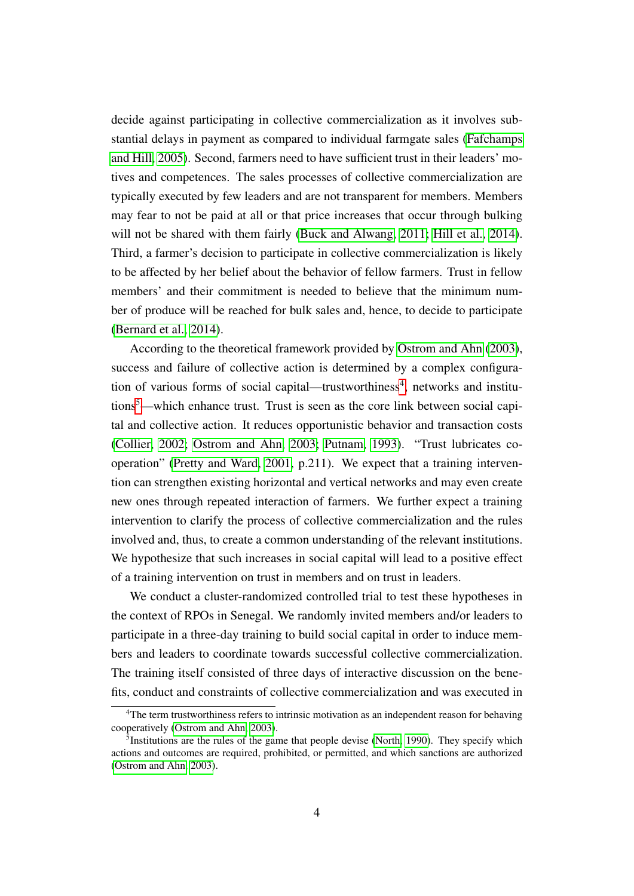decide against participating in collective commercialization as it involves substantial delays in payment as compared to individual farmgate sales [\(Fafchamps](#page-40-3) [and Hill, 2005\)](#page-40-3). Second, farmers need to have sufficient trust in their leaders' motives and competences. The sales processes of collective commercialization are typically executed by few leaders and are not transparent for members. Members may fear to not be paid at all or that price increases that occur through bulking will not be shared with them fairly [\(Buck and Alwang, 2011;](#page-39-4) [Hill et al., 2014\)](#page-40-4). Third, a farmer's decision to participate in collective commercialization is likely to be affected by her belief about the behavior of fellow farmers. Trust in fellow members' and their commitment is needed to believe that the minimum number of produce will be reached for bulk sales and, hence, to decide to participate [\(Bernard et al., 2014\)](#page-39-5).

According to the theoretical framework provided by [Ostrom and Ahn](#page-41-4) [\(2003\)](#page-41-4), success and failure of collective action is determined by a complex configura-tion of various forms of social capital—trustworthiness<sup>[4](#page--1-0)</sup>, networks and institutions[5](#page--1-0)—which enhance trust. Trust is seen as the core link between social capital and collective action. It reduces opportunistic behavior and transaction costs [\(Collier, 2002;](#page-39-6) [Ostrom and Ahn, 2003;](#page-41-4) [Putnam, 1993\)](#page-41-5). "Trust lubricates cooperation" [\(Pretty and Ward, 2001,](#page-41-6) p.211). We expect that a training intervention can strengthen existing horizontal and vertical networks and may even create new ones through repeated interaction of farmers. We further expect a training intervention to clarify the process of collective commercialization and the rules involved and, thus, to create a common understanding of the relevant institutions. We hypothesize that such increases in social capital will lead to a positive effect of a training intervention on trust in members and on trust in leaders.

We conduct a cluster-randomized controlled trial to test these hypotheses in the context of RPOs in Senegal. We randomly invited members and/or leaders to participate in a three-day training to build social capital in order to induce members and leaders to coordinate towards successful collective commercialization. The training itself consisted of three days of interactive discussion on the benefits, conduct and constraints of collective commercialization and was executed in

<sup>&</sup>lt;sup>4</sup>The term trustworthiness refers to intrinsic motivation as an independent reason for behaving cooperatively [\(Ostrom and Ahn, 2003\)](#page-41-4).

<sup>&</sup>lt;sup>5</sup>Institutions are the rules of the game that people devise [\(North, 1990\)](#page-41-7). They specify which actions and outcomes are required, prohibited, or permitted, and which sanctions are authorized [\(Ostrom and Ahn, 2003\)](#page-41-4).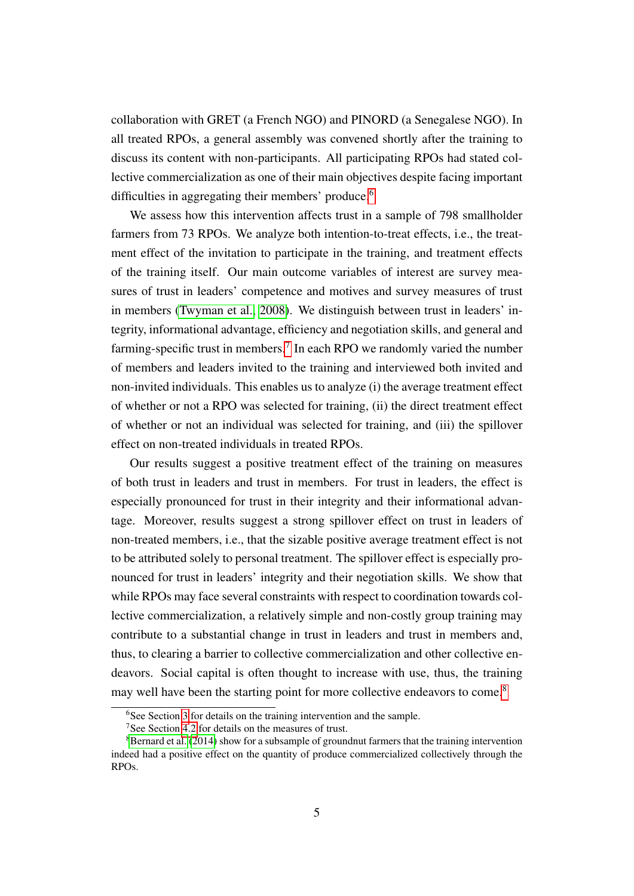collaboration with GRET (a French NGO) and PINORD (a Senegalese NGO). In all treated RPOs, a general assembly was convened shortly after the training to discuss its content with non-participants. All participating RPOs had stated collective commercialization as one of their main objectives despite facing important difficulties in aggregating their members' produce.<sup>[6](#page--1-0)</sup>

We assess how this intervention affects trust in a sample of 798 smallholder farmers from 73 RPOs. We analyze both intention-to-treat effects, i.e., the treatment effect of the invitation to participate in the training, and treatment effects of the training itself. Our main outcome variables of interest are survey measures of trust in leaders' competence and motives and survey measures of trust in members [\(Twyman et al., 2008\)](#page-42-6). We distinguish between trust in leaders' integrity, informational advantage, efficiency and negotiation skills, and general and farming-specific trust in members.<sup>[7](#page--1-0)</sup> In each RPO we randomly varied the number of members and leaders invited to the training and interviewed both invited and non-invited individuals. This enables us to analyze (i) the average treatment effect of whether or not a RPO was selected for training, (ii) the direct treatment effect of whether or not an individual was selected for training, and (iii) the spillover effect on non-treated individuals in treated RPOs.

Our results suggest a positive treatment effect of the training on measures of both trust in leaders and trust in members. For trust in leaders, the effect is especially pronounced for trust in their integrity and their informational advantage. Moreover, results suggest a strong spillover effect on trust in leaders of non-treated members, i.e., that the sizable positive average treatment effect is not to be attributed solely to personal treatment. The spillover effect is especially pronounced for trust in leaders' integrity and their negotiation skills. We show that while RPOs may face several constraints with respect to coordination towards collective commercialization, a relatively simple and non-costly group training may contribute to a substantial change in trust in leaders and trust in members and, thus, to clearing a barrier to collective commercialization and other collective endeavors. Social capital is often thought to increase with use, thus, the training may well have been the starting point for more collective endeavors to come.<sup>[8](#page--1-0)</sup>

<sup>&</sup>lt;sup>6</sup>See Section [3](#page-14-0) for details on the training intervention and the sample.

<sup>&</sup>lt;sup>7</sup>See Section [4.2](#page-22-0) for details on the measures of trust.

<sup>&</sup>lt;sup>8</sup>[Bernard et al.](#page-39-5) [\(2014\)](#page-39-5) show for a subsample of groundnut farmers that the training intervention indeed had a positive effect on the quantity of produce commercialized collectively through the RPOs.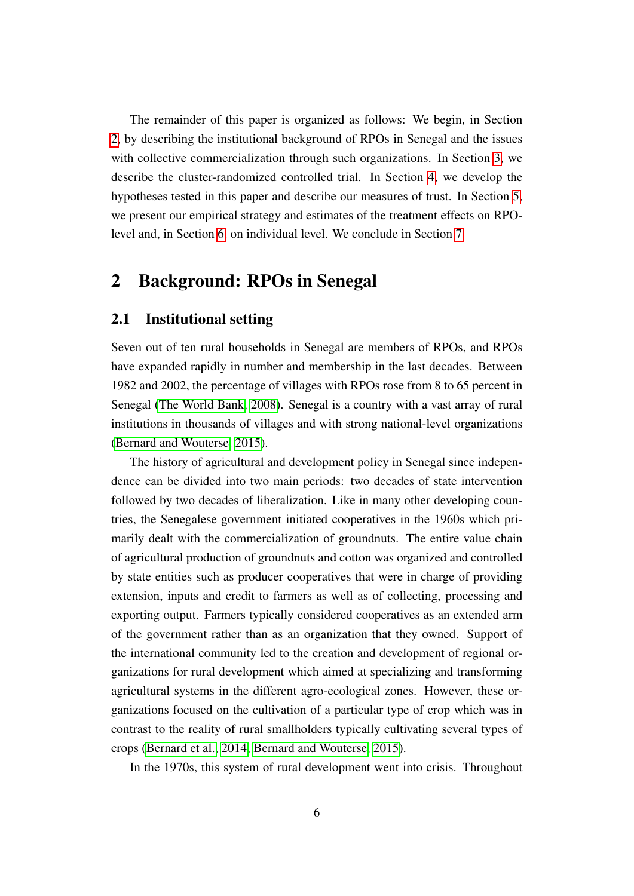The remainder of this paper is organized as follows: We begin, in Section [2,](#page-6-0) by describing the institutional background of RPOs in Senegal and the issues with collective commercialization through such organizations. In Section [3,](#page-14-0) we describe the cluster-randomized controlled trial. In Section [4,](#page-20-0) we develop the hypotheses tested in this paper and describe our measures of trust. In Section [5,](#page-24-0) we present our empirical strategy and estimates of the treatment effects on RPOlevel and, in Section [6,](#page-30-0) on individual level. We conclude in Section [7.](#page-37-0)

### <span id="page-6-0"></span>2 Background: RPOs in Senegal

#### 2.1 Institutional setting

Seven out of ten rural households in Senegal are members of RPOs, and RPOs have expanded rapidly in number and membership in the last decades. Between 1982 and 2002, the percentage of villages with RPOs rose from 8 to 65 percent in Senegal [\(The World Bank, 2008\)](#page-42-0). Senegal is a country with a vast array of rural institutions in thousands of villages and with strong national-level organizations [\(Bernard and Wouterse, 2015\)](#page-39-2).

The history of agricultural and development policy in Senegal since independence can be divided into two main periods: two decades of state intervention followed by two decades of liberalization. Like in many other developing countries, the Senegalese government initiated cooperatives in the 1960s which primarily dealt with the commercialization of groundnuts. The entire value chain of agricultural production of groundnuts and cotton was organized and controlled by state entities such as producer cooperatives that were in charge of providing extension, inputs and credit to farmers as well as of collecting, processing and exporting output. Farmers typically considered cooperatives as an extended arm of the government rather than as an organization that they owned. Support of the international community led to the creation and development of regional organizations for rural development which aimed at specializing and transforming agricultural systems in the different agro-ecological zones. However, these organizations focused on the cultivation of a particular type of crop which was in contrast to the reality of rural smallholders typically cultivating several types of crops [\(Bernard et al., 2014;](#page-39-5) [Bernard and Wouterse, 2015\)](#page-39-2).

In the 1970s, this system of rural development went into crisis. Throughout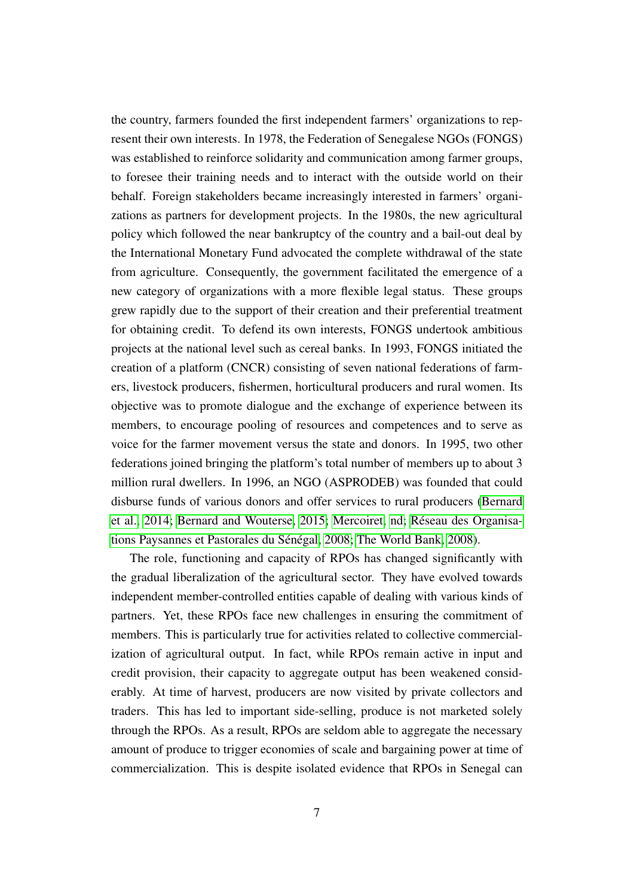the country, farmers founded the first independent farmers' organizations to represent their own interests. In 1978, the Federation of Senegalese NGOs (FONGS) was established to reinforce solidarity and communication among farmer groups, to foresee their training needs and to interact with the outside world on their behalf. Foreign stakeholders became increasingly interested in farmers' organizations as partners for development projects. In the 1980s, the new agricultural policy which followed the near bankruptcy of the country and a bail-out deal by the International Monetary Fund advocated the complete withdrawal of the state from agriculture. Consequently, the government facilitated the emergence of a new category of organizations with a more flexible legal status. These groups grew rapidly due to the support of their creation and their preferential treatment for obtaining credit. To defend its own interests, FONGS undertook ambitious projects at the national level such as cereal banks. In 1993, FONGS initiated the creation of a platform (CNCR) consisting of seven national federations of farmers, livestock producers, fishermen, horticultural producers and rural women. Its objective was to promote dialogue and the exchange of experience between its members, to encourage pooling of resources and competences and to serve as voice for the farmer movement versus the state and donors. In 1995, two other federations joined bringing the platform's total number of members up to about 3 million rural dwellers. In 1996, an NGO (ASPRODEB) was founded that could disburse funds of various donors and offer services to rural producers [\(Bernard](#page-39-5) [et al., 2014;](#page-39-5) [Bernard and Wouterse, 2015;](#page-39-2) [Mercoiret, nd;](#page-41-8) [Réseau des Organisa](#page-41-9)[tions Paysannes et Pastorales du Sénégal, 2008;](#page-41-9) [The World Bank, 2008\)](#page-42-0).

The role, functioning and capacity of RPOs has changed significantly with the gradual liberalization of the agricultural sector. They have evolved towards independent member-controlled entities capable of dealing with various kinds of partners. Yet, these RPOs face new challenges in ensuring the commitment of members. This is particularly true for activities related to collective commercialization of agricultural output. In fact, while RPOs remain active in input and credit provision, their capacity to aggregate output has been weakened considerably. At time of harvest, producers are now visited by private collectors and traders. This has led to important side-selling, produce is not marketed solely through the RPOs. As a result, RPOs are seldom able to aggregate the necessary amount of produce to trigger economies of scale and bargaining power at time of commercialization. This is despite isolated evidence that RPOs in Senegal can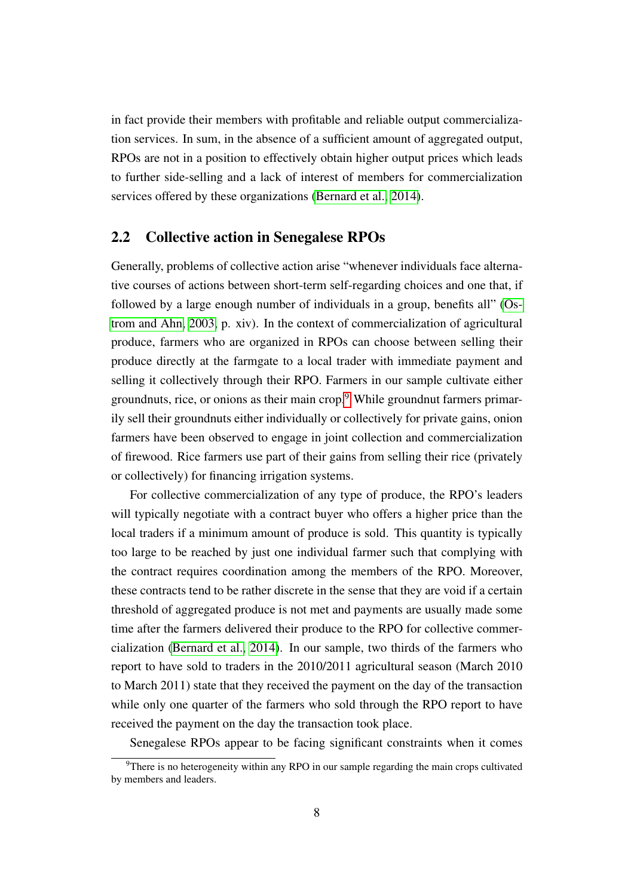in fact provide their members with profitable and reliable output commercialization services. In sum, in the absence of a sufficient amount of aggregated output, RPOs are not in a position to effectively obtain higher output prices which leads to further side-selling and a lack of interest of members for commercialization services offered by these organizations [\(Bernard et al., 2014\)](#page-39-5).

#### <span id="page-8-0"></span>2.2 Collective action in Senegalese RPOs

Generally, problems of collective action arise "whenever individuals face alternative courses of actions between short-term self-regarding choices and one that, if followed by a large enough number of individuals in a group, benefits all" [\(Os](#page-41-4)[trom and Ahn, 2003,](#page-41-4) p. xiv). In the context of commercialization of agricultural produce, farmers who are organized in RPOs can choose between selling their produce directly at the farmgate to a local trader with immediate payment and selling it collectively through their RPO. Farmers in our sample cultivate either groundnuts, rice, or onions as their main crop.[9](#page--1-0) While groundnut farmers primarily sell their groundnuts either individually or collectively for private gains, onion farmers have been observed to engage in joint collection and commercialization of firewood. Rice farmers use part of their gains from selling their rice (privately or collectively) for financing irrigation systems.

For collective commercialization of any type of produce, the RPO's leaders will typically negotiate with a contract buyer who offers a higher price than the local traders if a minimum amount of produce is sold. This quantity is typically too large to be reached by just one individual farmer such that complying with the contract requires coordination among the members of the RPO. Moreover, these contracts tend to be rather discrete in the sense that they are void if a certain threshold of aggregated produce is not met and payments are usually made some time after the farmers delivered their produce to the RPO for collective commercialization [\(Bernard et al., 2014\)](#page-39-5). In our sample, two thirds of the farmers who report to have sold to traders in the 2010/2011 agricultural season (March 2010 to March 2011) state that they received the payment on the day of the transaction while only one quarter of the farmers who sold through the RPO report to have received the payment on the day the transaction took place.

Senegalese RPOs appear to be facing significant constraints when it comes

 $9$ There is no heterogeneity within any RPO in our sample regarding the main crops cultivated by members and leaders.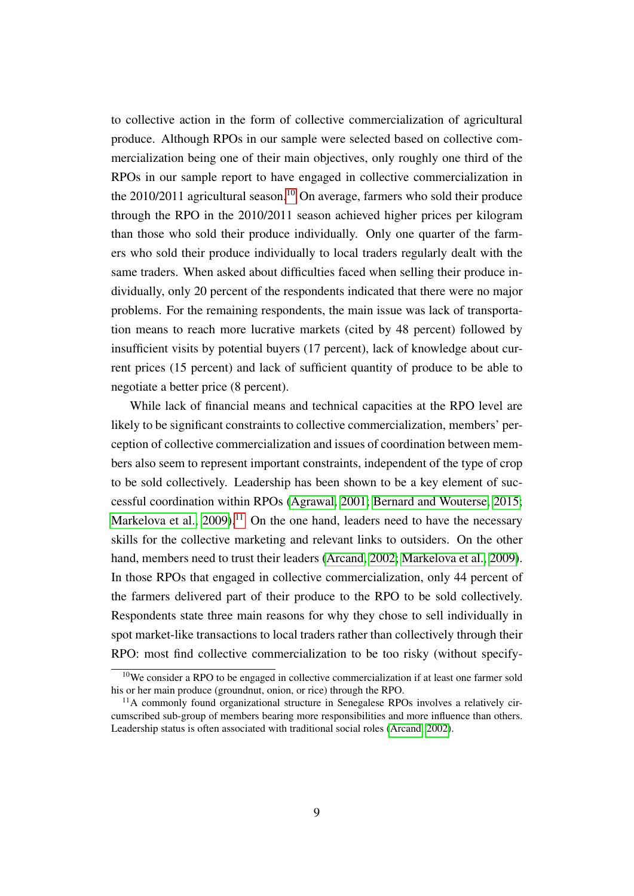to collective action in the form of collective commercialization of agricultural produce. Although RPOs in our sample were selected based on collective commercialization being one of their main objectives, only roughly one third of the RPOs in our sample report to have engaged in collective commercialization in the  $2010/2011$  $2010/2011$  $2010/2011$  agricultural season.<sup>10</sup> On average, farmers who sold their produce through the RPO in the 2010/2011 season achieved higher prices per kilogram than those who sold their produce individually. Only one quarter of the farmers who sold their produce individually to local traders regularly dealt with the same traders. When asked about difficulties faced when selling their produce individually, only 20 percent of the respondents indicated that there were no major problems. For the remaining respondents, the main issue was lack of transportation means to reach more lucrative markets (cited by 48 percent) followed by insufficient visits by potential buyers (17 percent), lack of knowledge about current prices (15 percent) and lack of sufficient quantity of produce to be able to negotiate a better price (8 percent).

While lack of financial means and technical capacities at the RPO level are likely to be significant constraints to collective commercialization, members' perception of collective commercialization and issues of coordination between members also seem to represent important constraints, independent of the type of crop to be sold collectively. Leadership has been shown to be a key element of successful coordination within RPOs [\(Agrawal, 2001;](#page-39-7) [Bernard and Wouterse, 2015;](#page-39-2) Markelova et al.,  $2009$ ).<sup>[11](#page--1-0)</sup> On the one hand, leaders need to have the necessary skills for the collective marketing and relevant links to outsiders. On the other hand, members need to trust their leaders [\(Arcand, 2002;](#page-39-8) [Markelova et al., 2009\)](#page-40-0). In those RPOs that engaged in collective commercialization, only 44 percent of the farmers delivered part of their produce to the RPO to be sold collectively. Respondents state three main reasons for why they chose to sell individually in spot market-like transactions to local traders rather than collectively through their RPO: most find collective commercialization to be too risky (without specify-

<sup>&</sup>lt;sup>10</sup>We consider a RPO to be engaged in collective commercialization if at least one farmer sold his or her main produce (groundnut, onion, or rice) through the RPO.

<sup>&</sup>lt;sup>11</sup>A commonly found organizational structure in Senegalese RPOs involves a relatively circumscribed sub-group of members bearing more responsibilities and more influence than others. Leadership status is often associated with traditional social roles [\(Arcand, 2002\)](#page-39-8).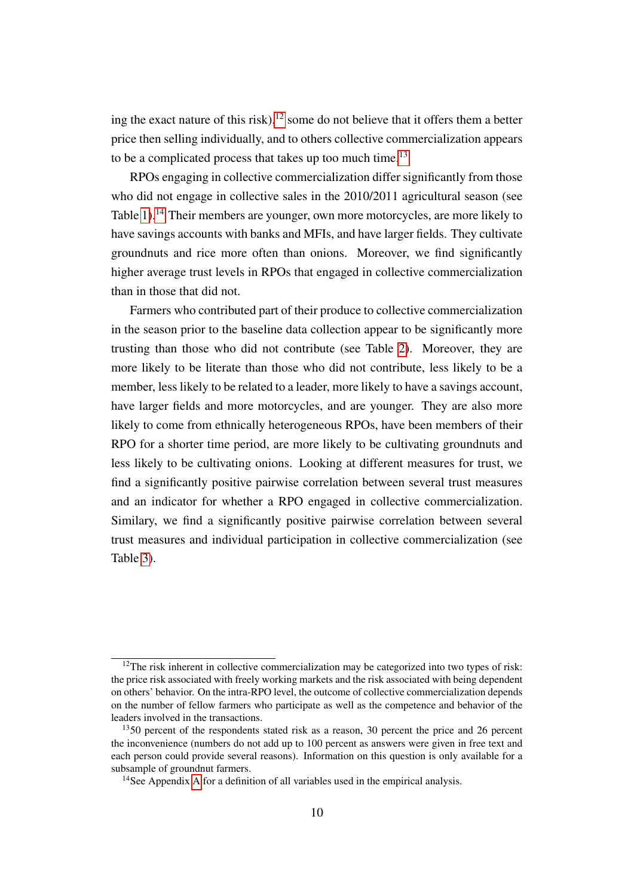ing the exact nature of this risk), $12$  some do not believe that it offers them a better price then selling individually, and to others collective commercialization appears to be a complicated process that takes up too much time.<sup>[13](#page--1-0)</sup>

RPOs engaging in collective commercialization differ significantly from those who did not engage in collective sales in the 2010/2011 agricultural season (see Table [1\)](#page-11-0).<sup>[14](#page--1-0)</sup> Their members are younger, own more motorcycles, are more likely to have savings accounts with banks and MFIs, and have larger fields. They cultivate groundnuts and rice more often than onions. Moreover, we find significantly higher average trust levels in RPOs that engaged in collective commercialization than in those that did not.

Farmers who contributed part of their produce to collective commercialization in the season prior to the baseline data collection appear to be significantly more trusting than those who did not contribute (see Table [2\)](#page-12-0). Moreover, they are more likely to be literate than those who did not contribute, less likely to be a member, less likely to be related to a leader, more likely to have a savings account, have larger fields and more motorcycles, and are younger. They are also more likely to come from ethnically heterogeneous RPOs, have been members of their RPO for a shorter time period, are more likely to be cultivating groundnuts and less likely to be cultivating onions. Looking at different measures for trust, we find a significantly positive pairwise correlation between several trust measures and an indicator for whether a RPO engaged in collective commercialization. Similary, we find a significantly positive pairwise correlation between several trust measures and individual participation in collective commercialization (see Table [3\)](#page-13-0).

 $12$ The risk inherent in collective commercialization may be categorized into two types of risk: the price risk associated with freely working markets and the risk associated with being dependent on others' behavior. On the intra-RPO level, the outcome of collective commercialization depends on the number of fellow farmers who participate as well as the competence and behavior of the leaders involved in the transactions.

 $1350$  percent of the respondents stated risk as a reason, 30 percent the price and 26 percent the inconvenience (numbers do not add up to 100 percent as answers were given in free text and each person could provide several reasons). Information on this question is only available for a subsample of groundnut farmers.

<sup>&</sup>lt;sup>14</sup>See [A](#page-43-0)ppendix A for a definition of all variables used in the empirical analysis.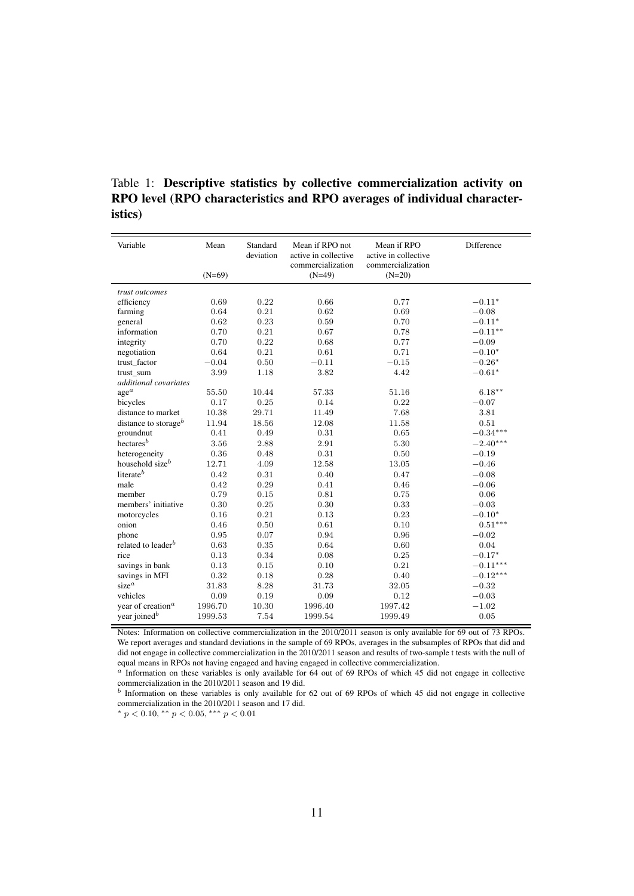| Variable                           | Mean     | Standard<br>deviation | Mean if RPO not<br>active in collective<br>commercialization | Mean if RPO<br>active in collective<br>commercialization | Difference     |
|------------------------------------|----------|-----------------------|--------------------------------------------------------------|----------------------------------------------------------|----------------|
|                                    | $(N=69)$ |                       | $(N=49)$                                                     | $(N=20)$                                                 |                |
| trust outcomes                     |          |                       |                                                              |                                                          |                |
| efficiency                         | 0.69     | 0.22                  | 0.66                                                         | 0.77                                                     | $-0.11*$       |
| farming                            | 0.64     | 0.21                  | 0.62                                                         | 0.69                                                     | $-0.08$        |
| general                            | 0.62     | 0.23                  | 0.59                                                         | 0.70                                                     | $-0.11^{\ast}$ |
| information                        | 0.70     | 0.21                  | 0.67                                                         | 0.78                                                     | $-0.11**$      |
| integrity                          | 0.70     | 0.22                  | 0.68                                                         | 0.77                                                     | $-0.09$        |
| negotiation                        | 0.64     | 0.21                  | 0.61                                                         | 0.71                                                     | $-0.10*$       |
| trust_factor                       | $-0.04$  | 0.50                  | $-0.11$                                                      | $-0.15$                                                  | $-0.26*$       |
| trust sum                          | 3.99     | 1.18                  | 3.82                                                         | 4.42                                                     | $-0.61*$       |
| additional covariates              |          |                       |                                                              |                                                          |                |
| $\mathrm{age}^a$                   | 55.50    | 10.44                 | 57.33                                                        | 51.16                                                    | $6.18***$      |
| bicycles                           | 0.17     | 0.25                  | 0.14                                                         | 0.22                                                     | $-0.07$        |
| distance to market                 | 10.38    | 29.71                 | 11.49                                                        | 7.68                                                     | 3.81           |
| distance to storage <sup>b</sup>   | 11.94    | 18.56                 | 12.08                                                        | 11.58                                                    | 0.51           |
| groundnut                          | 0.41     | 0.49                  | 0.31                                                         | 0.65                                                     | $-0.34***$     |
| hectares <sup><math>b</math></sup> | 3.56     | 2.88                  | 2.91                                                         | 5.30                                                     | $-2.40***$     |
| heterogeneity                      | 0.36     | 0.48                  | 0.31                                                         | 0.50                                                     | $-0.19$        |
| household size <sup>b</sup>        | 12.71    | 4.09                  | 12.58                                                        | 13.05                                                    | $-0.46$        |
| literate <sup>b</sup>              | 0.42     | 0.31                  | 0.40                                                         | 0.47                                                     | $-0.08$        |
| male                               | 0.42     | 0.29                  | 0.41                                                         | 0.46                                                     | $-0.06$        |
| member                             | 0.79     | 0.15                  | 0.81                                                         | 0.75                                                     | 0.06           |
| members' initiative                | 0.30     | 0.25                  | 0.30                                                         | 0.33                                                     | $-0.03$        |
| motorcycles                        | 0.16     | 0.21                  | 0.13                                                         | 0.23                                                     | $-0.10*$       |
| onion                              | 0.46     | 0.50                  | 0.61                                                         | 0.10                                                     | $0.51***$      |
| phone                              | 0.95     | 0.07                  | 0.94                                                         | 0.96                                                     | $-0.02$        |
| related to leader <sup>b</sup>     | 0.63     | 0.35                  | 0.64                                                         | 0.60                                                     | 0.04           |
| rice                               | 0.13     | 0.34                  | 0.08                                                         | 0.25                                                     | $-0.17*$       |
| savings in bank                    | 0.13     | 0.15                  | 0.10                                                         | 0.21                                                     | $-0.11***$     |
| savings in MFI                     | 0.32     | 0.18                  | 0.28                                                         | 0.40                                                     | $-0.12***$     |
| $size^a$                           | 31.83    | 8.28                  | 31.73                                                        | 32.05                                                    | $-0.32$        |
| vehicles                           | 0.09     | 0.19                  | 0.09                                                         | 0.12                                                     | $-0.03$        |
| year of creation <sup>a</sup>      | 1996.70  | 10.30                 | 1996.40                                                      | 1997.42                                                  | $-1.02$        |
| year joined <sup>b</sup>           | 1999.53  | 7.54                  | 1999.54                                                      | 1999.49                                                  | 0.05           |

<span id="page-11-0"></span>Table 1: Descriptive statistics by collective commercialization activity on RPO level (RPO characteristics and RPO averages of individual characteristics)

Notes: Information on collective commercialization in the 2010/2011 season is only available for 69 out of 73 RPOs. We report averages and standard deviations in the sample of 69 RPOs, averages in the subsamples of RPOs that did and did not engage in collective commercialization in the 2010/2011 season and results of two-sample t tests with the null of equal means in RPOs not having engaged and having engaged in collective commercialization.

 $a<sup>n</sup>$  Information on these variables is only available for 64 out of 69 RPOs of which 45 did not engage in collective commercialization in the 2010/2011 season and 19 did.

 $<sup>b</sup>$  Information on these variables is only available for 62 out of 69 RPOs of which 45 did not engage in collective</sup> commercialization in the 2010/2011 season and 17 did.

\*  $p < 0.10$ , \*\*  $p < 0.05$ , \*\*\*  $p < 0.01$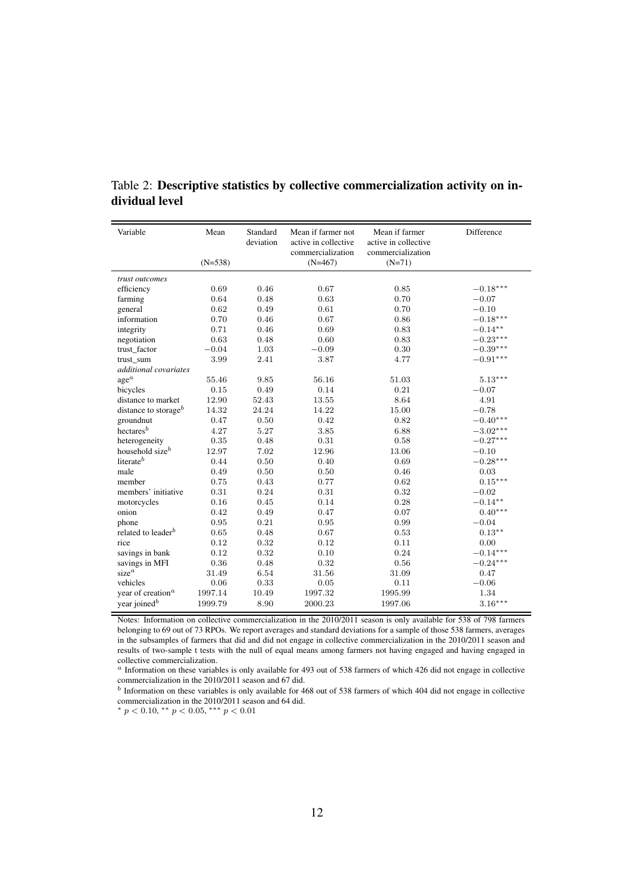| Variable                         | Mean      | Standard<br>deviation | Mean if farmer not<br>active in collective<br>commercialization | Mean if farmer<br>active in collective<br>commercialization | Difference |
|----------------------------------|-----------|-----------------------|-----------------------------------------------------------------|-------------------------------------------------------------|------------|
|                                  | $(N=538)$ |                       | $(N=467)$                                                       | $(N=71)$                                                    |            |
| trust outcomes                   |           |                       |                                                                 |                                                             |            |
| efficiency                       | 0.69      | 0.46                  | 0.67                                                            | 0.85                                                        | $-0.18***$ |
| farming                          | 0.64      | 0.48                  | 0.63                                                            | 0.70                                                        | $-0.07$    |
| general                          | 0.62      | 0.49                  | 0.61                                                            | 0.70                                                        | $-0.10$    |
| information                      | 0.70      | 0.46                  | 0.67                                                            | 0.86                                                        | $-0.18***$ |
| integrity                        | 0.71      | 0.46                  | 0.69                                                            | 0.83                                                        | $-0.14**$  |
| negotiation                      | 0.63      | 0.48                  | 0.60                                                            | 0.83                                                        | $-0.23***$ |
| trust_factor                     | $-0.04$   | 1.03                  | $-0.09$                                                         | 0.30                                                        | $-0.39***$ |
| trust_sum                        | 3.99      | 2.41                  | 3.87                                                            | 4.77                                                        | $-0.91***$ |
| additional covariates            |           |                       |                                                                 |                                                             |            |
| $age^a$                          | 55.46     | 9.85                  | 56.16                                                           | 51.03                                                       | $5.13***$  |
| bicycles                         | 0.15      | 0.49                  | 0.14                                                            | 0.21                                                        | $-0.07$    |
| distance to market               | 12.90     | 52.43                 | 13.55                                                           | 8.64                                                        | 4.91       |
| distance to storage <sup>b</sup> | 14.32     | 24.24                 | 14.22                                                           | 15.00                                                       | $-0.78$    |
| groundnut                        | 0.47      | 0.50                  | 0.42                                                            | 0.82                                                        | $-0.40***$ |
| $h$ ectares $^b$                 | 4.27      | 5.27                  | 3.85                                                            | 6.88                                                        | $-3.02***$ |
| heterogeneity                    | 0.35      | 0.48                  | 0.31                                                            | 0.58                                                        | $-0.27***$ |
| household size <sup>b</sup>      | 12.97     | 7.02                  | 12.96                                                           | 13.06                                                       | $-0.10$    |
| literate <sup>b</sup>            | 0.44      | $0.50\,$              | 0.40                                                            | 0.69                                                        | $-0.28***$ |
| male                             | 0.49      | 0.50                  | 0.50                                                            | 0.46                                                        | 0.03       |
| member                           | 0.75      | 0.43                  | 0.77                                                            | 0.62                                                        | $0.15***$  |
| members' initiative              | 0.31      | 0.24                  | 0.31                                                            | 0.32                                                        | $-0.02$    |
| motorcycles                      | 0.16      | 0.45                  | 0.14                                                            | 0.28                                                        | $-0.14***$ |
| onion                            | 0.42      | 0.49                  | 0.47                                                            | 0.07                                                        | $0.40***$  |
| phone                            | 0.95      | 0.21                  | 0.95                                                            | 0.99                                                        | $-0.04$    |
| related to leader <sup>b</sup>   | 0.65      | 0.48                  | 0.67                                                            | 0.53                                                        | $0.13**$   |
| rice                             | 0.12      | 0.32                  | 0.12                                                            | 0.11                                                        | 0.00       |
| savings in bank                  | 0.12      | 0.32                  | 0.10                                                            | 0.24                                                        | $-0.14***$ |
| savings in MFI                   | 0.36      | 0.48                  | 0.32                                                            | 0.56                                                        | $-0.24***$ |
| size <sup>a</sup>                | 31.49     | 6.54                  | 31.56                                                           | 31.09                                                       | 0.47       |
| vehicles                         | 0.06      | 0.33                  | 0.05                                                            | 0.11                                                        | $-0.06$    |
| year of creation <sup>a</sup>    | 1997.14   | 10.49                 | 1997.32                                                         | 1995.99                                                     | 1.34       |
| year joined <sup>b</sup>         | 1999.79   | 8.90                  | 2000.23                                                         | 1997.06                                                     | $3.16***$  |

<span id="page-12-0"></span>Table 2: Descriptive statistics by collective commercialization activity on individual level

Notes: Information on collective commercialization in the 2010/2011 season is only available for 538 of 798 farmers belonging to 69 out of 73 RPOs. We report averages and standard deviations for a sample of those 538 farmers, averages in the subsamples of farmers that did and did not engage in collective commercialization in the 2010/2011 season and results of two-sample t tests with the null of equal means among farmers not having engaged and having engaged in collective commercialization.

<sup>a</sup> Information on these variables is only available for 493 out of 538 farmers of which 426 did not engage in collective commercialization in the 2010/2011 season and 67 did.

 $<sup>b</sup>$  Information on these variables is only available for 468 out of 538 farmers of which 404 did not engage in collective</sup> commercialization in the 2010/2011 season and 64 did.

\*  $p < 0.10$ , \*\*  $p < 0.05$ , \*\*\*  $p < 0.01$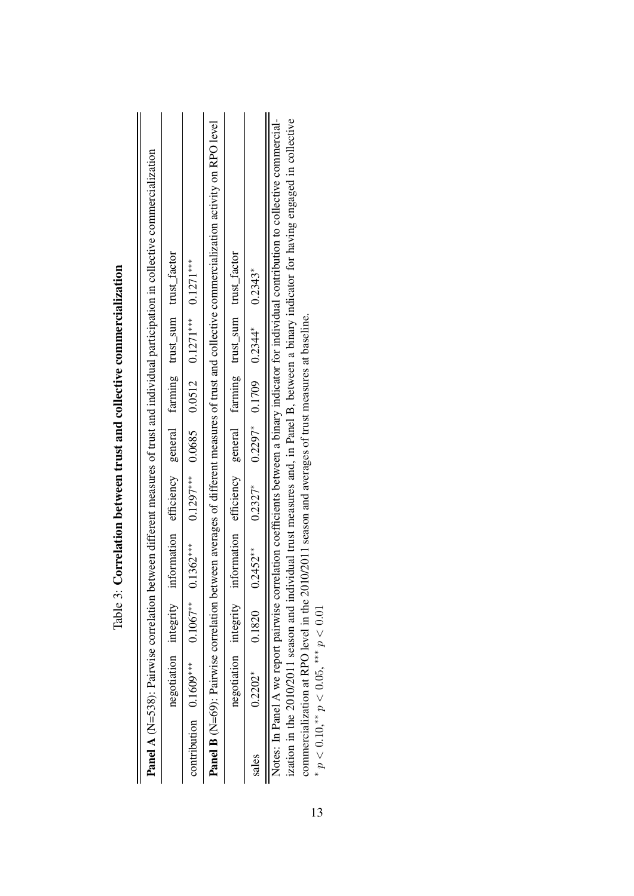|       |                          |            |                                                               |  |                                                       | <b>Panel A</b> (N=538): Pairwise correlation between different measures of trust and individual participation in collective commercialization                                                                                                                                               |
|-------|--------------------------|------------|---------------------------------------------------------------|--|-------------------------------------------------------|---------------------------------------------------------------------------------------------------------------------------------------------------------------------------------------------------------------------------------------------------------------------------------------------|
|       | negotiation integrity    |            | information efficiency general farming trust_sum trust_factor |  |                                                       |                                                                                                                                                                                                                                                                                             |
|       | contribution $0.1609***$ | $0.1067**$ | $0.1362***$                                                   |  | $0.1297***$ $0.0685$ $0.0512$ $0.1271***$ $0.1271***$ |                                                                                                                                                                                                                                                                                             |
|       |                          |            |                                                               |  |                                                       | <b>Panel B</b> (N=69): Pairwise correlation between averages of different measures of trust and collective commercialization activity on RPO level                                                                                                                                          |
|       | negotiation integrity    |            | information efficiency general farming trust_sum trust_factor |  |                                                       |                                                                                                                                                                                                                                                                                             |
| sales | $0.2202*$                | 0.1820     | $0.2452***$                                                   |  | $0.2327^*$ $0.2297^*$ $0.1709$ $0.2344^*$ $0.2343^*$  |                                                                                                                                                                                                                                                                                             |
|       |                          |            |                                                               |  |                                                       | ization in the 2010/2011 season and individual trust measures and in Panel B. between a binary indicator for baying engaged in collective<br>Notes: In Panel A we report pairwise correlation coefficients between a binary indicator for individual contribution to collective commercial- |

| ľ                                              |
|------------------------------------------------|
| j<br>I                                         |
| くらくしくし<br>í<br>í                               |
| ֖֖֧ׅ֧֧֧֧֧֧֚֚֚֚֚֚֚֚֚֚֚֚֚֚֚֚֚֚֚֚֚֚֚֚֡֬֜֓֝֓֝֓֓֝֓֓ |
| j                                              |
| l<br>$\frac{1}{2}$                             |

ization in the 2010/2011 season and individual trust measures and, in Panel B, between a binary indicator for having engaged in collective commercialization at RPO level in the 2010/2011 season and averages of trust measures at baseline. ization in the 2010/2011 season and individual trust measures and, in Panel B, between a binary indicator for having engaged in collective commercialization at RPO level in the 2010/2011 season and averages of trust measu

\*  $p < 0.10$ ,\*\*  $p < 0.05$ , \*\*\*  $p < 0.01$ 

<span id="page-13-0"></span>13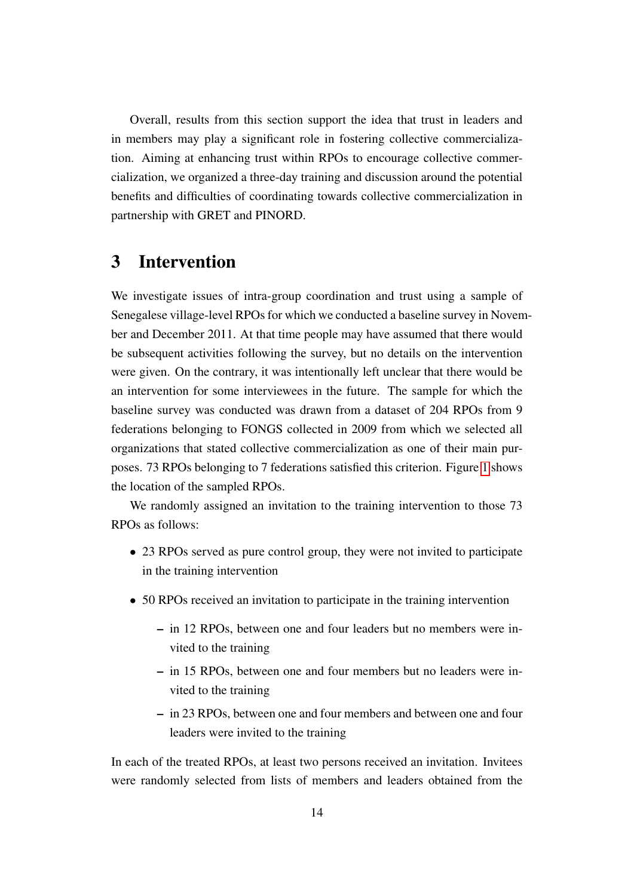Overall, results from this section support the idea that trust in leaders and in members may play a significant role in fostering collective commercialization. Aiming at enhancing trust within RPOs to encourage collective commercialization, we organized a three-day training and discussion around the potential benefits and difficulties of coordinating towards collective commercialization in partnership with GRET and PINORD.

### <span id="page-14-0"></span>3 Intervention

We investigate issues of intra-group coordination and trust using a sample of Senegalese village-level RPOs for which we conducted a baseline survey in November and December 2011. At that time people may have assumed that there would be subsequent activities following the survey, but no details on the intervention were given. On the contrary, it was intentionally left unclear that there would be an intervention for some interviewees in the future. The sample for which the baseline survey was conducted was drawn from a dataset of 204 RPOs from 9 federations belonging to FONGS collected in 2009 from which we selected all organizations that stated collective commercialization as one of their main purposes. 73 RPOs belonging to 7 federations satisfied this criterion. Figure [1](#page-15-0) shows the location of the sampled RPOs.

We randomly assigned an invitation to the training intervention to those 73 RPOs as follows:

- 23 RPOs served as pure control group, they were not invited to participate in the training intervention
- 50 RPOs received an invitation to participate in the training intervention
	- in 12 RPOs, between one and four leaders but no members were invited to the training
	- in 15 RPOs, between one and four members but no leaders were invited to the training
	- in 23 RPOs, between one and four members and between one and four leaders were invited to the training

In each of the treated RPOs, at least two persons received an invitation. Invitees were randomly selected from lists of members and leaders obtained from the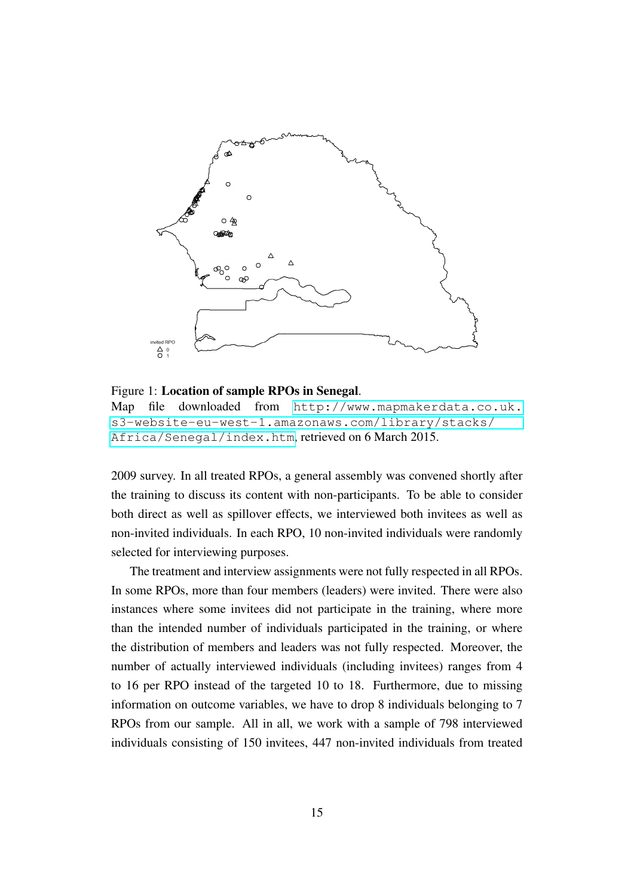<span id="page-15-0"></span>

Figure 1: Location of sample RPOs in Senegal. Map file downloaded from [http://www.mapmakerdata.co.uk.](http://www.mapmakerdata.co.uk.s3-website-eu-west-1.amazonaws.com/library/stacks/Africa/Senegal/index.htm) [s3-website-eu-west-1.amazonaws.com/library/stacks/](http://www.mapmakerdata.co.uk.s3-website-eu-west-1.amazonaws.com/library/stacks/Africa/Senegal/index.htm) [Africa/Senegal/index.htm](http://www.mapmakerdata.co.uk.s3-website-eu-west-1.amazonaws.com/library/stacks/Africa/Senegal/index.htm), retrieved on 6 March 2015.

2009 survey. In all treated RPOs, a general assembly was convened shortly after the training to discuss its content with non-participants. To be able to consider both direct as well as spillover effects, we interviewed both invitees as well as non-invited individuals. In each RPO, 10 non-invited individuals were randomly selected for interviewing purposes.

The treatment and interview assignments were not fully respected in all RPOs. In some RPOs, more than four members (leaders) were invited. There were also instances where some invitees did not participate in the training, where more than the intended number of individuals participated in the training, or where the distribution of members and leaders was not fully respected. Moreover, the number of actually interviewed individuals (including invitees) ranges from 4 to 16 per RPO instead of the targeted 10 to 18. Furthermore, due to missing information on outcome variables, we have to drop 8 individuals belonging to 7 RPOs from our sample. All in all, we work with a sample of 798 interviewed individuals consisting of 150 invitees, 447 non-invited individuals from treated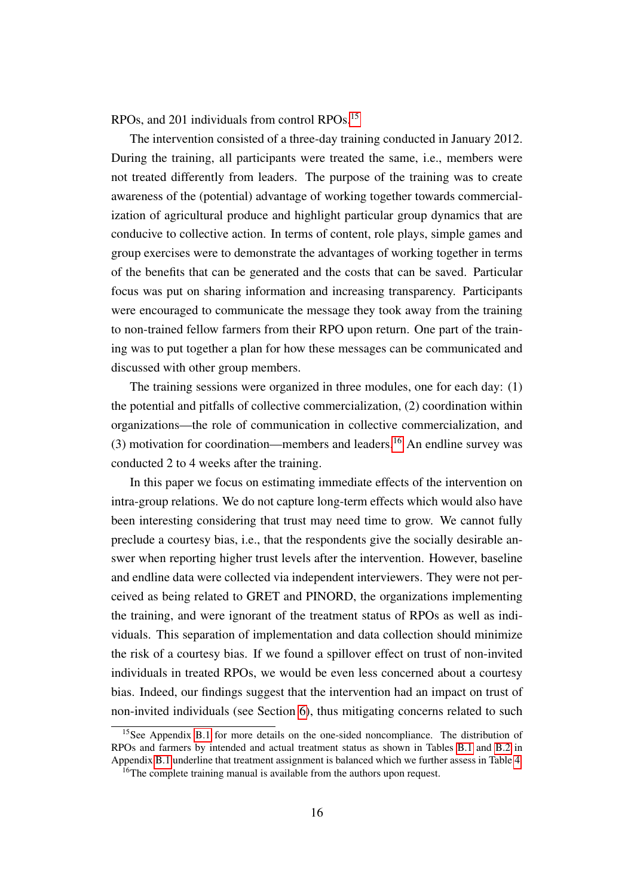RPOs, and 201 individuals from control RPOs.[15](#page--1-0)

The intervention consisted of a three-day training conducted in January 2012. During the training, all participants were treated the same, i.e., members were not treated differently from leaders. The purpose of the training was to create awareness of the (potential) advantage of working together towards commercialization of agricultural produce and highlight particular group dynamics that are conducive to collective action. In terms of content, role plays, simple games and group exercises were to demonstrate the advantages of working together in terms of the benefits that can be generated and the costs that can be saved. Particular focus was put on sharing information and increasing transparency. Participants were encouraged to communicate the message they took away from the training to non-trained fellow farmers from their RPO upon return. One part of the training was to put together a plan for how these messages can be communicated and discussed with other group members.

The training sessions were organized in three modules, one for each day: (1) the potential and pitfalls of collective commercialization, (2) coordination within organizations—the role of communication in collective commercialization, and  $(3)$  motivation for coordination—members and leaders.<sup>[16](#page--1-0)</sup> An endline survey was conducted 2 to 4 weeks after the training.

In this paper we focus on estimating immediate effects of the intervention on intra-group relations. We do not capture long-term effects which would also have been interesting considering that trust may need time to grow. We cannot fully preclude a courtesy bias, i.e., that the respondents give the socially desirable answer when reporting higher trust levels after the intervention. However, baseline and endline data were collected via independent interviewers. They were not perceived as being related to GRET and PINORD, the organizations implementing the training, and were ignorant of the treatment status of RPOs as well as individuals. This separation of implementation and data collection should minimize the risk of a courtesy bias. If we found a spillover effect on trust of non-invited individuals in treated RPOs, we would be even less concerned about a courtesy bias. Indeed, our findings suggest that the intervention had an impact on trust of non-invited individuals (see Section [6\)](#page-30-0), thus mitigating concerns related to such

<sup>&</sup>lt;sup>15</sup>See Appendix [B.1](#page-47-0) for more details on the one-sided noncompliance. The distribution of RPOs and farmers by intended and actual treatment status as shown in Tables [B.1](#page-48-0) and [B.2](#page-48-1) in Appendix [B.1](#page-47-0) underline that treatment assignment is balanced which we further assess in Table [4.](#page-17-0)

<sup>&</sup>lt;sup>16</sup>The complete training manual is available from the authors upon request.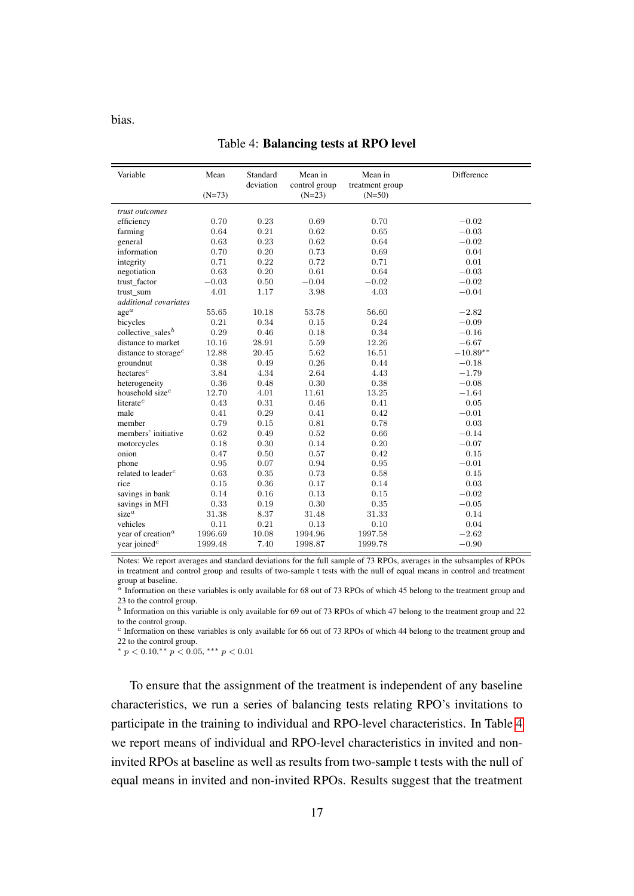<span id="page-17-0"></span>bias.

| Variable                         | Mean     | Standard  | Mean in                   | Mean in         | Difference |
|----------------------------------|----------|-----------|---------------------------|-----------------|------------|
|                                  | $(N=73)$ | deviation | control group<br>$(N=23)$ | treatment group |            |
|                                  |          |           |                           | $(N=50)$        |            |
| trust outcomes                   |          |           |                           |                 |            |
| efficiency                       | 0.70     | 0.23      | 0.69                      | 0.70            | $-0.02$    |
| farming                          | 0.64     | 0.21      | 0.62                      | 0.65            | $-0.03$    |
| general                          | 0.63     | 0.23      | 0.62                      | 0.64            | $-0.02$    |
| information                      | 0.70     | 0.20      | 0.73                      | 0.69            | 0.04       |
| integrity                        | 0.71     | 0.22      | 0.72                      | 0.71            | 0.01       |
| negotiation                      | 0.63     | 0.20      | 0.61                      | 0.64            | $-0.03$    |
| trust_factor                     | $-0.03$  | $0.50\,$  | $-0.04$                   | $-0.02$         | $-0.02$    |
| trust_sum                        | 4.01     | 1.17      | 3.98                      | 4.03            | $-0.04$    |
| additional covariates            |          |           |                           |                 |            |
| $\mathrm{age}^a$                 | 55.65    | 10.18     | 53.78                     | 56.60           | $-2.82$    |
| bicycles                         | 0.21     | 0.34      | 0.15                      | 0.24            | $-0.09$    |
| collective_sales <sup>b</sup>    | 0.29     | 0.46      | 0.18                      | 0.34            | $-0.16$    |
| distance to market               | 10.16    | 28.91     | 5.59                      | 12.26           | $-6.67$    |
| distance to storage <sup>c</sup> | 12.88    | 20.45     | 5.62                      | 16.51           | $-10.89**$ |
| groundnut                        | 0.38     | 0.49      | 0.26                      | 0.44            | $-0.18$    |
| $h$ ectares <sup>c</sup>         | 3.84     | 4.34      | 2.64                      | 4.43            | $-1.79$    |
| heterogeneity                    | 0.36     | 0.48      | 0.30                      | 0.38            | $-0.08$    |
| household size <sup>c</sup>      | 12.70    | 4.01      | 11.61                     | 13.25           | $-1.64$    |
| literate <sup>c</sup>            | 0.43     | 0.31      | 0.46                      | 0.41            | 0.05       |
| male                             | 0.41     | 0.29      | 0.41                      | 0.42            | $-0.01$    |
| member                           | 0.79     | 0.15      | 0.81                      | 0.78            | 0.03       |
| members' initiative              | 0.62     | 0.49      | 0.52                      | 0.66            | $-0.14$    |
| motorcycles                      | 0.18     | 0.30      | 0.14                      | 0.20            | $-0.07$    |
| onion                            | 0.47     | 0.50      | 0.57                      | 0.42            | 0.15       |
| phone                            | 0.95     | 0.07      | 0.94                      | 0.95            | $-0.01$    |
| related to leader <sup>c</sup>   | 0.63     | 0.35      | 0.73                      | 0.58            | 0.15       |
| rice                             | 0.15     | 0.36      | 0.17                      | 0.14            | 0.03       |
| savings in bank                  | 0.14     | 0.16      | 0.13                      | 0.15            | $-0.02$    |
| savings in MFI                   | 0.33     | 0.19      | 0.30                      | 0.35            | $-0.05$    |
| $size^a$                         | 31.38    | 8.37      | 31.48                     | 31.33           | 0.14       |
| vehicles                         | 0.11     | 0.21      | 0.13                      | 0.10            | 0.04       |
| year of creation <sup>a</sup>    | 1996.69  | 10.08     | 1994.96                   | 1997.58         | $-2.62$    |
| year joined <sup>c</sup>         | 1999.48  | 7.40      | 1998.87                   | 1999.78         | $-0.90$    |

#### Table 4: Balancing tests at RPO level

Notes: We report averages and standard deviations for the full sample of 73 RPOs, averages in the subsamples of RPOs in treatment and control group and results of two-sample t tests with the null of equal means in control and treatment group at baseline.

 $a$  Information on these variables is only available for 68 out of 73 RPOs of which 45 belong to the treatment group and 23 to the control group.

 $<sup>b</sup>$  Information on this variable is only available for 69 out of 73 RPOs of which 47 belong to the treatment group and 22</sup> to the control group.

c Information on these variables is only available for 66 out of 73 RPOs of which 44 belong to the treatment group and 22 to the control group.

\*  $p < 0.10$ ,\*\*  $p < 0.05$ , \*\*\*  $p < 0.01$ 

To ensure that the assignment of the treatment is independent of any baseline characteristics, we run a series of balancing tests relating RPO's invitations to participate in the training to individual and RPO-level characteristics. In Table [4](#page-17-0) we report means of individual and RPO-level characteristics in invited and noninvited RPOs at baseline as well as results from two-sample t tests with the null of equal means in invited and non-invited RPOs. Results suggest that the treatment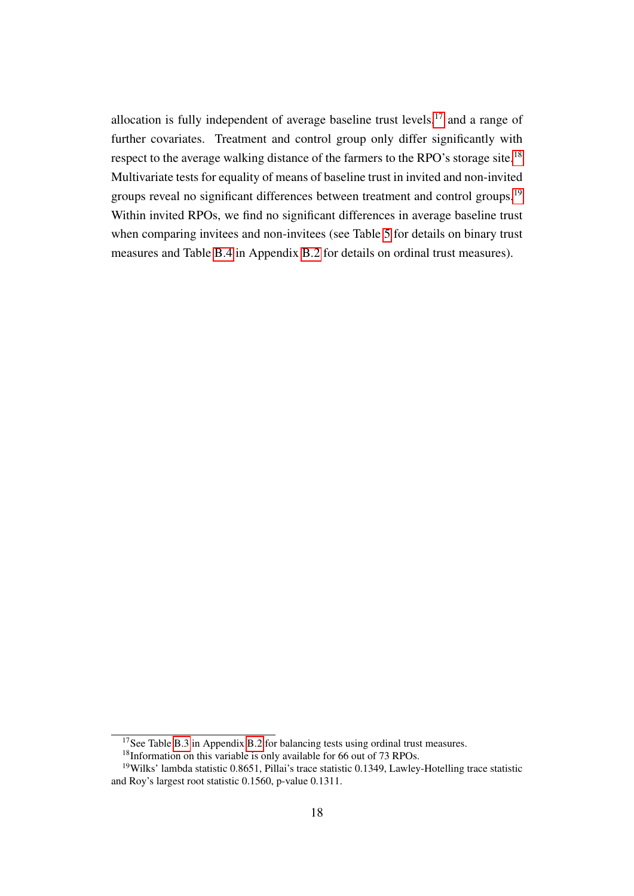allocation is fully independent of average baseline trust levels, $17$  and a range of further covariates. Treatment and control group only differ significantly with respect to the average walking distance of the farmers to the RPO's storage site.<sup>[18](#page--1-0)</sup> Multivariate tests for equality of means of baseline trust in invited and non-invited groups reveal no significant differences between treatment and control groups.<sup>[19](#page--1-0)</sup> Within invited RPOs, we find no significant differences in average baseline trust when comparing invitees and non-invitees (see Table [5](#page-19-0) for details on binary trust measures and Table [B.4](#page-50-0) in Appendix [B.2](#page-49-0) for details on ordinal trust measures).

<sup>&</sup>lt;sup>17</sup>See Table [B.3](#page-49-1) in Appendix [B.2](#page-49-0) for balancing tests using ordinal trust measures.

<sup>&</sup>lt;sup>18</sup>Information on this variable is only available for 66 out of 73 RPOs.

<sup>19</sup>Wilks' lambda statistic 0.8651, Pillai's trace statistic 0.1349, Lawley-Hotelling trace statistic and Roy's largest root statistic 0.1560, p-value 0.1311.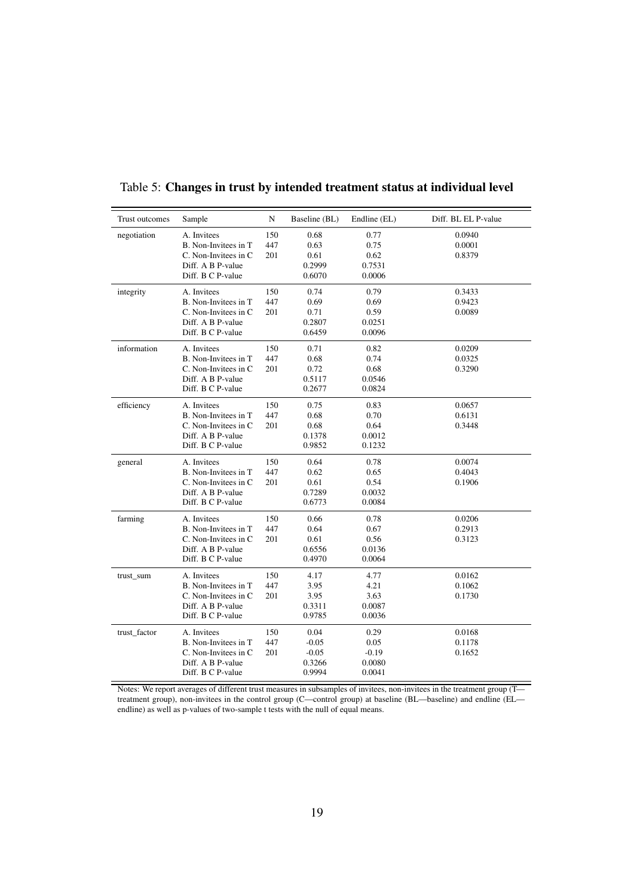| Trust outcomes | Sample                | N   | Baseline (BL) | Endline (EL) | Diff. BL EL P-value |
|----------------|-----------------------|-----|---------------|--------------|---------------------|
| negotiation    | A. Invitees           | 150 | 0.68          | 0.77         | 0.0940              |
|                | B. Non-Invitees in T  | 447 | 0.63          | 0.75         | 0.0001              |
|                | C. Non-Invitees in C  | 201 | 0.61          | 0.62         | 0.8379              |
|                | Diff. A B P-value     |     | 0.2999        | 0.7531       |                     |
|                | Diff. B C P-value     |     | 0.6070        | 0.0006       |                     |
| integrity      | A. Invitees           | 150 | 0.74          | 0.79         | 0.3433              |
|                | B. Non-Invitees in T  | 447 | 0.69          | 0.69         | 0.9423              |
|                | C. Non-Invitees in C. | 201 | 0.71          | 0.59         | 0.0089              |
|                | Diff. A B P-value     |     | 0.2807        | 0.0251       |                     |
|                | Diff. B C P-value     |     | 0.6459        | 0.0096       |                     |
| information    | A. Invitees           | 150 | 0.71          | 0.82         | 0.0209              |
|                | B. Non-Invitees in T  | 447 | 0.68          | 0.74         | 0.0325              |
|                | C. Non-Invitees in C. | 201 | 0.72          | 0.68         | 0.3290              |
|                | Diff. A B P-value     |     | 0.5117        | 0.0546       |                     |
|                | Diff. B C P-value     |     | 0.2677        | 0.0824       |                     |
| efficiency     | A. Invitees           | 150 | 0.75          | 0.83         | 0.0657              |
|                | B. Non-Invitees in T  | 447 | 0.68          | 0.70         | 0.6131              |
|                | C. Non-Invitees in C. | 201 | 0.68          | 0.64         | 0.3448              |
|                | Diff. A B P-value     |     | 0.1378        | 0.0012       |                     |
|                | Diff. B C P-value     |     | 0.9852        | 0.1232       |                     |
| general        | A. Invitees           | 150 | 0.64          | 0.78         | 0.0074              |
|                | B. Non-Invitees in T  | 447 | 0.62          | 0.65         | 0.4043              |
|                | C. Non-Invitees in C  | 201 | 0.61          | 0.54         | 0.1906              |
|                | Diff. A B P-value     |     | 0.7289        | 0.0032       |                     |
|                | Diff. B C P-value     |     | 0.6773        | 0.0084       |                     |
| farming        | A. Invitees           | 150 | 0.66          | 0.78         | 0.0206              |
|                | B. Non-Invitees in T  | 447 | 0.64          | 0.67         | 0.2913              |
|                | C. Non-Invitees in C. | 201 | 0.61          | 0.56         | 0.3123              |
|                | Diff. A B P-value     |     | 0.6556        | 0.0136       |                     |
|                | Diff. B C P-value     |     | 0.4970        | 0.0064       |                     |
| trust_sum      | A. Invitees           | 150 | 4.17          | 4.77         | 0.0162              |
|                | B. Non-Invitees in T  | 447 | 3.95          | 4.21         | 0.1062              |
|                | C. Non-Invitees in C. | 201 | 3.95          | 3.63         | 0.1730              |
|                | Diff. A B P-value     |     | 0.3311        | 0.0087       |                     |
|                | Diff. B C P-value     |     | 0.9785        | 0.0036       |                     |
| trust_factor   | A. Invitees           | 150 | 0.04          | 0.29         | 0.0168              |
|                | B. Non-Invitees in T  | 447 | $-0.05$       | 0.05         | 0.1178              |
|                | C. Non-Invitees in C. | 201 | $-0.05$       | $-0.19$      | 0.1652              |
|                | Diff. A B P-value     |     | 0.3266        | 0.0080       |                     |
|                | Diff. B C P-value     |     | 0.9994        | 0.0041       |                     |

<span id="page-19-0"></span>Table 5: Changes in trust by intended treatment status at individual level

Notes: We report averages of different trust measures in subsamples of invitees, non-invitees in the treatment group (T treatment group), non-invitees in the control group (C—control group) at baseline (BL—baseline) and endline (EL endline) as well as p-values of two-sample t tests with the null of equal means.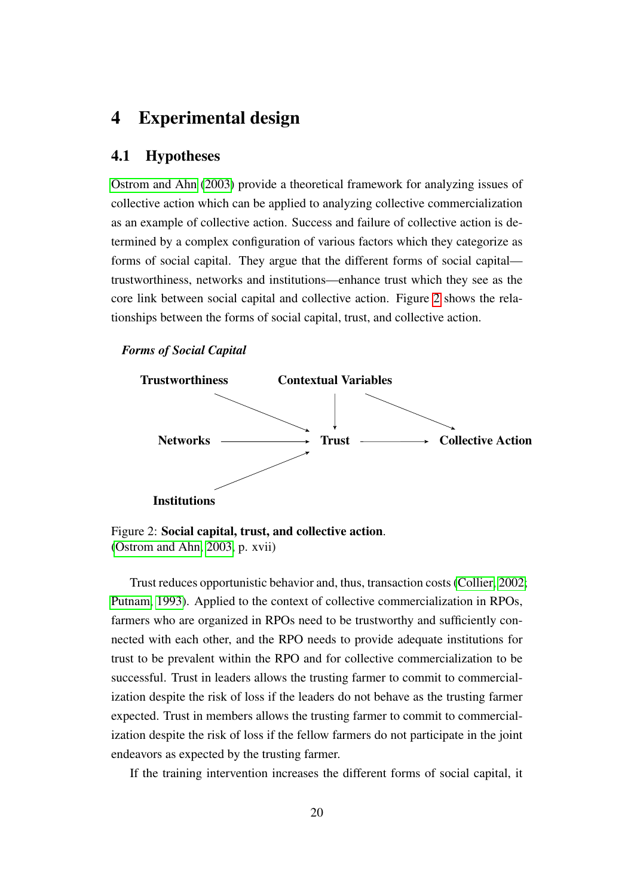### <span id="page-20-0"></span>4 Experimental design

#### 4.1 Hypotheses

[Ostrom and Ahn](#page-41-4) [\(2003\)](#page-41-4) provide a theoretical framework for analyzing issues of collective action which can be applied to analyzing collective commercialization as an example of collective action. Success and failure of collective action is determined by a complex configuration of various factors which they categorize as forms of social capital. They argue that the different forms of social capital trustworthiness, networks and institutions—enhance trust which they see as the core link between social capital and collective action. Figure [2](#page-20-1) shows the relationships between the forms of social capital, trust, and collective action.

#### <span id="page-20-1"></span>*Forms of Social Capital*



Figure 2: Social capital, trust, and collective action. [\(Ostrom and Ahn, 2003,](#page-41-4) p. xvii)

Trust reduces opportunistic behavior and, thus, transaction costs [\(Collier, 2002;](#page-39-6) [Putnam, 1993\)](#page-41-5). Applied to the context of collective commercialization in RPOs, farmers who are organized in RPOs need to be trustworthy and sufficiently connected with each other, and the RPO needs to provide adequate institutions for trust to be prevalent within the RPO and for collective commercialization to be successful. Trust in leaders allows the trusting farmer to commit to commercialization despite the risk of loss if the leaders do not behave as the trusting farmer expected. Trust in members allows the trusting farmer to commit to commercialization despite the risk of loss if the fellow farmers do not participate in the joint endeavors as expected by the trusting farmer.

If the training intervention increases the different forms of social capital, it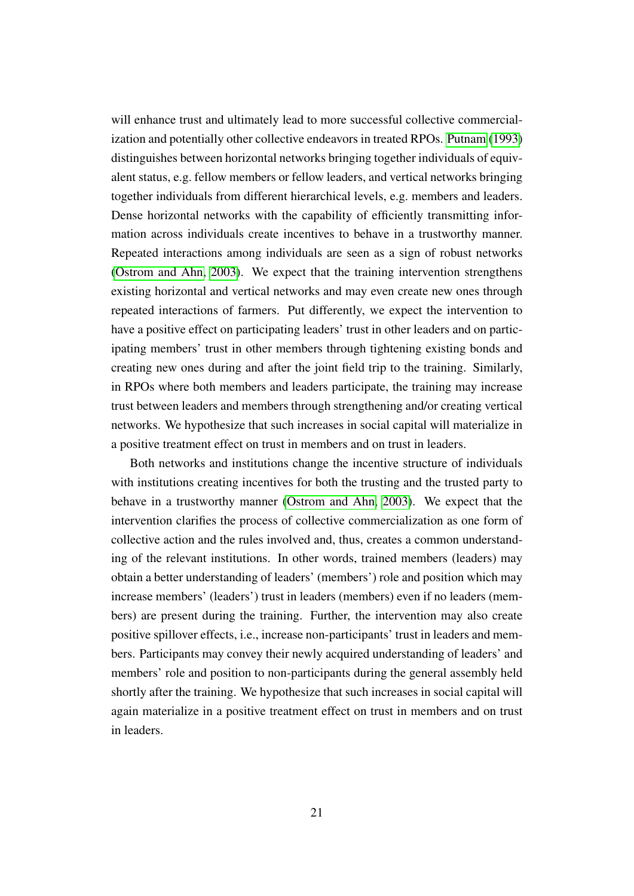will enhance trust and ultimately lead to more successful collective commercialization and potentially other collective endeavors in treated RPOs. [Putnam](#page-41-5) [\(1993\)](#page-41-5) distinguishes between horizontal networks bringing together individuals of equivalent status, e.g. fellow members or fellow leaders, and vertical networks bringing together individuals from different hierarchical levels, e.g. members and leaders. Dense horizontal networks with the capability of efficiently transmitting information across individuals create incentives to behave in a trustworthy manner. Repeated interactions among individuals are seen as a sign of robust networks [\(Ostrom and Ahn, 2003\)](#page-41-4). We expect that the training intervention strengthens existing horizontal and vertical networks and may even create new ones through repeated interactions of farmers. Put differently, we expect the intervention to have a positive effect on participating leaders' trust in other leaders and on participating members' trust in other members through tightening existing bonds and creating new ones during and after the joint field trip to the training. Similarly, in RPOs where both members and leaders participate, the training may increase trust between leaders and members through strengthening and/or creating vertical networks. We hypothesize that such increases in social capital will materialize in a positive treatment effect on trust in members and on trust in leaders.

Both networks and institutions change the incentive structure of individuals with institutions creating incentives for both the trusting and the trusted party to behave in a trustworthy manner [\(Ostrom and Ahn, 2003\)](#page-41-4). We expect that the intervention clarifies the process of collective commercialization as one form of collective action and the rules involved and, thus, creates a common understanding of the relevant institutions. In other words, trained members (leaders) may obtain a better understanding of leaders' (members') role and position which may increase members' (leaders') trust in leaders (members) even if no leaders (members) are present during the training. Further, the intervention may also create positive spillover effects, i.e., increase non-participants' trust in leaders and members. Participants may convey their newly acquired understanding of leaders' and members' role and position to non-participants during the general assembly held shortly after the training. We hypothesize that such increases in social capital will again materialize in a positive treatment effect on trust in members and on trust in leaders.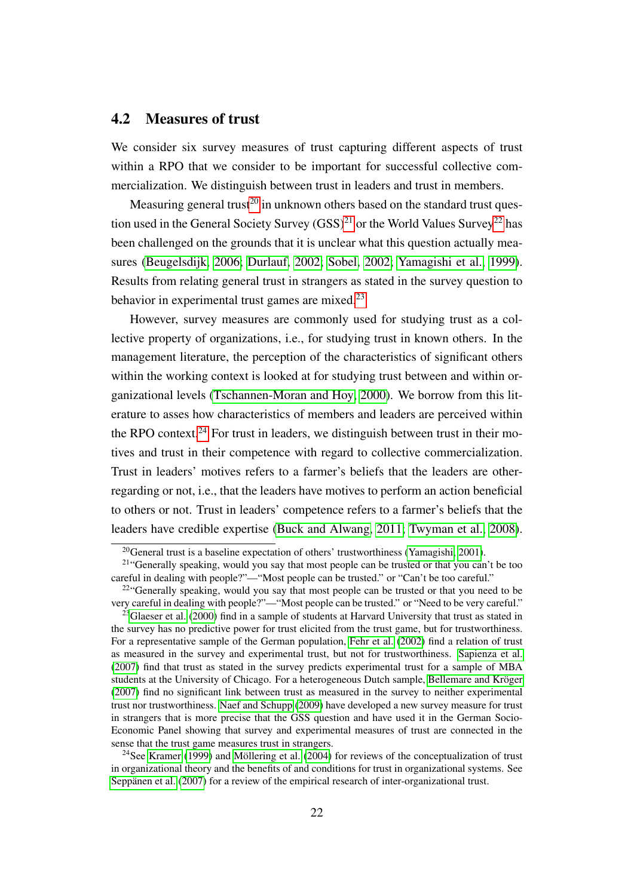#### <span id="page-22-0"></span>4.2 Measures of trust

We consider six survey measures of trust capturing different aspects of trust within a RPO that we consider to be important for successful collective commercialization. We distinguish between trust in leaders and trust in members.

Measuring general trust<sup>[20](#page--1-0)</sup> in unknown others based on the standard trust question used in the General Society Survey  $(GSS)^{21}$  $(GSS)^{21}$  $(GSS)^{21}$  or the World Values Survey<sup>[22](#page--1-0)</sup> has been challenged on the grounds that it is unclear what this question actually measures [\(Beugelsdijk, 2006;](#page-39-9) [Durlauf, 2002;](#page-40-6) [Sobel, 2002;](#page-42-7) [Yamagishi et al., 1999\)](#page-42-8). Results from relating general trust in strangers as stated in the survey question to behavior in experimental trust games are mixed.<sup>[23](#page--1-0)</sup>

However, survey measures are commonly used for studying trust as a collective property of organizations, i.e., for studying trust in known others. In the management literature, the perception of the characteristics of significant others within the working context is looked at for studying trust between and within organizational levels [\(Tschannen-Moran and Hoy, 2000\)](#page-42-9). We borrow from this literature to asses how characteristics of members and leaders are perceived within the RPO context.<sup>[24](#page--1-0)</sup> For trust in leaders, we distinguish between trust in their motives and trust in their competence with regard to collective commercialization. Trust in leaders' motives refers to a farmer's beliefs that the leaders are otherregarding or not, i.e., that the leaders have motives to perform an action beneficial to others or not. Trust in leaders' competence refers to a farmer's beliefs that the leaders have credible expertise [\(Buck and Alwang, 2011;](#page-39-4) [Twyman et al., 2008\)](#page-42-6).

 $^{20}$ General trust is a baseline expectation of others' trustworthiness [\(Yamagishi, 2001\)](#page-42-10).

<sup>&</sup>lt;sup>21</sup>"Generally speaking, would you say that most people can be trusted or that you can't be too careful in dealing with people?"—"Most people can be trusted." or "Can't be too careful."

<sup>&</sup>lt;sup>22</sup>"Generally speaking, would you say that most people can be trusted or that you need to be very careful in dealing with people?"—"Most people can be trusted." or "Need to be very careful."

<sup>&</sup>lt;sup>23</sup>[Glaeser et al.](#page-40-7) [\(2000\)](#page-40-7) find in a sample of students at Harvard University that trust as stated in the survey has no predictive power for trust elicited from the trust game, but for trustworthiness. For a representative sample of the German population, [Fehr et al.](#page-40-8) [\(2002\)](#page-40-8) find a relation of trust as measured in the survey and experimental trust, but not for trustworthiness. [Sapienza et al.](#page-42-11) [\(2007\)](#page-42-11) find that trust as stated in the survey predicts experimental trust for a sample of MBA students at the University of Chicago. For a heterogeneous Dutch sample, [Bellemare and Kröger](#page-39-10) [\(2007\)](#page-39-10) find no significant link between trust as measured in the survey to neither experimental trust nor trustworthiness. [Naef and Schupp](#page-41-10) [\(2009\)](#page-41-10) have developed a new survey measure for trust in strangers that is more precise that the GSS question and have used it in the German Socio-Economic Panel showing that survey and experimental measures of trust are connected in the sense that the trust game measures trust in strangers.

<sup>&</sup>lt;sup>24</sup>See [Kramer](#page-40-9) [\(1999\)](#page-40-9) and [Möllering et al.](#page-41-11) [\(2004\)](#page-41-11) for reviews of the conceptualization of trust in organizational theory and the benefits of and conditions for trust in organizational systems. See [Seppänen et al.](#page-42-12) [\(2007\)](#page-42-12) for a review of the empirical research of inter-organizational trust.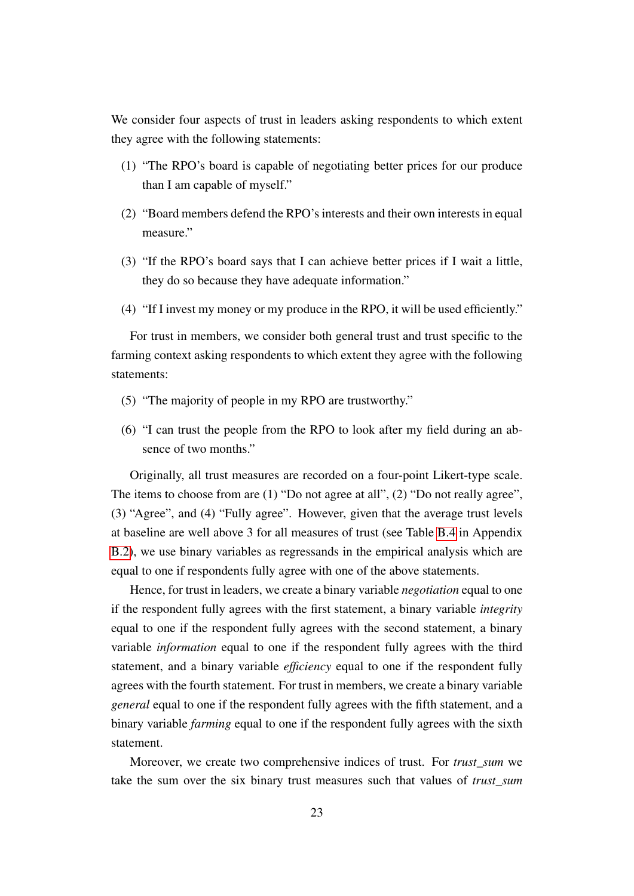We consider four aspects of trust in leaders asking respondents to which extent they agree with the following statements:

- (1) "The RPO's board is capable of negotiating better prices for our produce than I am capable of myself."
- (2) "Board members defend the RPO's interests and their own interests in equal measure."
- (3) "If the RPO's board says that I can achieve better prices if I wait a little, they do so because they have adequate information."
- (4) "If I invest my money or my produce in the RPO, it will be used efficiently."

For trust in members, we consider both general trust and trust specific to the farming context asking respondents to which extent they agree with the following statements:

- (5) "The majority of people in my RPO are trustworthy."
- (6) "I can trust the people from the RPO to look after my field during an absence of two months."

Originally, all trust measures are recorded on a four-point Likert-type scale. The items to choose from are (1) "Do not agree at all", (2) "Do not really agree", (3) "Agree", and (4) "Fully agree". However, given that the average trust levels at baseline are well above 3 for all measures of trust (see Table [B.4](#page-50-0) in Appendix [B.2\)](#page-49-0), we use binary variables as regressands in the empirical analysis which are equal to one if respondents fully agree with one of the above statements.

Hence, for trust in leaders, we create a binary variable *negotiation* equal to one if the respondent fully agrees with the first statement, a binary variable *integrity* equal to one if the respondent fully agrees with the second statement, a binary variable *information* equal to one if the respondent fully agrees with the third statement, and a binary variable *efficiency* equal to one if the respondent fully agrees with the fourth statement. For trust in members, we create a binary variable *general* equal to one if the respondent fully agrees with the fifth statement, and a binary variable *farming* equal to one if the respondent fully agrees with the sixth statement.

Moreover, we create two comprehensive indices of trust. For *trust\_sum* we take the sum over the six binary trust measures such that values of *trust\_sum*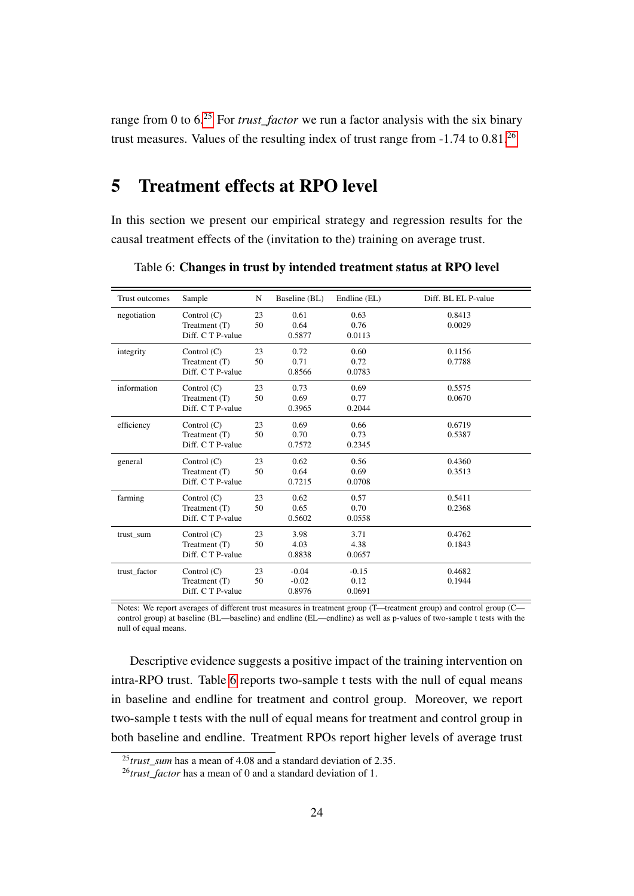range from 0 to 6.[25](#page--1-0) For *trust\_factor* we run a factor analysis with the six binary trust measures. Values of the resulting index of trust range from -1.74 to 0.81.[26](#page--1-0)

## <span id="page-24-0"></span>5 Treatment effects at RPO level

In this section we present our empirical strategy and regression results for the causal treatment effects of the (invitation to the) training on average trust.

| Trust outcomes | Sample            | ${\bf N}$ | Baseline (BL) | Endline (EL) | Diff. BL EL P-value |
|----------------|-------------------|-----------|---------------|--------------|---------------------|
| negotiation    | Control $(C)$     | 23        | 0.61          | 0.63         | 0.8413              |
|                | Treatment (T)     | 50        | 0.64          | 0.76         | 0.0029              |
|                | Diff. C T P-value |           | 0.5877        | 0.0113       |                     |
| integrity      | Control $(C)$     | 23        | 0.72          | 0.60         | 0.1156              |
|                | Treatment (T)     | 50        | 0.71          | 0.72         | 0.7788              |
|                | Diff. C T P-value |           | 0.8566        | 0.0783       |                     |
| information    | Control $(C)$     | 23        | 0.73          | 0.69         | 0.5575              |
|                | Treatment (T)     | 50        | 0.69          | 0.77         | 0.0670              |
|                | Diff. C T P-value |           | 0.3965        | 0.2044       |                     |
| efficiency     | Control $(C)$     | 23        | 0.69          | 0.66         | 0.6719              |
|                | Treatment (T)     | 50        | 0.70          | 0.73         | 0.5387              |
|                | Diff. C T P-value |           | 0.7572        | 0.2345       |                     |
| general        | Control $(C)$     | 23        | 0.62          | 0.56         | 0.4360              |
|                | Treatment (T)     | 50        | 0.64          | 0.69         | 0.3513              |
|                | Diff. C T P-value |           | 0.7215        | 0.0708       |                     |
| farming        | Control $(C)$     | 23        | 0.62          | 0.57         | 0.5411              |
|                | Treatment (T)     | 50        | 0.65          | 0.70         | 0.2368              |
|                | Diff. C T P-value |           | 0.5602        | 0.0558       |                     |
| trust_sum      | Control (C)       | 23        | 3.98          | 3.71         | 0.4762              |
|                | Treatment (T)     | 50        | 4.03          | 4.38         | 0.1843              |
|                | Diff. C T P-value |           | 0.8838        | 0.0657       |                     |
| trust factor   | Control $(C)$     | 23        | $-0.04$       | $-0.15$      | 0.4682              |
|                | Treatment (T)     | 50        | $-0.02$       | 0.12         | 0.1944              |
|                | Diff. C T P-value |           | 0.8976        | 0.0691       |                     |

<span id="page-24-1"></span>Table 6: Changes in trust by intended treatment status at RPO level

Notes: We report averages of different trust measures in treatment group (T—treatment group) and control group (C control group) at baseline (BL—baseline) and endline (EL—endline) as well as p-values of two-sample t tests with the null of equal means.

Descriptive evidence suggests a positive impact of the training intervention on intra-RPO trust. Table [6](#page-24-1) reports two-sample t tests with the null of equal means in baseline and endline for treatment and control group. Moreover, we report two-sample t tests with the null of equal means for treatment and control group in both baseline and endline. Treatment RPOs report higher levels of average trust

<sup>&</sup>lt;sup>25</sup>*trust* sum has a mean of 4.08 and a standard deviation of 2.35.

<sup>&</sup>lt;sup>26</sup>*trust factor* has a mean of 0 and a standard deviation of 1.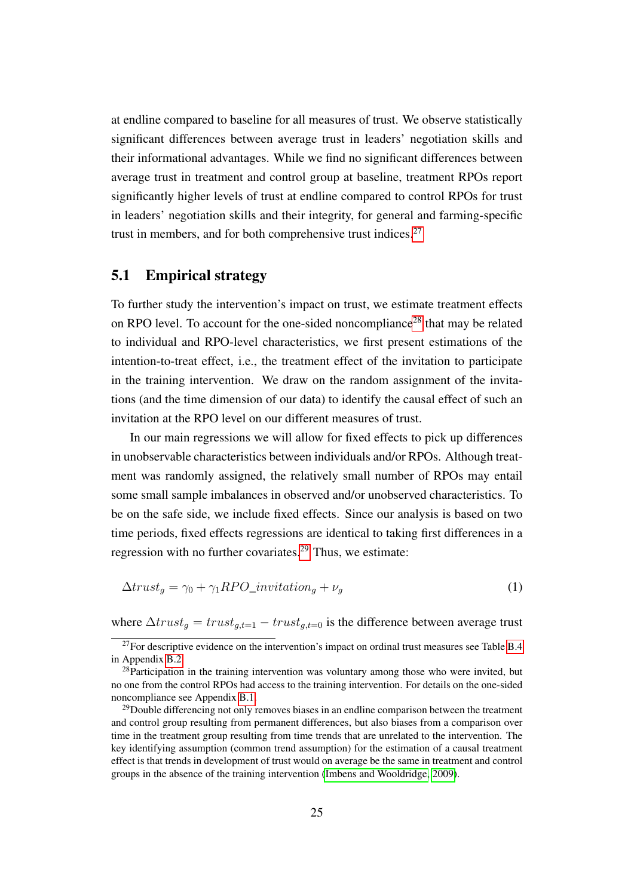at endline compared to baseline for all measures of trust. We observe statistically significant differences between average trust in leaders' negotiation skills and their informational advantages. While we find no significant differences between average trust in treatment and control group at baseline, treatment RPOs report significantly higher levels of trust at endline compared to control RPOs for trust in leaders' negotiation skills and their integrity, for general and farming-specific trust in members, and for both comprehensive trust indices.[27](#page--1-0)

#### 5.1 Empirical strategy

To further study the intervention's impact on trust, we estimate treatment effects on RPO level. To account for the one-sided noncompliance<sup>[28](#page--1-0)</sup> that may be related to individual and RPO-level characteristics, we first present estimations of the intention-to-treat effect, i.e., the treatment effect of the invitation to participate in the training intervention. We draw on the random assignment of the invitations (and the time dimension of our data) to identify the causal effect of such an invitation at the RPO level on our different measures of trust.

In our main regressions we will allow for fixed effects to pick up differences in unobservable characteristics between individuals and/or RPOs. Although treatment was randomly assigned, the relatively small number of RPOs may entail some small sample imbalances in observed and/or unobserved characteristics. To be on the safe side, we include fixed effects. Since our analysis is based on two time periods, fixed effects regressions are identical to taking first differences in a regression with no further covariates.<sup>[29](#page--1-0)</sup> Thus, we estimate:

<span id="page-25-0"></span>
$$
\Delta trust_g = \gamma_0 + \gamma_1 RPO\_invitation_g + \nu_g \tag{1}
$$

where  $\Delta trust_q = trust_{q,t=1} - trust_{q,t=0}$  is the difference between average trust

 $27$ For descriptive evidence on the intervention's impact on ordinal trust measures see Table [B.4](#page-50-0) in Appendix [B.2.](#page-49-0)

<sup>&</sup>lt;sup>28</sup>Participation in the training intervention was voluntary among those who were invited, but no one from the control RPOs had access to the training intervention. For details on the one-sided noncompliance see Appendix [B.1.](#page-47-0)

 $29$ Double differencing not only removes biases in an endline comparison between the treatment and control group resulting from permanent differences, but also biases from a comparison over time in the treatment group resulting from time trends that are unrelated to the intervention. The key identifying assumption (common trend assumption) for the estimation of a causal treatment effect is that trends in development of trust would on average be the same in treatment and control groups in the absence of the training intervention [\(Imbens and Wooldridge, 2009\)](#page-40-10).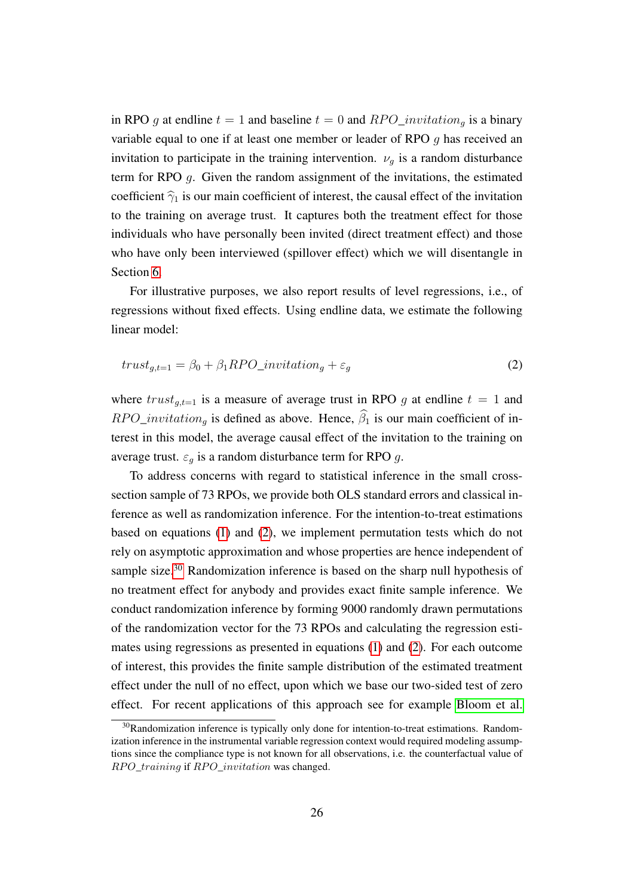in RPO g at endline  $t = 1$  and baseline  $t = 0$  and  $RPO\_invitation_{q}$  is a binary variable equal to one if at least one member or leader of RPO g has received an invitation to participate in the training intervention.  $\nu_a$  is a random disturbance term for RPO g. Given the random assignment of the invitations, the estimated coefficient  $\hat{\gamma}_1$  is our main coefficient of interest, the causal effect of the invitation to the training on average trust. It captures both the treatment effect for those individuals who have personally been invited (direct treatment effect) and those who have only been interviewed (spillover effect) which we will disentangle in Section [6.](#page-30-0)

For illustrative purposes, we also report results of level regressions, i.e., of regressions without fixed effects. Using endline data, we estimate the following linear model:

<span id="page-26-0"></span>
$$
trust_{g,t=1} = \beta_0 + \beta_1 RPO\_invitation_g + \varepsilon_g \tag{2}
$$

where  $trust_{g,t=1}$  is a measure of average trust in RPO g at endline  $t = 1$  and  $RPO\_invitation_{q}$  is defined as above. Hence,  $\hat{\beta}_1$  is our main coefficient of interest in this model, the average causal effect of the invitation to the training on average trust.  $\varepsilon_q$  is a random disturbance term for RPO g.

To address concerns with regard to statistical inference in the small crosssection sample of 73 RPOs, we provide both OLS standard errors and classical inference as well as randomization inference. For the intention-to-treat estimations based on equations [\(1\)](#page-25-0) and [\(2\)](#page-26-0), we implement permutation tests which do not rely on asymptotic approximation and whose properties are hence independent of sample size.<sup>[30](#page--1-0)</sup> Randomization inference is based on the sharp null hypothesis of no treatment effect for anybody and provides exact finite sample inference. We conduct randomization inference by forming 9000 randomly drawn permutations of the randomization vector for the 73 RPOs and calculating the regression estimates using regressions as presented in equations [\(1\)](#page-25-0) and [\(2\)](#page-26-0). For each outcome of interest, this provides the finite sample distribution of the estimated treatment effect under the null of no effect, upon which we base our two-sided test of zero effect. For recent applications of this approach see for example [Bloom et al.](#page-39-11)

 $30$ Randomization inference is typically only done for intention-to-treat estimations. Randomization inference in the instrumental variable regression context would required modeling assumptions since the compliance type is not known for all observations, i.e. the counterfactual value of RPO\_training if RPO\_invitation was changed.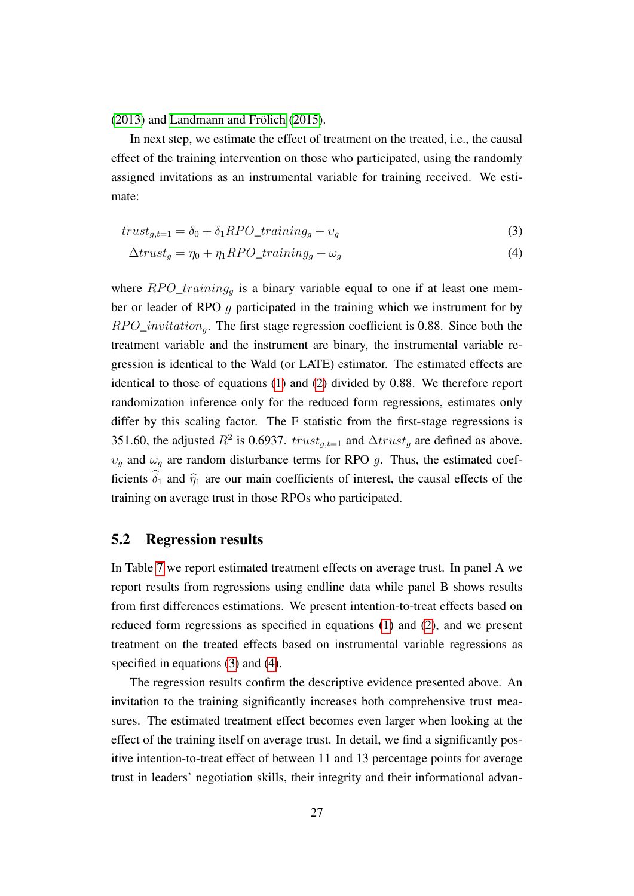[\(2013\)](#page-39-11) and [Landmann and Frölich](#page-40-11) [\(2015\)](#page-40-11).

In next step, we estimate the effect of treatment on the treated, i.e., the causal effect of the training intervention on those who participated, using the randomly assigned invitations as an instrumental variable for training received. We estimate:

$$
trust_{g,t=1} = \delta_0 + \delta_1 RPO\_training_g + v_g \tag{3}
$$

<span id="page-27-1"></span><span id="page-27-0"></span>
$$
\Delta trust_g = \eta_0 + \eta_1 RPO\_training_g + \omega_g \tag{4}
$$

where  $RPO\_training_g$  is a binary variable equal to one if at least one member or leader of RPO g participated in the training which we instrument for by  $RPO\_invitation_{q}$ . The first stage regression coefficient is 0.88. Since both the treatment variable and the instrument are binary, the instrumental variable regression is identical to the Wald (or LATE) estimator. The estimated effects are identical to those of equations [\(1\)](#page-25-0) and [\(2\)](#page-26-0) divided by 0.88. We therefore report randomization inference only for the reduced form regressions, estimates only differ by this scaling factor. The F statistic from the first-stage regressions is 351.60, the adjusted  $R^2$  is 0.6937.  $trust_{g,t=1}$  and  $\Delta trust_g$  are defined as above.  $v_g$  and  $\omega_g$  are random disturbance terms for RPO g. Thus, the estimated coefficients  $\hat{\delta}_1$  and  $\hat{\eta}_1$  are our main coefficients of interest, the causal effects of the training on average trust in those RPOs who participated.

#### 5.2 Regression results

In Table [7](#page-29-0) we report estimated treatment effects on average trust. In panel A we report results from regressions using endline data while panel B shows results from first differences estimations. We present intention-to-treat effects based on reduced form regressions as specified in equations [\(1\)](#page-25-0) and [\(2\)](#page-26-0), and we present treatment on the treated effects based on instrumental variable regressions as specified in equations [\(3\)](#page-27-0) and [\(4\)](#page-27-1).

The regression results confirm the descriptive evidence presented above. An invitation to the training significantly increases both comprehensive trust measures. The estimated treatment effect becomes even larger when looking at the effect of the training itself on average trust. In detail, we find a significantly positive intention-to-treat effect of between 11 and 13 percentage points for average trust in leaders' negotiation skills, their integrity and their informational advan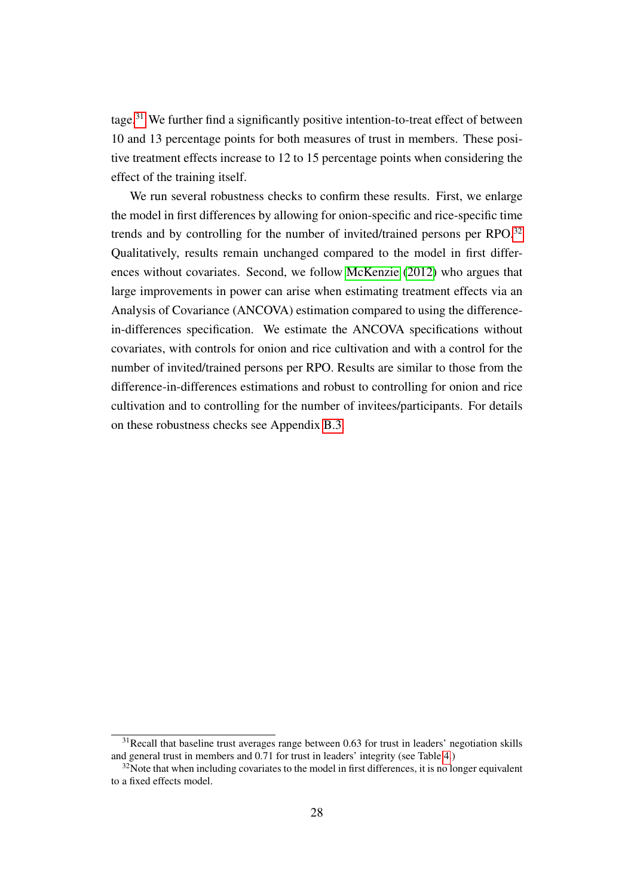tage.<sup>[31](#page--1-0)</sup> We further find a significantly positive intention-to-treat effect of between 10 and 13 percentage points for both measures of trust in members. These positive treatment effects increase to 12 to 15 percentage points when considering the effect of the training itself.

We run several robustness checks to confirm these results. First, we enlarge the model in first differences by allowing for onion-specific and rice-specific time trends and by controlling for the number of invited/trained persons per RPO.<sup>[32](#page--1-0)</sup> Qualitatively, results remain unchanged compared to the model in first differences without covariates. Second, we follow [McKenzie](#page-41-12) [\(2012\)](#page-41-12) who argues that large improvements in power can arise when estimating treatment effects via an Analysis of Covariance (ANCOVA) estimation compared to using the differencein-differences specification. We estimate the ANCOVA specifications without covariates, with controls for onion and rice cultivation and with a control for the number of invited/trained persons per RPO. Results are similar to those from the difference-in-differences estimations and robust to controlling for onion and rice cultivation and to controlling for the number of invitees/participants. For details on these robustness checks see Appendix [B.3.](#page-51-0)

 $31$ Recall that baseline trust averages range between 0.63 for trust in leaders' negotiation skills and general trust in members and 0.71 for trust in leaders' integrity (see Table [4.](#page-17-0))

 $32$ Note that when including covariates to the model in first differences, it is no longer equivalent to a fixed effects model.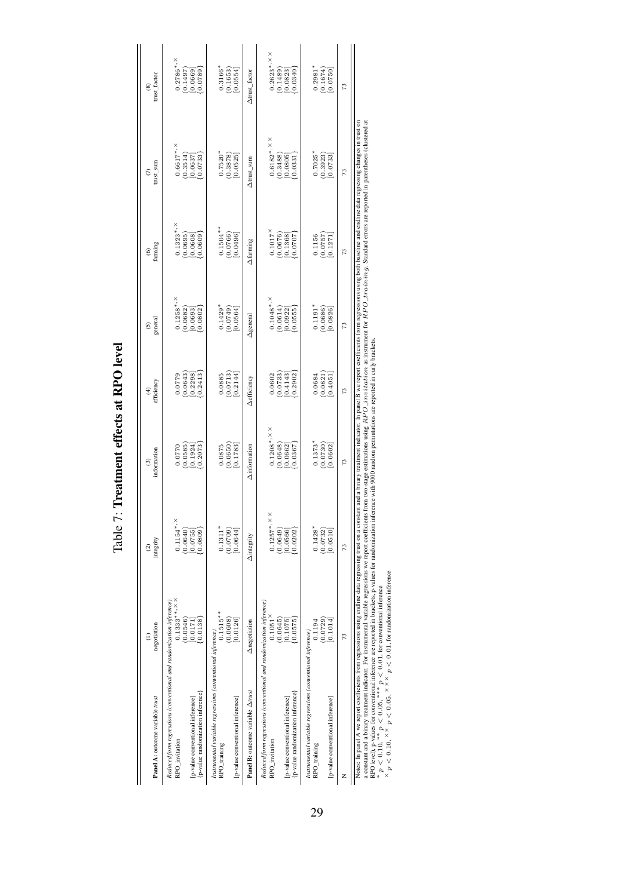| Panel A: outcome variable trust                                                                                                                                                                                                | negotiation                    | integrity<br>ତ୍ର                 | information<br>ල                                              | efficiency<br>¢                                                            | general<br>6                                                                                      | farming<br>⊛                                                                   | trust_sum<br>$\epsilon$            | trust_factor<br>3                                                                       |
|--------------------------------------------------------------------------------------------------------------------------------------------------------------------------------------------------------------------------------|--------------------------------|----------------------------------|---------------------------------------------------------------|----------------------------------------------------------------------------|---------------------------------------------------------------------------------------------------|--------------------------------------------------------------------------------|------------------------------------|-----------------------------------------------------------------------------------------|
| Reduced form regressions (conventional and randomization inference)<br>RPO_invitation                                                                                                                                          | $0.1333***$ , $X X$<br>0.0546) | $0.1154$ *, ×<br>(0.0640)        | $\begin{array}{c} 0.0770 \\ (0.0585) \\ [0.1924] \end{array}$ |                                                                            | $0.1258$ *, $\times$<br>(0.0682)<br>[0.0693]                                                      |                                                                                | $0.6617$ *, $\times$               |                                                                                         |
| p-value randomization inference<br>[p-value conventional inference]                                                                                                                                                            | [0.0138]<br>0.0171             | (60800)<br>[0.0755]              | [0.2073]                                                      | $\begin{array}{c} 0.0779 \\ (0.0643) \\ [0.2298] \\ [0.2413] \end{array}$  | [0.0802]                                                                                          |                                                                                | $(0.3514)$<br>$[0.0637]$<br>0.0733 | $\begin{array}{c} 0.2786^{\ast},\times\\ (0.1497)\\ [0.0669] \\ \{0.0789\} \end{array}$ |
| Instrumental variable regressions (conventional inference)<br>RPO_training                                                                                                                                                     | $0.1515***$<br>(0.0608)        | $0.1311*$<br>(0.0709)            | (0.0650)<br>0.0875                                            | $\begin{bmatrix} 0.0885 \\ 0.0713 \\ 0.2144 \end{bmatrix}$                 | $0.1429$ * $(0.0749)$                                                                             | $0.1504**$<br>(0.0766)<br>[0.0496]                                             | $0.7520*$<br>(0.3878)              | $0.3166*$<br>(0.1653)                                                                   |
| [p-value conventional inference]                                                                                                                                                                                               | [0.0126]                       | [0.0644]                         | [0.1783]                                                      |                                                                            | [0.0564]                                                                                          |                                                                                | [0.0525]                           | [0.0554]                                                                                |
| Panel B: outcome variable Arrust                                                                                                                                                                                               | Anegotiation                   | Aintegrity                       | Ainformation                                                  | $\Delta$ efficiency                                                        | $\Delta$ general                                                                                  | Afaming                                                                        | ∆trust_sum                         | ∆trust_factor                                                                           |
| Reduced form regressions (conventional and randomization inference)<br>RPO_invitation                                                                                                                                          | $0.1051$ <sup>×</sup>          | $0.1257$ *, $\times$ $\times$    | $0.1208$ *, $\times$ $\times$                                 |                                                                            |                                                                                                   |                                                                                | $0.6182^{*,\times\times}$          |                                                                                         |
| p-value randomization inference<br>[p-value conventional inference]                                                                                                                                                            | (0.0645)<br>0.0575<br>0.1075   | (0.0202)<br>(0.0649)<br>[0.0566] | $(0.0648)$<br>$[0.0662]$<br>7980.0                            | $\begin{smallmatrix} 0.0602\ (0.0733)\ 0.4143] \ 0.2902 \end{smallmatrix}$ | $\begin{array}{c} 0.1048^{\ast},\times\\ (0.0614)\\ [0.0922]\\ [0.0922]\\ \{0.0555\} \end{array}$ | $\begin{array}{c} 0.1017^\times \\ (0.0676) \\ (0.1368] \end{array}$<br>0.0707 | $(0.3488)$<br>$[0.0805]$<br>0.0331 | $0.2623$ *, $\times$<br>(0.1489)<br>[0.0823]<br>0.0340                                  |
| Instrumental variable regressions (conventional inference)<br>RPO_training                                                                                                                                                     | (0.0729)<br>0.1194             | $0.1428*$<br>(0.0732)            | $0.1373*$<br>(0.0730)                                         | $\begin{array}{c} 0.0684 \\ (0.0821) \\ [0.4051] \end{array}$              | $0.1191$ *<br>$(0.0686)$                                                                          | $\begin{array}{c} 0.1156 \\ (0.0757) \\ [0.1271] \end{array}$                  | $0.7025$ * $(0.3923)$              | $0.2981$ <sup>*</sup><br>(0.1674)                                                       |
| [p-value conventional inference]                                                                                                                                                                                               | 0.1014                         | [0.0510]                         | [0.0602]                                                      |                                                                            | 0.0826                                                                                            |                                                                                | 0.0733                             | 0.0750                                                                                  |
|                                                                                                                                                                                                                                | 73                             | 73                               | 73                                                            | 73                                                                         | 73                                                                                                | 73                                                                             | 13                                 | 73                                                                                      |
| Notes: In panel A we report coefficients from regressions using using data regressing trust on a constant and a binary treatment indicator. In panel B we report coefficients from regressions using both baseline data regres |                                |                                  |                                                               |                                                                            |                                                                                                   |                                                                                |                                    |                                                                                         |

<span id="page-29-0"></span>Table 7: Treatment effects at RPO level Table 7: Treatment effects at RPO level a constant and a binary treatmential distance. For instrumental variable regressions we report coefficients from two-stage estimations using  $RPO\_invitation$  as instrument for  $RPO\_train$  as  $Sand$  and  $n_{\text{max}}$  constants are reported i RPO level), p-values for conventional inference are reported in brackets, p-values for randomization inference with 9000 random permutations are reported in curly brackets.

 $\times p$  < 0.10,  $\times \times p$  < 0.05,  $\times \times \times p$  < 0.01, for randomization inference

p < 0.10, ∗∗ p < 0.05, ∗∗∗ p < 0.01, for conventional inference

∗×

29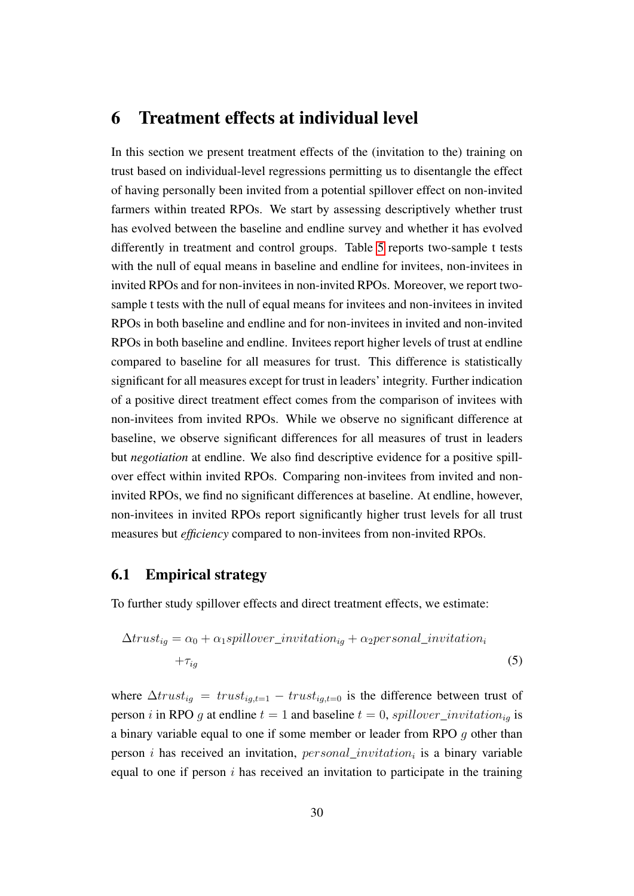### <span id="page-30-0"></span>6 Treatment effects at individual level

In this section we present treatment effects of the (invitation to the) training on trust based on individual-level regressions permitting us to disentangle the effect of having personally been invited from a potential spillover effect on non-invited farmers within treated RPOs. We start by assessing descriptively whether trust has evolved between the baseline and endline survey and whether it has evolved differently in treatment and control groups. Table [5](#page-19-0) reports two-sample t tests with the null of equal means in baseline and endline for invitees, non-invitees in invited RPOs and for non-invitees in non-invited RPOs. Moreover, we report twosample t tests with the null of equal means for invitees and non-invitees in invited RPOs in both baseline and endline and for non-invitees in invited and non-invited RPOs in both baseline and endline. Invitees report higher levels of trust at endline compared to baseline for all measures for trust. This difference is statistically significant for all measures except for trust in leaders' integrity. Further indication of a positive direct treatment effect comes from the comparison of invitees with non-invitees from invited RPOs. While we observe no significant difference at baseline, we observe significant differences for all measures of trust in leaders but *negotiation* at endline. We also find descriptive evidence for a positive spillover effect within invited RPOs. Comparing non-invitees from invited and noninvited RPOs, we find no significant differences at baseline. At endline, however, non-invitees in invited RPOs report significantly higher trust levels for all trust measures but *efficiency* compared to non-invitees from non-invited RPOs.

#### 6.1 Empirical strategy

To further study spillover effects and direct treatment effects, we estimate:

<span id="page-30-1"></span>
$$
\Delta trust_{ig} = \alpha_0 + \alpha_1 spillover\_invitation_{ig} + \alpha_2 personal\_invitation_i
$$

$$
+\tau_{ig}
$$
 (5)

where  $\Delta trust_{iq} = trust_{iq,t=1} - trust_{iq,t=0}$  is the difference between trust of person i in RPO g at endline  $t = 1$  and baseline  $t = 0$ , spillover\_invitation<sub>ig</sub> is a binary variable equal to one if some member or leader from RPO g other than person *i* has received an invitation,  $personal\_invitation_i$  is a binary variable equal to one if person  $i$  has received an invitation to participate in the training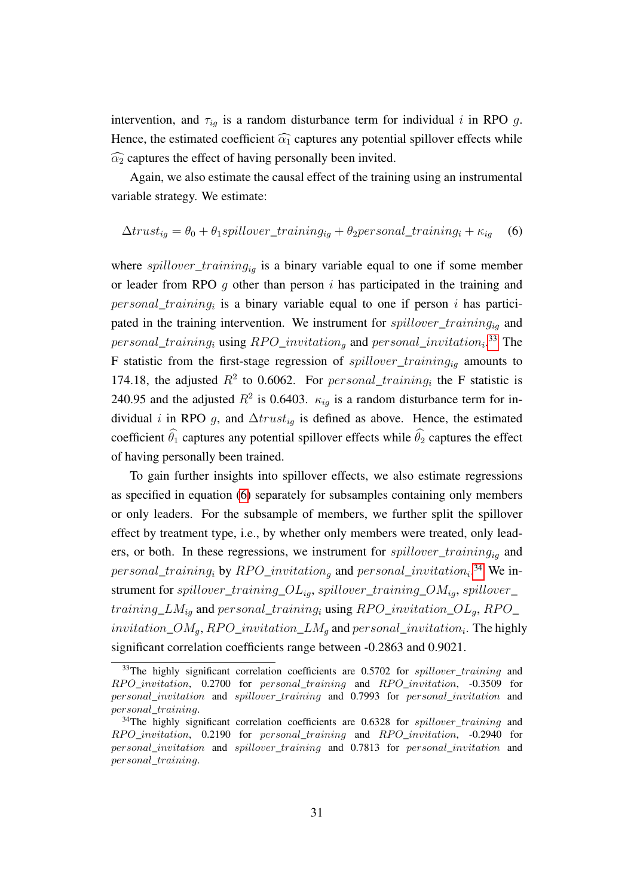intervention, and  $\tau_{iq}$  is a random disturbance term for individual i in RPO g. Hence, the estimated coefficient  $\widehat{\alpha_1}$  captures any potential spillover effects while  $\widehat{\alpha_2}$  captures the effect of having personally been invited.

Again, we also estimate the causal effect of the training using an instrumental variable strategy. We estimate:

#### <span id="page-31-0"></span> $\Delta trust_{iq} = \theta_0 + \theta_1 spillover\_training_{iq} + \theta_2 personal\_training_i + \kappa_{iq}$  (6)

where  $\text{spillover\_training}_{ig}$  is a binary variable equal to one if some member or leader from RPO  $q$  other than person  $i$  has participated in the training and  $personal\_training_i$  is a binary variable equal to one if person i has participated in the training intervention. We instrument for  $spillover\_training_{io}$  and  $personal\_training_i$  using  $RPO\_invitation_g$  and  $personal\_invitation_i$ .<sup>[33](#page--1-0)</sup> The F statistic from the first-stage regression of  $spillover\_training_{iq}$  amounts to 174.18, the adjusted  $R^2$  to 0.6062. For *personal\_training<sub>i</sub>* the F statistic is 240.95 and the adjusted  $R^2$  is 0.6403.  $\kappa_{ig}$  is a random disturbance term for individual *i* in RPO g, and  $\Delta trust_{iq}$  is defined as above. Hence, the estimated coefficient  $\hat{\theta}_1$  captures any potential spillover effects while  $\hat{\theta}_2$  captures the effect of having personally been trained.

To gain further insights into spillover effects, we also estimate regressions as specified in equation [\(6\)](#page-31-0) separately for subsamples containing only members or only leaders. For the subsample of members, we further split the spillover effect by treatment type, i.e., by whether only members were treated, only leaders, or both. In these regressions, we instrument for  $spillover\_training_{ia}$  and  $personal\_training_i$  by  $RPO\_invitation_g$  and  $personal\_invitation_i$ .<sup>[34](#page--1-0)</sup> We instrument for spillover\_training\_ $OL_{ia}$ , spillover\_training\_ $OM_{ia}$ , spillover\_ training\_LM<sub>ig</sub> and personal\_training<sub>i</sub> using RPO\_invitation\_OL<sub>g</sub>, RPO\_  $invitation\_OM_g$ , RPO\_invitation\_ $LM_g$  and  $personal\_invitation_i$ . The highly significant correlation coefficients range between -0.2863 and 0.9021.

 $33$ The highly significant correlation coefficients are 0.5702 for *spillover* training and  $RPO$  invitation, 0.2700 for personal training and RPO invitation,  $-0.3509$  for personal\_invitation and spillover\_training and 0.7993 for personal\_invitation and personal\_training.

 $34$ The highly significant correlation coefficients are 0.6328 for spillover\_training and  $RPO\_invitation$ , 0.2190 for personal\_training and  $RPO\_invitation$ , -0.2940 for personal\_invitation and spillover\_training and 0.7813 for personal\_invitation and personal\_training.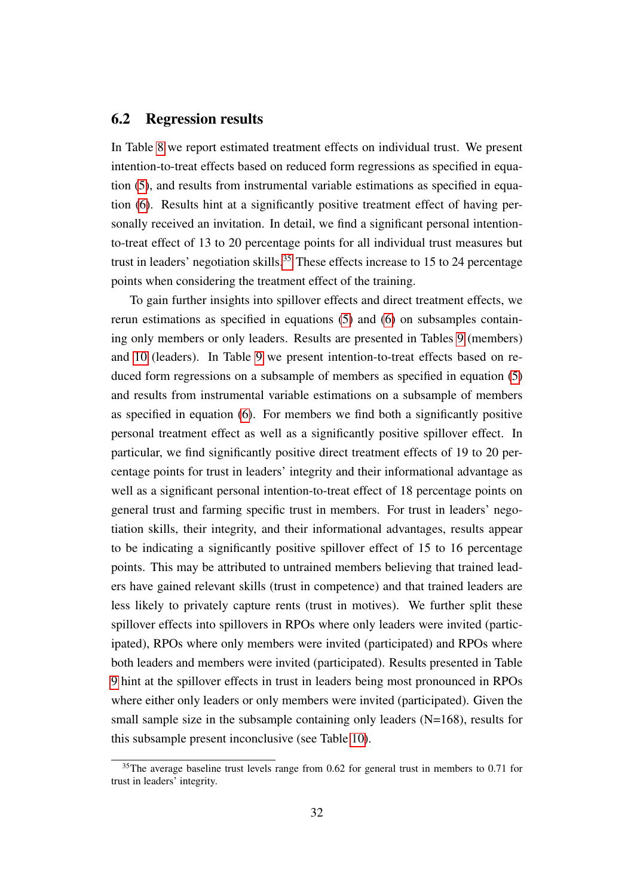#### 6.2 Regression results

In Table [8](#page-33-0) we report estimated treatment effects on individual trust. We present intention-to-treat effects based on reduced form regressions as specified in equation [\(5\)](#page-30-1), and results from instrumental variable estimations as specified in equation [\(6\)](#page-31-0). Results hint at a significantly positive treatment effect of having personally received an invitation. In detail, we find a significant personal intentionto-treat effect of 13 to 20 percentage points for all individual trust measures but trust in leaders' negotiation skills.<sup>[35](#page--1-0)</sup> These effects increase to 15 to 24 percentage points when considering the treatment effect of the training.

To gain further insights into spillover effects and direct treatment effects, we rerun estimations as specified in equations [\(5\)](#page-30-1) and [\(6\)](#page-31-0) on subsamples containing only members or only leaders. Results are presented in Tables [9](#page-34-0) (members) and [10](#page-35-0) (leaders). In Table [9](#page-34-0) we present intention-to-treat effects based on reduced form regressions on a subsample of members as specified in equation [\(5\)](#page-30-1) and results from instrumental variable estimations on a subsample of members as specified in equation [\(6\)](#page-31-0). For members we find both a significantly positive personal treatment effect as well as a significantly positive spillover effect. In particular, we find significantly positive direct treatment effects of 19 to 20 percentage points for trust in leaders' integrity and their informational advantage as well as a significant personal intention-to-treat effect of 18 percentage points on general trust and farming specific trust in members. For trust in leaders' negotiation skills, their integrity, and their informational advantages, results appear to be indicating a significantly positive spillover effect of 15 to 16 percentage points. This may be attributed to untrained members believing that trained leaders have gained relevant skills (trust in competence) and that trained leaders are less likely to privately capture rents (trust in motives). We further split these spillover effects into spillovers in RPOs where only leaders were invited (participated), RPOs where only members were invited (participated) and RPOs where both leaders and members were invited (participated). Results presented in Table [9](#page-34-0) hint at the spillover effects in trust in leaders being most pronounced in RPOs where either only leaders or only members were invited (participated). Given the small sample size in the subsample containing only leaders  $(N=168)$ , results for this subsample present inconclusive (see Table [10\)](#page-35-0).

 $35$ The average baseline trust levels range from 0.62 for general trust in members to 0.71 for trust in leaders' integrity.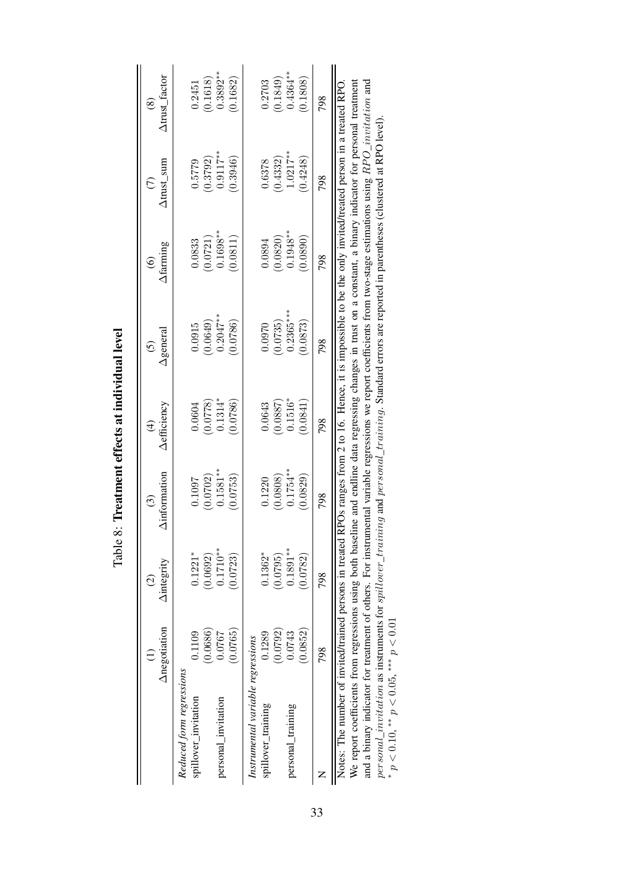|                                                              | Anegotiation                   | <b>Aintegrity</b><br>$\widehat{\mathcal{O}}$ | <b>Ainformation</b><br>$\odot$    | <b>Aefficiency</b><br>$\bigoplus$ | $\Delta$ general<br>$\odot$                                                                              | Afarming<br>$\odot$                 | $\Delta$ trust_sum<br>$\widehat{C}$ | Atrust_factor<br>$\circledS$       |
|--------------------------------------------------------------|--------------------------------|----------------------------------------------|-----------------------------------|-----------------------------------|----------------------------------------------------------------------------------------------------------|-------------------------------------|-------------------------------------|------------------------------------|
| Reduced form regressions<br>spillover_invitation             | 0.1109                         | $0.1221*$                                    | 0.1097                            | 0.0604                            | 0.0915                                                                                                   | 0.0833                              | 0.5779                              | 0.2451                             |
| personal_invitation                                          | (0.0686)<br>(0.0765)<br>0.0767 | $0.1710**$<br>(0.0692)<br>(0.0723)           | $0.1581***$<br>(0.0702)<br>0.0753 | $0.1314*$<br>(0.0778)<br>0.0786   | $(0.0649)$<br>0.2047**<br>0.0786                                                                         | $0.1698***$<br>(0.0721)<br>(0.0811) | $(0.3792)$<br>0.9117**<br>(0.3946)  | $(0.1618)$<br>$0.3892**$<br>0.1682 |
| Instrumental variable regressions<br>spillover_training      | 0.1289                         | $0.1362*$                                    | 0.1220                            | 0.0643                            | 0.0970                                                                                                   | 0.0894                              | 0.6378                              | 0.2703                             |
| personal_training                                            | (0.0792)<br>(0.0852)<br>0.0743 | $0.1891***$<br>(0.0795)<br>0.0782)           | $0.1754***$<br>(0.0808)<br>0.0829 | $0.1516*$<br>(0.0887)<br>(0.0841) | $0.2365***$<br>(0.0735)<br>0.0873                                                                        | $0.1948***$<br>(0.0820)<br>(0.0890) | $1.0217***$<br>(0.4332)<br>0.4248   | $0.4364***$<br>(0.1849)<br>0.1808  |
|                                                              | 798                            | 798                                          | 798                               | 798                               | 798                                                                                                      | 798                                 | 798                                 | 798                                |
| Notes: The number of invited/trained persons in treated<br>ć |                                |                                              |                                   |                                   | RPOs ranges from 2 to 16. Hence, it is impossible to be the only invited/treated person in a treated RPO |                                     |                                     |                                    |

<span id="page-33-0"></span>Table 8: Treatment effects at individual level Table 8: Treatment effects at individual level We report coefficients from regressions using both baseline and endline data regressing changes in trust on a constant, a binary indicator for personal treatment and a binary indicator for treatment of others. For instrumental variable regressions we report coefficients from two-stage estimations using  $RPO__{}$  invitation and We report coefficients from regressions using both baseline and endline data regressing changes in trust on a constant, a binary indicator for personal treatment and a binary indicator for treatment of others. For instrumental variable regressions we report coefficients from two-stage estimations using  $RPO\_invitation$  and personal\_invitation as instruments for spillover\_training and personal\_training. Standard errors are reported in parentheses (clustered at RPO level).<br>\*  $p < 0.10$ , \*\*  $p < 0.05$ , \*\*\*  $p < 0.01$ personal\_invitation as instruments for spillover\_training and personal\_training. Standard errors are reported in parentheses (clustered at RPO level).  $p < 0.10$ ,  $* p < 0.05$ ,  $*** p < 0.01$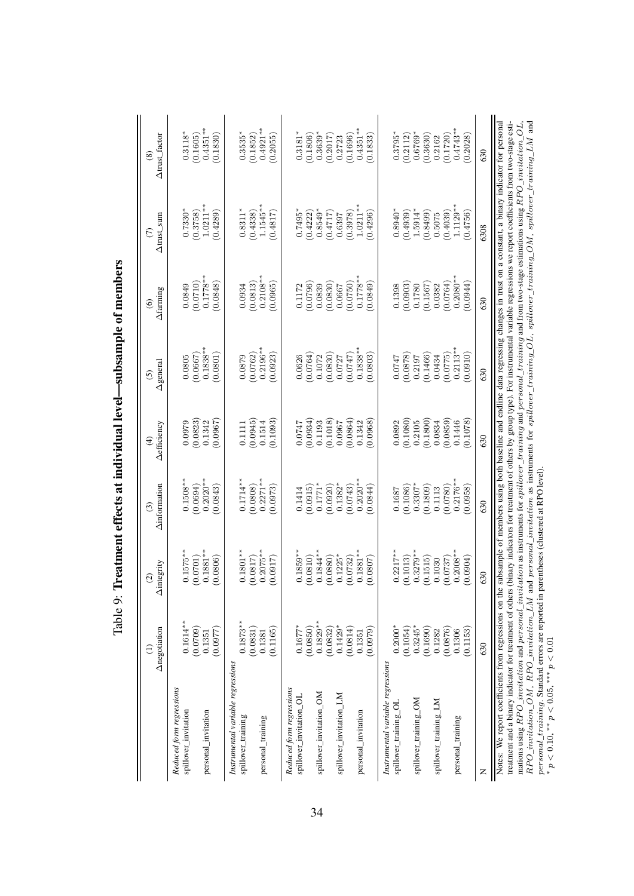<span id="page-34-0"></span>

| $0.2271**$<br>$0.2020**$<br>$0.2020**$<br>$0.1714**$<br>$0.1508**$<br>(0.0808)<br>$0.1382*$<br>$0.3307*$<br>(0.0694)<br>$0.1771*$<br>(0.1086)<br>(0.0973)<br>(0.0920)<br>(0.0743)<br>(0.1809)<br>(0.0843)<br>(0.0915)<br>0.0844)<br>0.1113<br>0.1414<br>0.1687<br>$0.1575***$<br>$0.1881**$<br>$0.1801**$<br>$0.1859***$<br>$0.1844**$<br>$0.1881**$<br>$0.2217***$<br>$0.2075**$<br>$0.3279***$<br>(0.0810)<br>(0.1013)<br>(0.0806)<br>(7180.0)<br>(0.0880)<br>$0.1225*$<br>(0.0732)<br>(0.1515)<br>(0.0701)<br>(2.0917)<br>0.0807<br>0.1030<br>$0.1829**$<br>$0.1614**$<br>$0.1873**$<br>$0.1429*$<br>$0.3245*$<br>$0.1677*$<br>(0.0850)<br>$0.2000*$<br>(0.1054)<br>(0.0709)<br>(0.0832)<br>(0.1690)<br>(0.0831)<br>(0.0814)<br>(6780, 0)<br>(0.1165)<br>(0.0977)<br>0.1282<br>0.1381<br>0.1351<br>0.1351<br>Instrumental variable regressions<br>Instrumental variable regressions<br>Reduced form regressions<br>Reduced form regressions<br>spillover_invitation_OM<br>spillover_invitation_LM<br>spillover_invitation_OL<br>spillover_training_OM<br>spillover_training_LM<br>spillover_training_OL<br>spillover_invitation<br>personal_invitation<br>personal_invitation<br>spillover_training<br>personal_training | (0.1093)<br>(0.0934)<br>(0.0823)<br>(0.0967)<br>(0.0945)<br>0.1342<br>0.1193<br>0.0979<br>0.1514<br>0.0747<br>0.1111 | $0.1838***$<br>(0.0762)<br>(0.0801)<br>(0.0667)<br>0.0805<br>0.0879 |            |             |             |
|-----------------------------------------------------------------------------------------------------------------------------------------------------------------------------------------------------------------------------------------------------------------------------------------------------------------------------------------------------------------------------------------------------------------------------------------------------------------------------------------------------------------------------------------------------------------------------------------------------------------------------------------------------------------------------------------------------------------------------------------------------------------------------------------------------------------------------------------------------------------------------------------------------------------------------------------------------------------------------------------------------------------------------------------------------------------------------------------------------------------------------------------------------------------------------------------------------------------------------|----------------------------------------------------------------------------------------------------------------------|---------------------------------------------------------------------|------------|-------------|-------------|
|                                                                                                                                                                                                                                                                                                                                                                                                                                                                                                                                                                                                                                                                                                                                                                                                                                                                                                                                                                                                                                                                                                                                                                                                                             |                                                                                                                      |                                                                     | 0.0849     | $0.7330*$   | $0.3118*$   |
|                                                                                                                                                                                                                                                                                                                                                                                                                                                                                                                                                                                                                                                                                                                                                                                                                                                                                                                                                                                                                                                                                                                                                                                                                             |                                                                                                                      |                                                                     | (0.0710)   | (0.3758)    | (0.1605)    |
|                                                                                                                                                                                                                                                                                                                                                                                                                                                                                                                                                                                                                                                                                                                                                                                                                                                                                                                                                                                                                                                                                                                                                                                                                             |                                                                                                                      |                                                                     | $0.1778**$ | $1.0211***$ | $0.4351***$ |
|                                                                                                                                                                                                                                                                                                                                                                                                                                                                                                                                                                                                                                                                                                                                                                                                                                                                                                                                                                                                                                                                                                                                                                                                                             |                                                                                                                      |                                                                     | (848)      | (0.4289)    | (0.1830)    |
|                                                                                                                                                                                                                                                                                                                                                                                                                                                                                                                                                                                                                                                                                                                                                                                                                                                                                                                                                                                                                                                                                                                                                                                                                             |                                                                                                                      |                                                                     |            |             |             |
|                                                                                                                                                                                                                                                                                                                                                                                                                                                                                                                                                                                                                                                                                                                                                                                                                                                                                                                                                                                                                                                                                                                                                                                                                             |                                                                                                                      |                                                                     | 0.0934     | $0.8311*$   | $0.3535*$   |
|                                                                                                                                                                                                                                                                                                                                                                                                                                                                                                                                                                                                                                                                                                                                                                                                                                                                                                                                                                                                                                                                                                                                                                                                                             |                                                                                                                      |                                                                     | (0.0813)   | (0.4338)    | (0.1852)    |
|                                                                                                                                                                                                                                                                                                                                                                                                                                                                                                                                                                                                                                                                                                                                                                                                                                                                                                                                                                                                                                                                                                                                                                                                                             |                                                                                                                      | $0.2196***$                                                         | $0.2108**$ | $1.1545**$  | $0.4921**$  |
|                                                                                                                                                                                                                                                                                                                                                                                                                                                                                                                                                                                                                                                                                                                                                                                                                                                                                                                                                                                                                                                                                                                                                                                                                             |                                                                                                                      | 0.0923)                                                             | (0.0965)   | (0.4817)    | (0.2055)    |
|                                                                                                                                                                                                                                                                                                                                                                                                                                                                                                                                                                                                                                                                                                                                                                                                                                                                                                                                                                                                                                                                                                                                                                                                                             |                                                                                                                      |                                                                     |            |             |             |
|                                                                                                                                                                                                                                                                                                                                                                                                                                                                                                                                                                                                                                                                                                                                                                                                                                                                                                                                                                                                                                                                                                                                                                                                                             |                                                                                                                      | 0.0626                                                              | 0.1172     | $0.7495*$   | $0.3181*$   |
|                                                                                                                                                                                                                                                                                                                                                                                                                                                                                                                                                                                                                                                                                                                                                                                                                                                                                                                                                                                                                                                                                                                                                                                                                             |                                                                                                                      | (0.0764)                                                            | (0.0796)   | (0.4222)    | (0.1806)    |
|                                                                                                                                                                                                                                                                                                                                                                                                                                                                                                                                                                                                                                                                                                                                                                                                                                                                                                                                                                                                                                                                                                                                                                                                                             |                                                                                                                      | 0.1072                                                              | 0.0839     | $0.8549*$   | $0.3639*$   |
|                                                                                                                                                                                                                                                                                                                                                                                                                                                                                                                                                                                                                                                                                                                                                                                                                                                                                                                                                                                                                                                                                                                                                                                                                             | (0.1018)                                                                                                             | (0.0830)                                                            | (0.0830)   | (0.4717)    | (0.2017)    |
|                                                                                                                                                                                                                                                                                                                                                                                                                                                                                                                                                                                                                                                                                                                                                                                                                                                                                                                                                                                                                                                                                                                                                                                                                             | 0.0967                                                                                                               | 0.0727                                                              | 0.0667     | 0.6397      | 0.2723      |
|                                                                                                                                                                                                                                                                                                                                                                                                                                                                                                                                                                                                                                                                                                                                                                                                                                                                                                                                                                                                                                                                                                                                                                                                                             | (0.0864)                                                                                                             | 747                                                                 | (0.0750)   | (0.3978)    | (0.1696)    |
|                                                                                                                                                                                                                                                                                                                                                                                                                                                                                                                                                                                                                                                                                                                                                                                                                                                                                                                                                                                                                                                                                                                                                                                                                             | 0.1342                                                                                                               | $0.1838***$                                                         | $0.1778**$ | $1.0211***$ | $0.4351***$ |
|                                                                                                                                                                                                                                                                                                                                                                                                                                                                                                                                                                                                                                                                                                                                                                                                                                                                                                                                                                                                                                                                                                                                                                                                                             | 0.0968                                                                                                               | 0.0803                                                              | 0.0849     | 0.4296      | (0.1833)    |
|                                                                                                                                                                                                                                                                                                                                                                                                                                                                                                                                                                                                                                                                                                                                                                                                                                                                                                                                                                                                                                                                                                                                                                                                                             |                                                                                                                      |                                                                     |            |             |             |
|                                                                                                                                                                                                                                                                                                                                                                                                                                                                                                                                                                                                                                                                                                                                                                                                                                                                                                                                                                                                                                                                                                                                                                                                                             | 0.0892                                                                                                               | 0.0747                                                              | 0.1398     | $0.8940*$   | $0.3795*$   |
|                                                                                                                                                                                                                                                                                                                                                                                                                                                                                                                                                                                                                                                                                                                                                                                                                                                                                                                                                                                                                                                                                                                                                                                                                             | (0.1080)                                                                                                             | (0.0878)                                                            | (0.0903)   | (0.4939)    | (0.2112)    |
|                                                                                                                                                                                                                                                                                                                                                                                                                                                                                                                                                                                                                                                                                                                                                                                                                                                                                                                                                                                                                                                                                                                                                                                                                             | 0.2105                                                                                                               | 0.2197                                                              | 0.1780     | 1.5914*     | $0.6769*$   |
|                                                                                                                                                                                                                                                                                                                                                                                                                                                                                                                                                                                                                                                                                                                                                                                                                                                                                                                                                                                                                                                                                                                                                                                                                             | (0.1800)                                                                                                             | (0.1466)                                                            | (0.1567)   | (0.8499)    | (0.3630)    |
|                                                                                                                                                                                                                                                                                                                                                                                                                                                                                                                                                                                                                                                                                                                                                                                                                                                                                                                                                                                                                                                                                                                                                                                                                             | 0.0834                                                                                                               | 0.0434                                                              | 0.0382     | 0.5075      | 0.2162      |
| (0.0780)<br>(0.0737)<br>(0.0876)                                                                                                                                                                                                                                                                                                                                                                                                                                                                                                                                                                                                                                                                                                                                                                                                                                                                                                                                                                                                                                                                                                                                                                                            | (0.0859)                                                                                                             | (0.0775)                                                            | (0.0764)   | (0.4039)    | (0.1720)    |
| $0.2176**$<br>$0.2008**$<br>0.1306<br>personal_training                                                                                                                                                                                                                                                                                                                                                                                                                                                                                                                                                                                                                                                                                                                                                                                                                                                                                                                                                                                                                                                                                                                                                                     | 0.1446                                                                                                               | $0.2113**$                                                          | $0.2080**$ | $1.1129**$  | $0.4743**$  |
| (0.0958)<br>(1.0904)<br>(0.1153)                                                                                                                                                                                                                                                                                                                                                                                                                                                                                                                                                                                                                                                                                                                                                                                                                                                                                                                                                                                                                                                                                                                                                                                            | 0.1078                                                                                                               | (0.0910)                                                            | (0.0944)   | (0.4756)    | 0.2028)     |
| 630<br>630<br>630<br>z                                                                                                                                                                                                                                                                                                                                                                                                                                                                                                                                                                                                                                                                                                                                                                                                                                                                                                                                                                                                                                                                                                                                                                                                      | 630                                                                                                                  | 630                                                                 | 630        | 6308        | 630         |
|                                                                                                                                                                                                                                                                                                                                                                                                                                                                                                                                                                                                                                                                                                                                                                                                                                                                                                                                                                                                                                                                                                                                                                                                                             |                                                                                                                      |                                                                     |            |             |             |
| Notes: We report coefficients from regressions on the subsample of members using both baseline and endline data regressing changes in trust on a constant, a binary indicator for personal<br>treatment and a binary indicator for treatment of others (binary indicators for treatment of others by group type). For instrumental variable regressions we report coefficients from two-stage esti-<br>$RPO\_intation\_OM$ , $RPO\_intation\_LM$ and personal_invitation as instruments for spillover_training_OL, spillover_training_OM, spillover_training_LM and<br>mations using $RPO\_invitation$ and $personal\_invitation$ as instruments for spillover_training and $personal\_training$ and from two-stage estimations using $RPO\_invitation\_OL$ ,                                                                                                                                                                                                                                                                                                                                                                                                                                                               |                                                                                                                      |                                                                     |            |             |             |

 $p < 0.10$ , \*\*  $p < 0.05$ , \*\*\*  $p < 0.01$ 

Table 9: Treatment effects at individual level-subsample of members Table 9: Treatment effects at individual level—subsample of members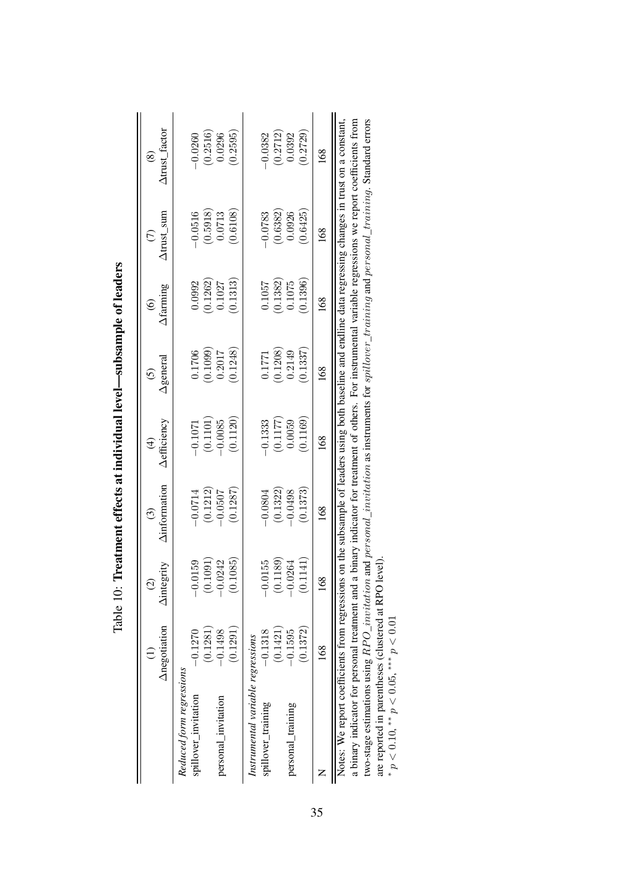|                                                                                                                                                            | Anegotiation | <b>Aintegrity</b><br>$\overline{G}$ | <b>Ainformation</b><br>$\odot$ | <b>Aefficiency</b><br>$\widehat{\mathcal{F}}$ | $\Delta$ genera<br>$\widetilde{c}$ | $\Delta$ farming<br>$\widehat{\odot}$ | $\Delta$ trust_sum<br>$\widehat{C}$ | $\Delta$ trust_factor<br>$\circledast$ |
|------------------------------------------------------------------------------------------------------------------------------------------------------------|--------------|-------------------------------------|--------------------------------|-----------------------------------------------|------------------------------------|---------------------------------------|-------------------------------------|----------------------------------------|
| Reduced form regressions<br>spillover_invitation                                                                                                           | $-0.1270$    | 0159                                | $-0.0714$                      | $-0.1071$                                     | 0.1706                             | 0.0992                                | 0.0516                              | 0.0260                                 |
|                                                                                                                                                            | (0.1281)     | (0.1091                             | (0.1212)                       | (0.1101)                                      | (0.1099)                           | (0.1262)                              | $(0.5918)$<br>$0.0713$              | (0.2516)                               |
| personal_invitation                                                                                                                                        | $-0.1498$    | .0242<br>.1085                      | (0.1287)<br>$-0.0507$          | (0.1120)<br>$-0.0085$                         | (0.1248)<br>0.2017                 | (0.1313)<br>0.1027                    | (0.6108)                            | 0.0296<br>0.2595                       |
|                                                                                                                                                            | (0.1291)     |                                     |                                |                                               |                                    |                                       |                                     |                                        |
| Instrumental variable regressions                                                                                                                          |              |                                     |                                |                                               |                                    |                                       |                                     |                                        |
| spillover_training                                                                                                                                         | $-0.1318$    | $-0.0155$                           | $-0.0804$                      | $-0.1333$                                     | 0.1771                             | 0.1057                                | 0.0783                              | 0.0382                                 |
|                                                                                                                                                            | (0.1421)     | (0.1189)                            | (0.1322)                       | (0.1177)                                      | (0.1208)                           | (0.1382)                              | (0.6382)                            | (0.2712)                               |
| personal_training                                                                                                                                          | $-0.1595$    | $-0.0264$                           | $-0.0498$                      | 0.0059                                        | 0.2149                             | 0.1075                                | 0.0926                              | 0.0392                                 |
|                                                                                                                                                            | (0.1372)     | 1141<br>S                           | (0.1373)                       | 0.1169                                        | 0.1337                             | 0.1396                                | 0.6425                              | 0.2729                                 |
|                                                                                                                                                            | 89           | 168                                 | $^{\rm 89}$                    | $^{\rm 89}$                                   | 89                                 | $^{\rm 89}$                           | 168                                 | 68                                     |
| Notes: We report coefficients from regressions on the subsample of leaders using both baseline and endline data regressing changes in trust on a constant, |              |                                     |                                |                                               |                                    |                                       |                                     |                                        |

<span id="page-35-0"></span>Table 10: Treatment effects at individual level-subsample of leaders Table 10: Treatment effects at individual level—subsample of leaders

a binary indicator for personal treatment and a binary indicator for treatment of others. For instrumental variable regressions we report coefficients from<br>two-stage estimations using  $RPO\_invitation$  and personal\_invitation as i a binary indicator for personal treatment and a binary indicator for treatment of others. For instrumental variable regressions we report coefficients from two-stage estimations using  $RPO\_invitation$  and personal\_invitation as instruments for spillover\_training and personal\_training. Standard errors are reported in parentheses (clustered at RPO level). are reported in parentheses (clustered at RPO level).  $\mathbf{||}$ 

\*  $p < 0.10$ , \*\*  $p < 0.05$ , \*\*\*  $p < 0.01$  $p < 0.10$ , \*\*  $p < 0.05$ , \*\*\*  $p < 0.01$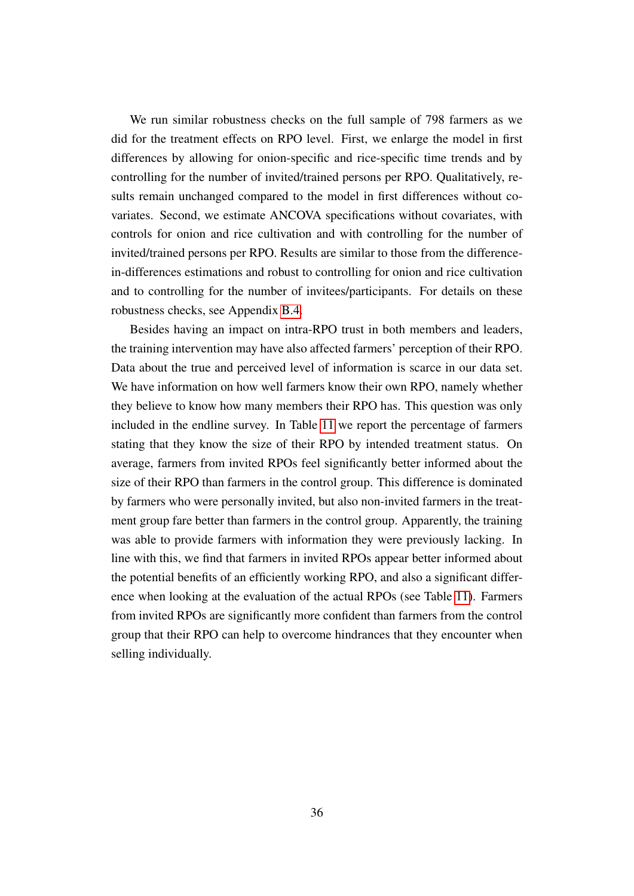We run similar robustness checks on the full sample of 798 farmers as we did for the treatment effects on RPO level. First, we enlarge the model in first differences by allowing for onion-specific and rice-specific time trends and by controlling for the number of invited/trained persons per RPO. Qualitatively, results remain unchanged compared to the model in first differences without covariates. Second, we estimate ANCOVA specifications without covariates, with controls for onion and rice cultivation and with controlling for the number of invited/trained persons per RPO. Results are similar to those from the differencein-differences estimations and robust to controlling for onion and rice cultivation and to controlling for the number of invitees/participants. For details on these robustness checks, see Appendix [B.4.](#page-58-0)

Besides having an impact on intra-RPO trust in both members and leaders, the training intervention may have also affected farmers' perception of their RPO. Data about the true and perceived level of information is scarce in our data set. We have information on how well farmers know their own RPO, namely whether they believe to know how many members their RPO has. This question was only included in the endline survey. In Table [11](#page-37-1) we report the percentage of farmers stating that they know the size of their RPO by intended treatment status. On average, farmers from invited RPOs feel significantly better informed about the size of their RPO than farmers in the control group. This difference is dominated by farmers who were personally invited, but also non-invited farmers in the treatment group fare better than farmers in the control group. Apparently, the training was able to provide farmers with information they were previously lacking. In line with this, we find that farmers in invited RPOs appear better informed about the potential benefits of an efficiently working RPO, and also a significant difference when looking at the evaluation of the actual RPOs (see Table [11\)](#page-37-1). Farmers from invited RPOs are significantly more confident than farmers from the control group that their RPO can help to overcome hindrances that they encounter when selling individually.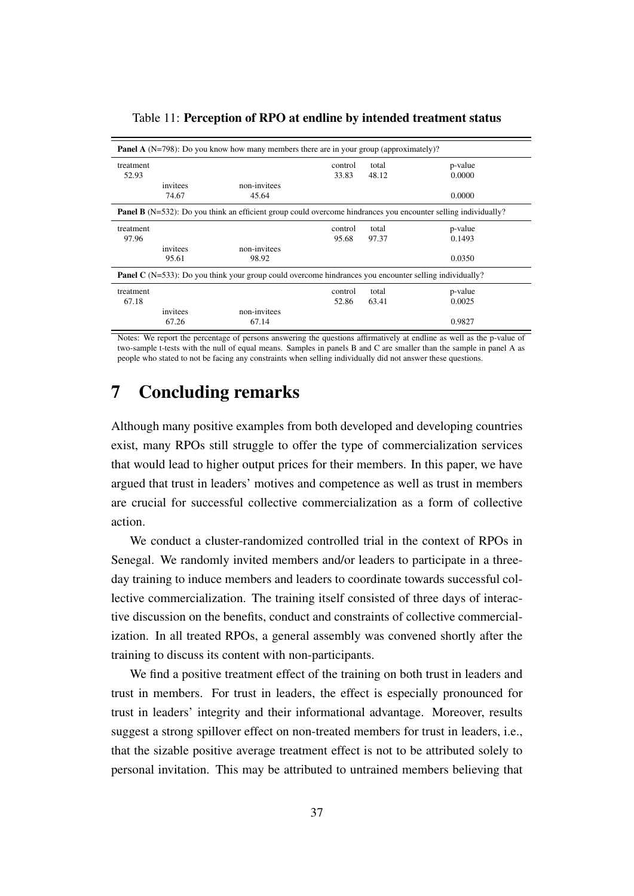|           |          | <b>Panel A</b> (N=798): Do you know how many members there are in your group (approximately)?                         |         |       |         |
|-----------|----------|-----------------------------------------------------------------------------------------------------------------------|---------|-------|---------|
| treatment |          |                                                                                                                       | control | total | p-value |
| 52.93     |          |                                                                                                                       | 33.83   | 48.12 | 0.0000  |
|           | invitees | non-invitees                                                                                                          |         |       |         |
|           | 74.67    | 45.64                                                                                                                 |         |       | 0.0000  |
|           |          | <b>Panel B</b> (N=532): Do you think an efficient group could overcome hindrances you encounter selling individually? |         |       |         |
| treatment |          |                                                                                                                       | control | total | p-value |
| 97.96     |          |                                                                                                                       | 95.68   | 97.37 | 0.1493  |
|           | invitees | non-invitees                                                                                                          |         |       |         |
|           | 95.61    | 98.92                                                                                                                 |         |       | 0.0350  |
|           |          | <b>Panel C</b> (N=533): Do you think your group could overcome hindrances you encounter selling individually?         |         |       |         |
| treatment |          |                                                                                                                       | control | total | p-value |
| 67.18     |          |                                                                                                                       | 52.86   | 63.41 | 0.0025  |
|           | invitees | non-invitees                                                                                                          |         |       |         |
|           | 67.26    | 67.14                                                                                                                 |         |       | 0.9827  |

<span id="page-37-1"></span>Table 11: Perception of RPO at endline by intended treatment status

Notes: We report the percentage of persons answering the questions affirmatively at endline as well as the p-value of two-sample t-tests with the null of equal means. Samples in panels B and C are smaller than the sample in panel A as people who stated to not be facing any constraints when selling individually did not answer these questions.

### <span id="page-37-0"></span>7 Concluding remarks

Although many positive examples from both developed and developing countries exist, many RPOs still struggle to offer the type of commercialization services that would lead to higher output prices for their members. In this paper, we have argued that trust in leaders' motives and competence as well as trust in members are crucial for successful collective commercialization as a form of collective action.

We conduct a cluster-randomized controlled trial in the context of RPOs in Senegal. We randomly invited members and/or leaders to participate in a threeday training to induce members and leaders to coordinate towards successful collective commercialization. The training itself consisted of three days of interactive discussion on the benefits, conduct and constraints of collective commercialization. In all treated RPOs, a general assembly was convened shortly after the training to discuss its content with non-participants.

We find a positive treatment effect of the training on both trust in leaders and trust in members. For trust in leaders, the effect is especially pronounced for trust in leaders' integrity and their informational advantage. Moreover, results suggest a strong spillover effect on non-treated members for trust in leaders, i.e., that the sizable positive average treatment effect is not to be attributed solely to personal invitation. This may be attributed to untrained members believing that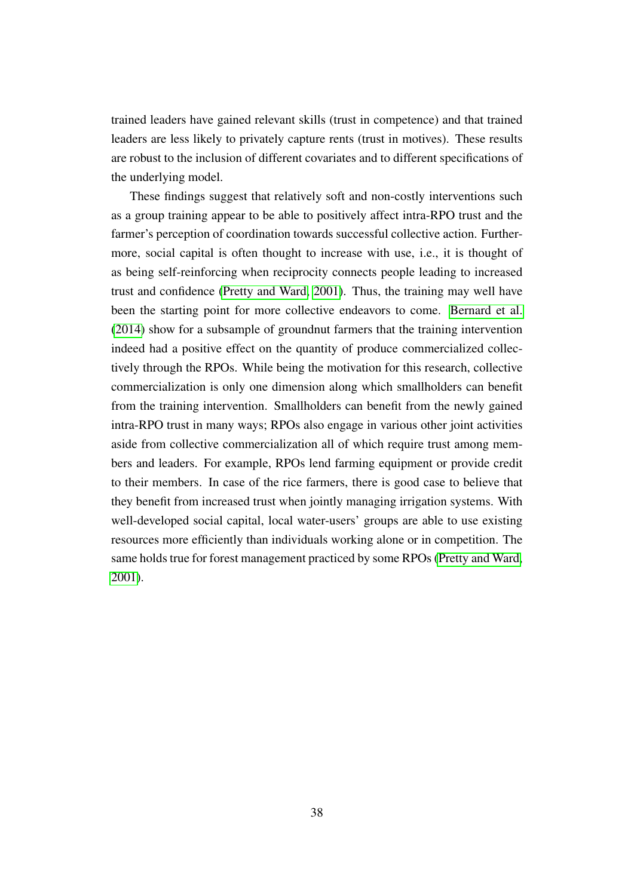trained leaders have gained relevant skills (trust in competence) and that trained leaders are less likely to privately capture rents (trust in motives). These results are robust to the inclusion of different covariates and to different specifications of the underlying model.

These findings suggest that relatively soft and non-costly interventions such as a group training appear to be able to positively affect intra-RPO trust and the farmer's perception of coordination towards successful collective action. Furthermore, social capital is often thought to increase with use, i.e., it is thought of as being self-reinforcing when reciprocity connects people leading to increased trust and confidence [\(Pretty and Ward, 2001\)](#page-41-6). Thus, the training may well have been the starting point for more collective endeavors to come. [Bernard et al.](#page-39-5) [\(2014\)](#page-39-5) show for a subsample of groundnut farmers that the training intervention indeed had a positive effect on the quantity of produce commercialized collectively through the RPOs. While being the motivation for this research, collective commercialization is only one dimension along which smallholders can benefit from the training intervention. Smallholders can benefit from the newly gained intra-RPO trust in many ways; RPOs also engage in various other joint activities aside from collective commercialization all of which require trust among members and leaders. For example, RPOs lend farming equipment or provide credit to their members. In case of the rice farmers, there is good case to believe that they benefit from increased trust when jointly managing irrigation systems. With well-developed social capital, local water-users' groups are able to use existing resources more efficiently than individuals working alone or in competition. The same holds true for forest management practiced by some RPOs [\(Pretty and Ward,](#page-41-6) [2001\)](#page-41-6).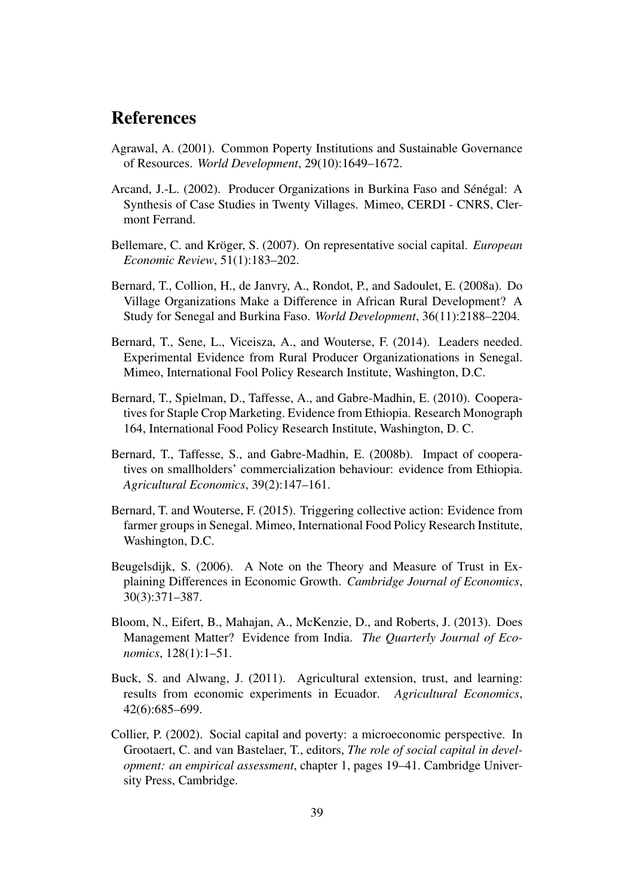## References

- <span id="page-39-7"></span>Agrawal, A. (2001). Common Poperty Institutions and Sustainable Governance of Resources. *World Development*, 29(10):1649–1672.
- <span id="page-39-8"></span>Arcand, J.-L. (2002). Producer Organizations in Burkina Faso and Sénégal: A Synthesis of Case Studies in Twenty Villages. Mimeo, CERDI - CNRS, Clermont Ferrand.
- <span id="page-39-10"></span>Bellemare, C. and Kröger, S. (2007). On representative social capital. *European Economic Review*, 51(1):183–202.
- <span id="page-39-0"></span>Bernard, T., Collion, H., de Janvry, A., Rondot, P., and Sadoulet, E. (2008a). Do Village Organizations Make a Difference in African Rural Development? A Study for Senegal and Burkina Faso. *World Development*, 36(11):2188–2204.
- <span id="page-39-5"></span>Bernard, T., Sene, L., Viceisza, A., and Wouterse, F. (2014). Leaders needed. Experimental Evidence from Rural Producer Organizationations in Senegal. Mimeo, International Fool Policy Research Institute, Washington, D.C.
- <span id="page-39-1"></span>Bernard, T., Spielman, D., Taffesse, A., and Gabre-Madhin, E. (2010). Cooperatives for Staple Crop Marketing. Evidence from Ethiopia. Research Monograph 164, International Food Policy Research Institute, Washington, D. C.
- <span id="page-39-3"></span>Bernard, T., Taffesse, S., and Gabre-Madhin, E. (2008b). Impact of cooperatives on smallholders' commercialization behaviour: evidence from Ethiopia. *Agricultural Economics*, 39(2):147–161.
- <span id="page-39-2"></span>Bernard, T. and Wouterse, F. (2015). Triggering collective action: Evidence from farmer groups in Senegal. Mimeo, International Food Policy Research Institute, Washington, D.C.
- <span id="page-39-9"></span>Beugelsdijk, S. (2006). A Note on the Theory and Measure of Trust in Explaining Differences in Economic Growth. *Cambridge Journal of Economics*, 30(3):371–387.
- <span id="page-39-11"></span>Bloom, N., Eifert, B., Mahajan, A., McKenzie, D., and Roberts, J. (2013). Does Management Matter? Evidence from India. *The Quarterly Journal of Economics*, 128(1):1–51.
- <span id="page-39-4"></span>Buck, S. and Alwang, J. (2011). Agricultural extension, trust, and learning: results from economic experiments in Ecuador. *Agricultural Economics*, 42(6):685–699.
- <span id="page-39-6"></span>Collier, P. (2002). Social capital and poverty: a microeconomic perspective. In Grootaert, C. and van Bastelaer, T., editors, *The role of social capital in development: an empirical assessment*, chapter 1, pages 19–41. Cambridge University Press, Cambridge.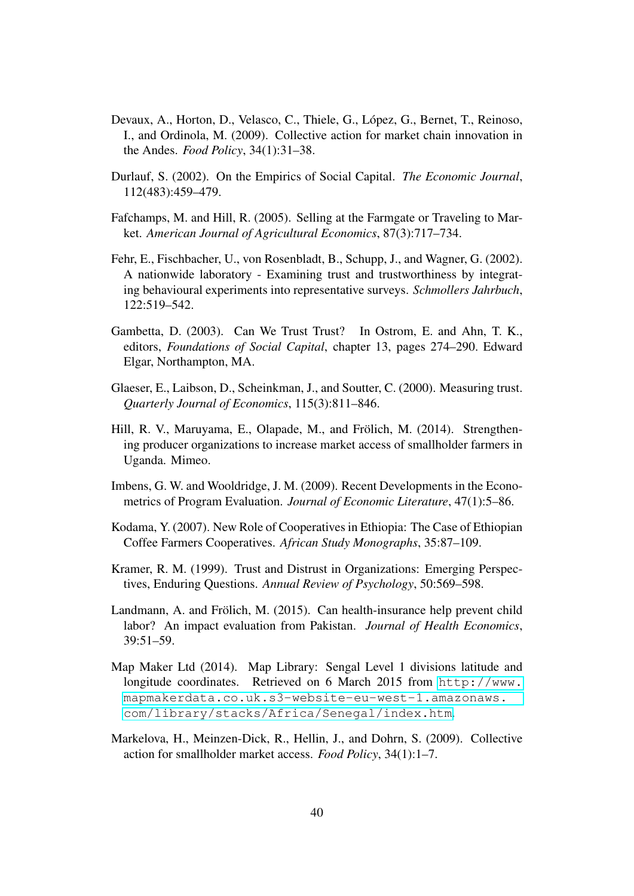- <span id="page-40-1"></span>Devaux, A., Horton, D., Velasco, C., Thiele, G., López, G., Bernet, T., Reinoso, I., and Ordinola, M. (2009). Collective action for market chain innovation in the Andes. *Food Policy*, 34(1):31–38.
- <span id="page-40-6"></span>Durlauf, S. (2002). On the Empirics of Social Capital. *The Economic Journal*, 112(483):459–479.
- <span id="page-40-3"></span>Fafchamps, M. and Hill, R. (2005). Selling at the Farmgate or Traveling to Market. *American Journal of Agricultural Economics*, 87(3):717–734.
- <span id="page-40-8"></span>Fehr, E., Fischbacher, U., von Rosenbladt, B., Schupp, J., and Wagner, G. (2002). A nationwide laboratory - Examining trust and trustworthiness by integrating behavioural experiments into representative surveys. *Schmollers Jahrbuch*, 122:519–542.
- <span id="page-40-5"></span>Gambetta, D. (2003). Can We Trust Trust? In Ostrom, E. and Ahn, T. K., editors, *Foundations of Social Capital*, chapter 13, pages 274–290. Edward Elgar, Northampton, MA.
- <span id="page-40-7"></span>Glaeser, E., Laibson, D., Scheinkman, J., and Soutter, C. (2000). Measuring trust. *Quarterly Journal of Economics*, 115(3):811–846.
- <span id="page-40-4"></span>Hill, R. V., Maruyama, E., Olapade, M., and Frölich, M. (2014). Strengthening producer organizations to increase market access of smallholder farmers in Uganda. Mimeo.
- <span id="page-40-10"></span>Imbens, G. W. and Wooldridge, J. M. (2009). Recent Developments in the Econometrics of Program Evaluation. *Journal of Economic Literature*, 47(1):5–86.
- <span id="page-40-2"></span>Kodama, Y. (2007). New Role of Cooperatives in Ethiopia: The Case of Ethiopian Coffee Farmers Cooperatives. *African Study Monographs*, 35:87–109.
- <span id="page-40-9"></span>Kramer, R. M. (1999). Trust and Distrust in Organizations: Emerging Perspectives, Enduring Questions. *Annual Review of Psychology*, 50:569–598.
- <span id="page-40-11"></span>Landmann, A. and Frölich, M. (2015). Can health-insurance help prevent child labor? An impact evaluation from Pakistan. *Journal of Health Economics*, 39:51–59.
- Map Maker Ltd (2014). Map Library: Sengal Level 1 divisions latitude and longitude coordinates. Retrieved on 6 March 2015 from [http://www.](http://www.mapmakerdata.co.uk.s3-website-eu-west-1.amazonaws.com/library/stacks/Africa/Senegal/index.htm) [mapmakerdata.co.uk.s3-website-eu-west-1.amazonaws.](http://www.mapmakerdata.co.uk.s3-website-eu-west-1.amazonaws.com/library/stacks/Africa/Senegal/index.htm) [com/library/stacks/Africa/Senegal/index.htm](http://www.mapmakerdata.co.uk.s3-website-eu-west-1.amazonaws.com/library/stacks/Africa/Senegal/index.htm).
- <span id="page-40-0"></span>Markelova, H., Meinzen-Dick, R., Hellin, J., and Dohrn, S. (2009). Collective action for smallholder market access. *Food Policy*, 34(1):1–7.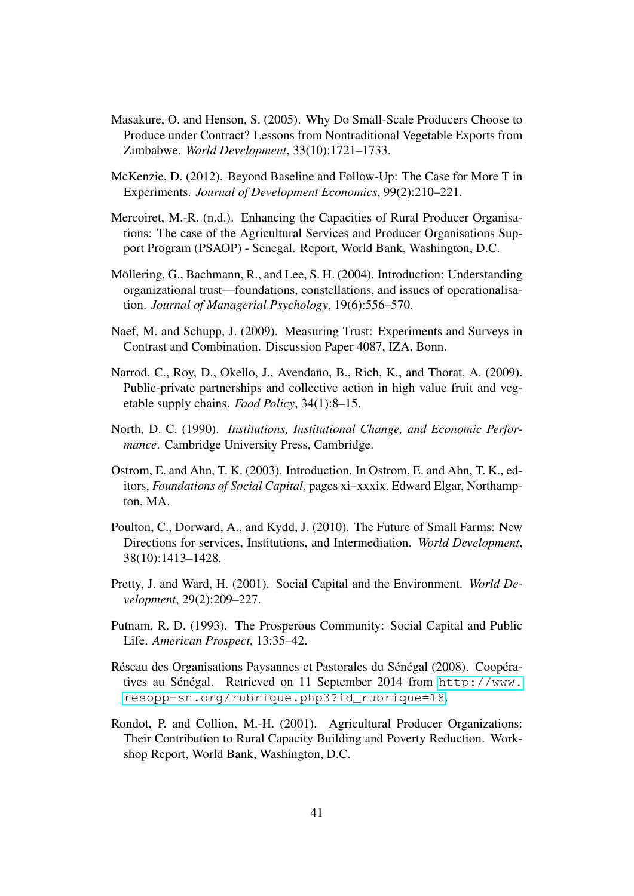- <span id="page-41-3"></span>Masakure, O. and Henson, S. (2005). Why Do Small-Scale Producers Choose to Produce under Contract? Lessons from Nontraditional Vegetable Exports from Zimbabwe. *World Development*, 33(10):1721–1733.
- <span id="page-41-12"></span>McKenzie, D. (2012). Beyond Baseline and Follow-Up: The Case for More T in Experiments. *Journal of Development Economics*, 99(2):210–221.
- <span id="page-41-8"></span>Mercoiret, M.-R. (n.d.). Enhancing the Capacities of Rural Producer Organisations: The case of the Agricultural Services and Producer Organisations Support Program (PSAOP) - Senegal. Report, World Bank, Washington, D.C.
- <span id="page-41-11"></span>Möllering, G., Bachmann, R., and Lee, S. H. (2004). Introduction: Understanding organizational trust—foundations, constellations, and issues of operationalisation. *Journal of Managerial Psychology*, 19(6):556–570.
- <span id="page-41-10"></span>Naef, M. and Schupp, J. (2009). Measuring Trust: Experiments and Surveys in Contrast and Combination. Discussion Paper 4087, IZA, Bonn.
- <span id="page-41-2"></span>Narrod, C., Roy, D., Okello, J., Avendaño, B., Rich, K., and Thorat, A. (2009). Public-private partnerships and collective action in high value fruit and vegetable supply chains. *Food Policy*, 34(1):8–15.
- <span id="page-41-7"></span>North, D. C. (1990). *Institutions, Institutional Change, and Economic Performance*. Cambridge University Press, Cambridge.
- <span id="page-41-4"></span>Ostrom, E. and Ahn, T. K. (2003). Introduction. In Ostrom, E. and Ahn, T. K., editors, *Foundations of Social Capital*, pages xi–xxxix. Edward Elgar, Northampton, MA.
- <span id="page-41-1"></span>Poulton, C., Dorward, A., and Kydd, J. (2010). The Future of Small Farms: New Directions for services, Institutions, and Intermediation. *World Development*, 38(10):1413–1428.
- <span id="page-41-6"></span>Pretty, J. and Ward, H. (2001). Social Capital and the Environment. *World Development*, 29(2):209–227.
- <span id="page-41-5"></span>Putnam, R. D. (1993). The Prosperous Community: Social Capital and Public Life. *American Prospect*, 13:35–42.
- <span id="page-41-9"></span>Réseau des Organisations Paysannes et Pastorales du Sénégal (2008). Coopératives au Sénégal. Retrieved on 11 September 2014 from [http://www.](http://www.resopp-sn.org/rubrique.php3?id_rubrique=18) [resopp-sn.org/rubrique.php3?id\\_rubrique=18](http://www.resopp-sn.org/rubrique.php3?id_rubrique=18).
- <span id="page-41-0"></span>Rondot, P. and Collion, M.-H. (2001). Agricultural Producer Organizations: Their Contribution to Rural Capacity Building and Poverty Reduction. Workshop Report, World Bank, Washington, D.C.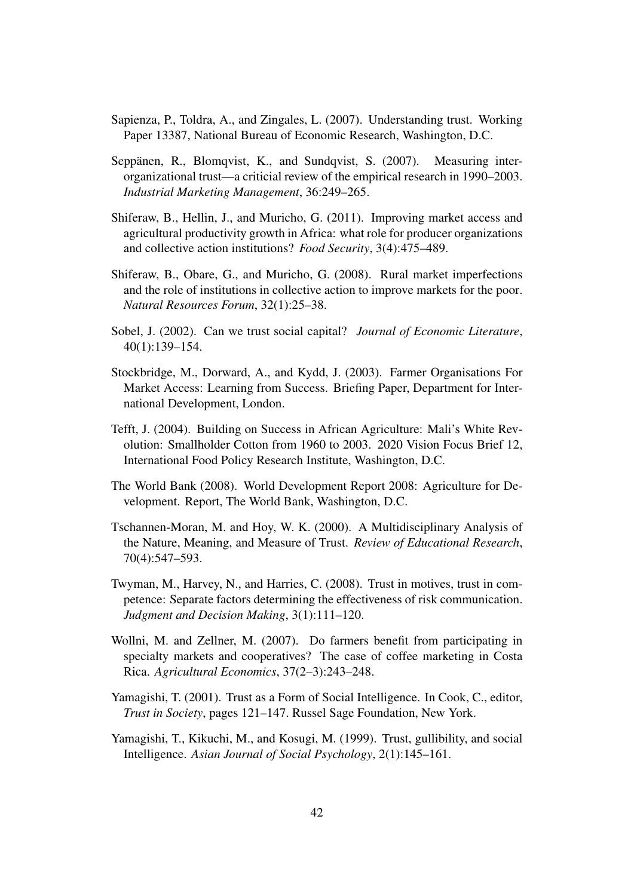- <span id="page-42-11"></span>Sapienza, P., Toldra, A., and Zingales, L. (2007). Understanding trust. Working Paper 13387, National Bureau of Economic Research, Washington, D.C.
- <span id="page-42-12"></span>Seppänen, R., Blomqvist, K., and Sundqvist, S. (2007). Measuring interorganizational trust—a criticial review of the empirical research in 1990–2003. *Industrial Marketing Management*, 36:249–265.
- <span id="page-42-3"></span>Shiferaw, B., Hellin, J., and Muricho, G. (2011). Improving market access and agricultural productivity growth in Africa: what role for producer organizations and collective action institutions? *Food Security*, 3(4):475–489.
- <span id="page-42-4"></span>Shiferaw, B., Obare, G., and Muricho, G. (2008). Rural market imperfections and the role of institutions in collective action to improve markets for the poor. *Natural Resources Forum*, 32(1):25–38.
- <span id="page-42-7"></span>Sobel, J. (2002). Can we trust social capital? *Journal of Economic Literature*, 40(1):139–154.
- <span id="page-42-1"></span>Stockbridge, M., Dorward, A., and Kydd, J. (2003). Farmer Organisations For Market Access: Learning from Success. Briefing Paper, Department for International Development, London.
- <span id="page-42-2"></span>Tefft, J. (2004). Building on Success in African Agriculture: Mali's White Revolution: Smallholder Cotton from 1960 to 2003. 2020 Vision Focus Brief 12, International Food Policy Research Institute, Washington, D.C.
- <span id="page-42-0"></span>The World Bank (2008). World Development Report 2008: Agriculture for Development. Report, The World Bank, Washington, D.C.
- <span id="page-42-9"></span>Tschannen-Moran, M. and Hoy, W. K. (2000). A Multidisciplinary Analysis of the Nature, Meaning, and Measure of Trust. *Review of Educational Research*, 70(4):547–593.
- <span id="page-42-6"></span>Twyman, M., Harvey, N., and Harries, C. (2008). Trust in motives, trust in competence: Separate factors determining the effectiveness of risk communication. *Judgment and Decision Making*, 3(1):111–120.
- <span id="page-42-5"></span>Wollni, M. and Zellner, M. (2007). Do farmers benefit from participating in specialty markets and cooperatives? The case of coffee marketing in Costa Rica. *Agricultural Economics*, 37(2–3):243–248.
- <span id="page-42-10"></span>Yamagishi, T. (2001). Trust as a Form of Social Intelligence. In Cook, C., editor, *Trust in Society*, pages 121–147. Russel Sage Foundation, New York.
- <span id="page-42-8"></span>Yamagishi, T., Kikuchi, M., and Kosugi, M. (1999). Trust, gullibility, and social Intelligence. *Asian Journal of Social Psychology*, 2(1):145–161.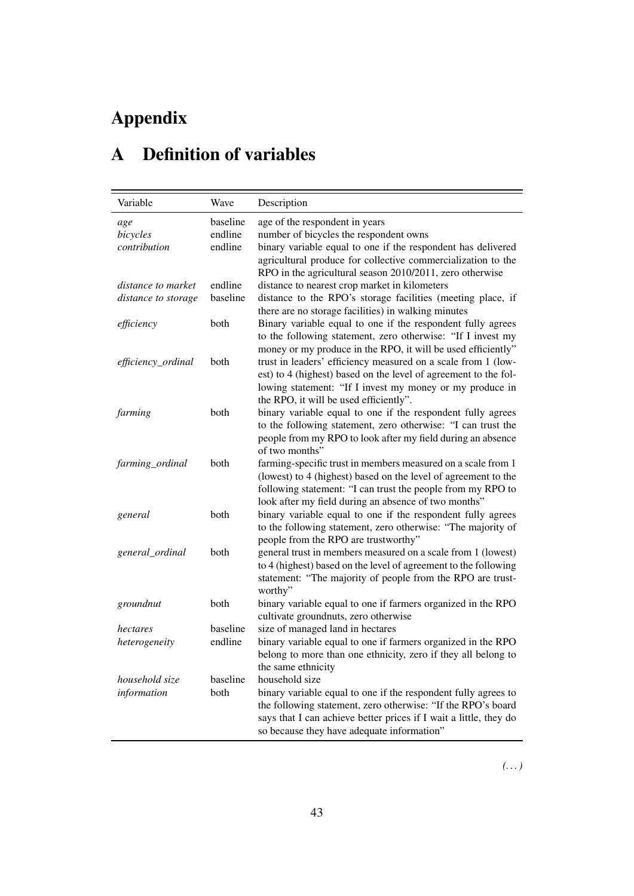# Appendix

# <span id="page-43-0"></span>A Definition of variables

| Variable                                  | Wave                | Description                                                                                                                                                                                                                                                         |
|-------------------------------------------|---------------------|---------------------------------------------------------------------------------------------------------------------------------------------------------------------------------------------------------------------------------------------------------------------|
| age                                       | baseline            | age of the respondent in years                                                                                                                                                                                                                                      |
| bicycles                                  | endline             | number of bicycles the respondent owns                                                                                                                                                                                                                              |
| contribution                              | endline             | binary variable equal to one if the respondent has delivered<br>agricultural produce for collective commercialization to the<br>RPO in the agricultural season 2010/2011, zero otherwise                                                                            |
| distance to market<br>distance to storage | endline<br>baseline | distance to nearest crop market in kilometers<br>distance to the RPO's storage facilities (meeting place, if<br>there are no storage facilities) in walking minutes                                                                                                 |
| efficiency                                | both                | Binary variable equal to one if the respondent fully agrees<br>to the following statement, zero otherwise: "If I invest my<br>money or my produce in the RPO, it will be used efficiently"                                                                          |
| efficiency_ordinal                        | both                | trust in leaders' efficiency measured on a scale from 1 (low-<br>est) to 4 (highest) based on the level of agreement to the fol-<br>lowing statement: "If I invest my money or my produce in<br>the RPO, it will be used efficiently".                              |
| farming                                   | both                | binary variable equal to one if the respondent fully agrees<br>to the following statement, zero otherwise: "I can trust the<br>people from my RPO to look after my field during an absence<br>of two months"                                                        |
| farming_ordinal                           | both                | farming-specific trust in members measured on a scale from 1<br>(lowest) to 4 (highest) based on the level of agreement to the<br>following statement: "I can trust the people from my RPO to<br>look after my field during an absence of two months"               |
| general                                   | both                | binary variable equal to one if the respondent fully agrees<br>to the following statement, zero otherwise: "The majority of<br>people from the RPO are trustworthy"                                                                                                 |
| general_ordinal                           | both                | general trust in members measured on a scale from 1 (lowest)<br>to 4 (highest) based on the level of agreement to the following<br>statement: "The majority of people from the RPO are trust-<br>worthy"                                                            |
| groundnut                                 | both                | binary variable equal to one if farmers organized in the RPO<br>cultivate groundnuts, zero otherwise                                                                                                                                                                |
| hectares                                  | baseline            | size of managed land in hectares                                                                                                                                                                                                                                    |
| heterogeneity                             | endline             | binary variable equal to one if farmers organized in the RPO<br>belong to more than one ethnicity, zero if they all belong to<br>the same ethnicity                                                                                                                 |
| household size<br>information             | baseline<br>both    | household size<br>binary variable equal to one if the respondent fully agrees to<br>the following statement, zero otherwise: "If the RPO's board<br>says that I can achieve better prices if I wait a little, they do<br>so because they have adequate information" |

*(. . . )*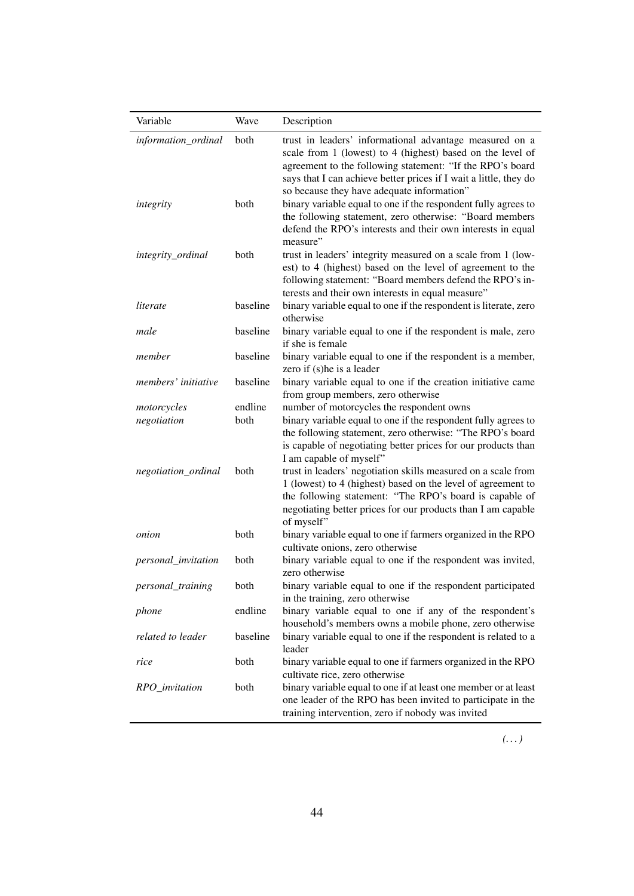| Variable            | Wave     | Description                                                                                                                                                                                                                                                                                           |
|---------------------|----------|-------------------------------------------------------------------------------------------------------------------------------------------------------------------------------------------------------------------------------------------------------------------------------------------------------|
| information_ordinal | both     | trust in leaders' informational advantage measured on a<br>scale from 1 (lowest) to 4 (highest) based on the level of<br>agreement to the following statement: "If the RPO's board<br>says that I can achieve better prices if I wait a little, they do<br>so because they have adequate information" |
| integrity           | both     | binary variable equal to one if the respondent fully agrees to<br>the following statement, zero otherwise: "Board members<br>defend the RPO's interests and their own interests in equal<br>measure"                                                                                                  |
| integrity_ordinal   | both     | trust in leaders' integrity measured on a scale from 1 (low-<br>est) to 4 (highest) based on the level of agreement to the<br>following statement: "Board members defend the RPO's in-<br>terests and their own interests in equal measure"                                                           |
| literate            | baseline | binary variable equal to one if the respondent is literate, zero<br>otherwise                                                                                                                                                                                                                         |
| male                | baseline | binary variable equal to one if the respondent is male, zero<br>if she is female                                                                                                                                                                                                                      |
| member              | baseline | binary variable equal to one if the respondent is a member,<br>zero if (s) he is a leader                                                                                                                                                                                                             |
| members' initiative | baseline | binary variable equal to one if the creation initiative came<br>from group members, zero otherwise                                                                                                                                                                                                    |
| motorcycles         | endline  | number of motorcycles the respondent owns                                                                                                                                                                                                                                                             |
| negotiation         | both     | binary variable equal to one if the respondent fully agrees to<br>the following statement, zero otherwise: "The RPO's board<br>is capable of negotiating better prices for our products than                                                                                                          |
| negotiation_ordinal | both     | I am capable of myself"<br>trust in leaders' negotiation skills measured on a scale from<br>1 (lowest) to 4 (highest) based on the level of agreement to<br>the following statement: "The RPO's board is capable of<br>negotiating better prices for our products than I am capable<br>of myself"     |
| onion               | both     | binary variable equal to one if farmers organized in the RPO<br>cultivate onions, zero otherwise                                                                                                                                                                                                      |
| personal_invitation | both     | binary variable equal to one if the respondent was invited,<br>zero otherwise                                                                                                                                                                                                                         |
| personal_training   | both     | binary variable equal to one if the respondent participated<br>in the training, zero otherwise                                                                                                                                                                                                        |
| phone               | endline  | binary variable equal to one if any of the respondent's<br>household's members owns a mobile phone, zero otherwise                                                                                                                                                                                    |
| related to leader   | baseline | binary variable equal to one if the respondent is related to a<br>leader                                                                                                                                                                                                                              |
| rice                | both     | binary variable equal to one if farmers organized in the RPO<br>cultivate rice, zero otherwise                                                                                                                                                                                                        |
| RPO_invitation      | both     | binary variable equal to one if at least one member or at least<br>one leader of the RPO has been invited to participate in the<br>training intervention, zero if nobody was invited                                                                                                                  |

*(. . . )*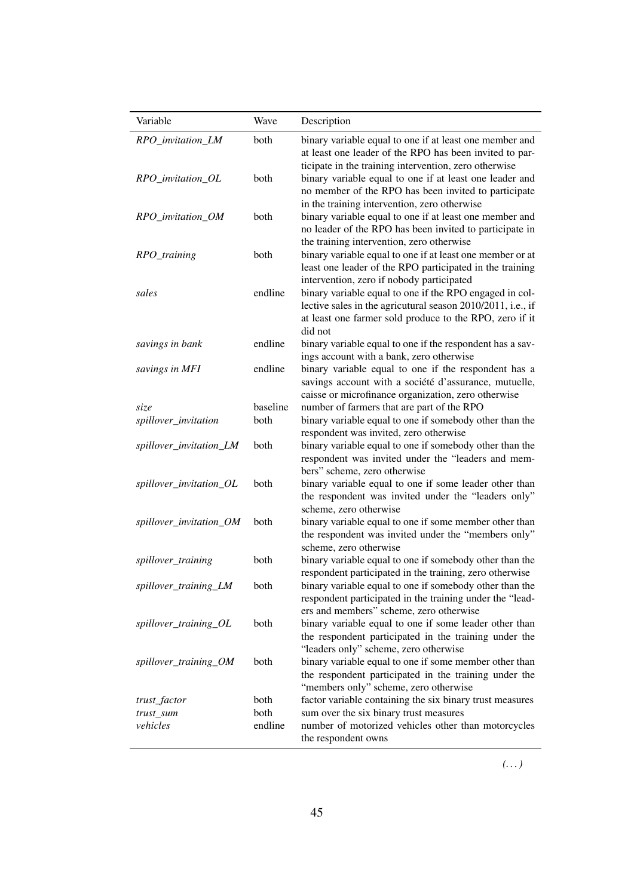| Variable                | Wave     | Description                                                                                                                                                                                                              |
|-------------------------|----------|--------------------------------------------------------------------------------------------------------------------------------------------------------------------------------------------------------------------------|
| RPO_invitation_LM       | both     | binary variable equal to one if at least one member and<br>at least one leader of the RPO has been invited to par-                                                                                                       |
| RPO_invitation_OL       | both     | ticipate in the training intervention, zero otherwise<br>binary variable equal to one if at least one leader and<br>no member of the RPO has been invited to participate<br>in the training intervention, zero otherwise |
| RPO_invitation_OM       | both     | binary variable equal to one if at least one member and<br>no leader of the RPO has been invited to participate in                                                                                                       |
| RPO_training            | both     | the training intervention, zero otherwise<br>binary variable equal to one if at least one member or at<br>least one leader of the RPO participated in the training<br>intervention, zero if nobody participated          |
| sales                   | endline  | binary variable equal to one if the RPO engaged in col-<br>lective sales in the agricutural season 2010/2011, i.e., if<br>at least one farmer sold produce to the RPO, zero if it<br>did not                             |
| savings in bank         | endline  | binary variable equal to one if the respondent has a sav-<br>ings account with a bank, zero otherwise                                                                                                                    |
| savings in MFI          | endline  | binary variable equal to one if the respondent has a<br>savings account with a société d'assurance, mutuelle,<br>caisse or microfinance organization, zero otherwise                                                     |
| size                    | baseline | number of farmers that are part of the RPO                                                                                                                                                                               |
| spillover_invitation    | both     | binary variable equal to one if somebody other than the                                                                                                                                                                  |
|                         |          | respondent was invited, zero otherwise                                                                                                                                                                                   |
| spillover_invitation_LM | both     | binary variable equal to one if somebody other than the<br>respondent was invited under the "leaders and mem-<br>bers" scheme, zero otherwise                                                                            |
| spillover_invitation_OL | both     | binary variable equal to one if some leader other than<br>the respondent was invited under the "leaders only"<br>scheme, zero otherwise                                                                                  |
| spillover_invitation_OM | both     | binary variable equal to one if some member other than<br>the respondent was invited under the "members only"<br>scheme, zero otherwise                                                                                  |
| spillover_training      | both     | binary variable equal to one if somebody other than the                                                                                                                                                                  |
| spillover_training_LM   | both     | respondent participated in the training, zero otherwise<br>binary variable equal to one if somebody other than the<br>respondent participated in the training under the "lead-                                           |
| spillover_training_OL   | both     | ers and members" scheme, zero otherwise<br>binary variable equal to one if some leader other than<br>the respondent participated in the training under the                                                               |
| spillover_training_OM   | both     | "leaders only" scheme, zero otherwise<br>binary variable equal to one if some member other than<br>the respondent participated in the training under the<br>"members only" scheme, zero otherwise                        |
| trust_factor            | both     | factor variable containing the six binary trust measures                                                                                                                                                                 |
| trust_sum               | both     | sum over the six binary trust measures                                                                                                                                                                                   |
| vehicles                | endline  | number of motorized vehicles other than motorcycles<br>the respondent owns                                                                                                                                               |

*(. . . )*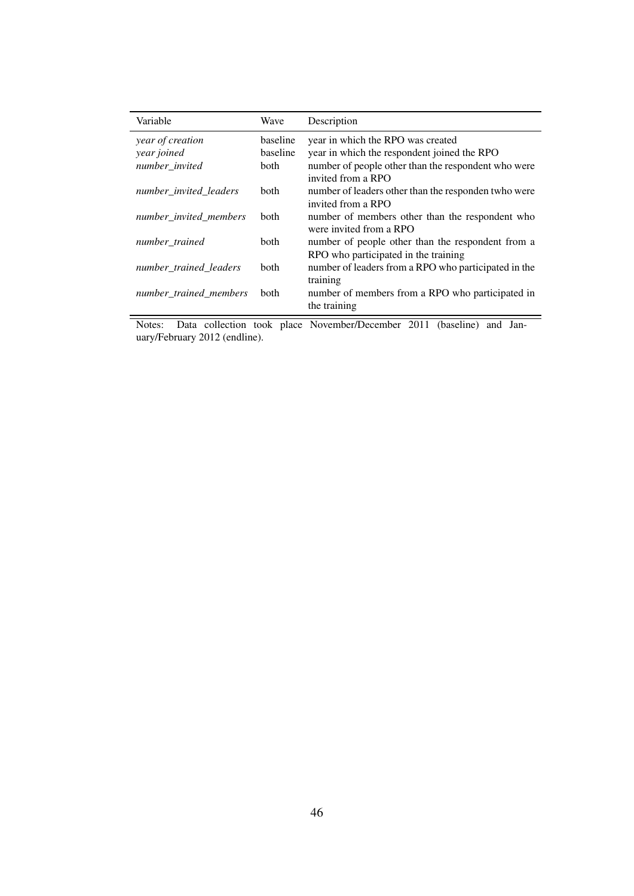| Variable               | Wave        | Description                                                                               |
|------------------------|-------------|-------------------------------------------------------------------------------------------|
| year of creation       | baseline    | year in which the RPO was created                                                         |
| year joined            | baseline    | year in which the respondent joined the RPO                                               |
| number_invited         | <b>both</b> | number of people other than the respondent who were<br>invited from a RPO                 |
| number invited leaders | <b>both</b> | number of leaders other than the responden twho were<br>invited from a RPO                |
| number invited members | <b>both</b> | number of members other than the respondent who<br>were invited from a RPO                |
| number trained         | <b>both</b> | number of people other than the respondent from a<br>RPO who participated in the training |
| number trained leaders | <b>both</b> | number of leaders from a RPO who participated in the<br>training                          |
| number trained members | <b>both</b> | number of members from a RPO who participated in<br>the training                          |

Notes: Data collection took place November/December 2011 (baseline) and January/February 2012 (endline).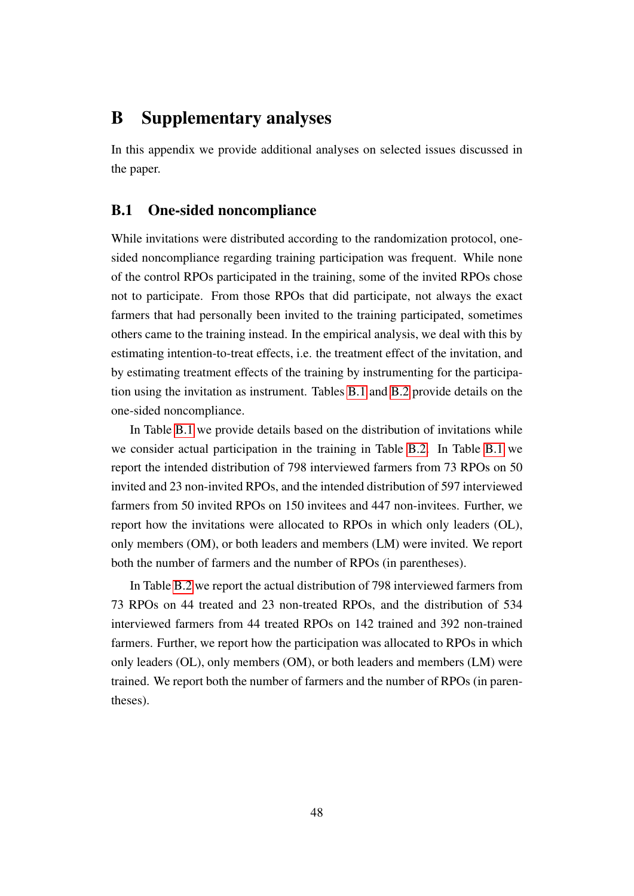### B Supplementary analyses

In this appendix we provide additional analyses on selected issues discussed in the paper.

#### <span id="page-47-0"></span>B.1 One-sided noncompliance

While invitations were distributed according to the randomization protocol, onesided noncompliance regarding training participation was frequent. While none of the control RPOs participated in the training, some of the invited RPOs chose not to participate. From those RPOs that did participate, not always the exact farmers that had personally been invited to the training participated, sometimes others came to the training instead. In the empirical analysis, we deal with this by estimating intention-to-treat effects, i.e. the treatment effect of the invitation, and by estimating treatment effects of the training by instrumenting for the participation using the invitation as instrument. Tables [B.1](#page-48-0) and [B.2](#page-48-1) provide details on the one-sided noncompliance.

In Table [B.1](#page-48-0) we provide details based on the distribution of invitations while we consider actual participation in the training in Table [B.2.](#page-48-1) In Table [B.1](#page-48-0) we report the intended distribution of 798 interviewed farmers from 73 RPOs on 50 invited and 23 non-invited RPOs, and the intended distribution of 597 interviewed farmers from 50 invited RPOs on 150 invitees and 447 non-invitees. Further, we report how the invitations were allocated to RPOs in which only leaders (OL), only members (OM), or both leaders and members (LM) were invited. We report both the number of farmers and the number of RPOs (in parentheses).

In Table [B.2](#page-48-1) we report the actual distribution of 798 interviewed farmers from 73 RPOs on 44 treated and 23 non-treated RPOs, and the distribution of 534 interviewed farmers from 44 treated RPOs on 142 trained and 392 non-trained farmers. Further, we report how the participation was allocated to RPOs in which only leaders (OL), only members (OM), or both leaders and members (LM) were trained. We report both the number of farmers and the number of RPOs (in parentheses).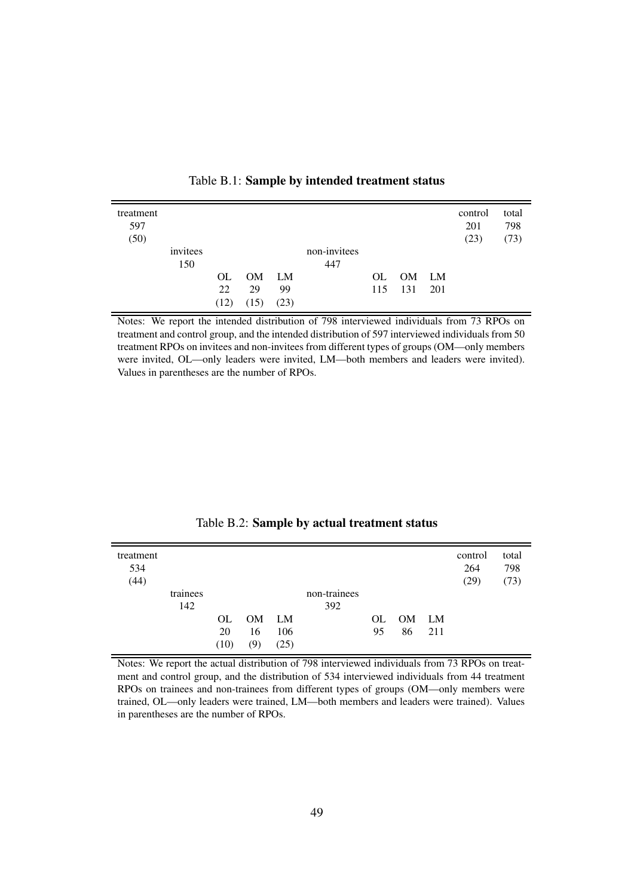<span id="page-48-0"></span>

| treatment<br>597 |          |      |       |      |              |     |           |     | control<br>201 | total<br>798 |
|------------------|----------|------|-------|------|--------------|-----|-----------|-----|----------------|--------------|
| (50)             |          |      |       |      |              |     |           |     | (23)           | (73)         |
|                  | invitees |      |       |      | non-invitees |     |           |     |                |              |
|                  | 150      |      |       |      | 447          |     |           |     |                |              |
|                  |          | OL.  | OM LM |      |              | OL. | <b>OM</b> | LM  |                |              |
|                  |          | 22   | 29    | 99   |              | 115 | 131       | 201 |                |              |
|                  |          | (12) | (15)  | (23) |              |     |           |     |                |              |

Table B.1: Sample by intended treatment status

Notes: We report the intended distribution of 798 interviewed individuals from 73 RPOs on treatment and control group, and the intended distribution of 597 interviewed individuals from 50 treatment RPOs on invitees and non-invitees from different types of groups (OM—only members were invited, OL—only leaders were invited, LM—both members and leaders were invited). Values in parentheses are the number of RPOs.

<span id="page-48-1"></span>

| treatment<br>534 |          |      |       |      |              |     |       |     | control<br>264 | total<br>798 |
|------------------|----------|------|-------|------|--------------|-----|-------|-----|----------------|--------------|
| (44)             |          |      |       |      |              |     |       |     | (29)           | (73)         |
|                  | trainees |      |       |      | non-trainees |     |       |     |                |              |
|                  | 142      |      |       |      | 392          |     |       |     |                |              |
|                  |          | OL.  | OM LM |      |              | OL. | OM LM |     |                |              |
|                  |          | 20   | 16    | 106  |              | 95  | 86    | 211 |                |              |
|                  |          | (10) | (9)   | (25) |              |     |       |     |                |              |

Table B.2: Sample by actual treatment status

Notes: We report the actual distribution of 798 interviewed individuals from 73 RPOs on treatment and control group, and the distribution of 534 interviewed individuals from 44 treatment RPOs on trainees and non-trainees from different types of groups (OM—only members were trained, OL—only leaders were trained, LM—both members and leaders were trained). Values in parentheses are the number of RPOs.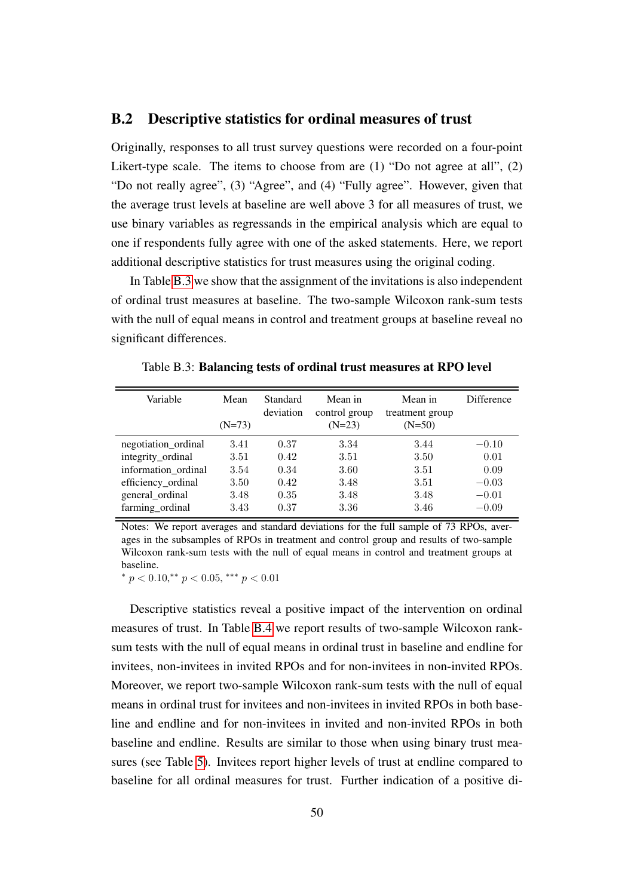#### <span id="page-49-0"></span>B.2 Descriptive statistics for ordinal measures of trust

Originally, responses to all trust survey questions were recorded on a four-point Likert-type scale. The items to choose from are (1) "Do not agree at all", (2) "Do not really agree", (3) "Agree", and (4) "Fully agree". However, given that the average trust levels at baseline are well above 3 for all measures of trust, we use binary variables as regressands in the empirical analysis which are equal to one if respondents fully agree with one of the asked statements. Here, we report additional descriptive statistics for trust measures using the original coding.

In Table [B.3](#page-49-1) we show that the assignment of the invitations is also independent of ordinal trust measures at baseline. The two-sample Wilcoxon rank-sum tests with the null of equal means in control and treatment groups at baseline reveal no significant differences.

| Variable            | Mean<br>$(N=73)$ | Standard<br>deviation | Mean in<br>control group<br>$(N=23)$ | Mean in<br>treatment group<br>$(N=50)$ | Difference |
|---------------------|------------------|-----------------------|--------------------------------------|----------------------------------------|------------|
| negotiation_ordinal | 3.41             | 0.37                  | 3.34                                 | 3.44                                   | $-0.10$    |
| integrity_ordinal   | 3.51             | 0.42                  | 3.51                                 | 3.50                                   | 0.01       |
| information_ordinal | 3.54             | 0.34                  | 3.60                                 | 3.51                                   | 0.09       |
| efficiency_ordinal  | 3.50             | 0.42                  | 3.48                                 | 3.51                                   | $-0.03$    |
| general_ordinal     | 3.48             | 0.35                  | 3.48                                 | 3.48                                   | $-0.01$    |
| farming_ordinal     | 3.43             | 0.37                  | 3.36                                 | 3.46                                   | $-0.09$    |

<span id="page-49-1"></span>Table B.3: Balancing tests of ordinal trust measures at RPO level

Notes: We report averages and standard deviations for the full sample of 73 RPOs, averages in the subsamples of RPOs in treatment and control group and results of two-sample Wilcoxon rank-sum tests with the null of equal means in control and treatment groups at baseline.

\*  $p < 0.10$ ,\*\*  $p < 0.05$ , \*\*\*  $p < 0.01$ 

Descriptive statistics reveal a positive impact of the intervention on ordinal measures of trust. In Table [B.4](#page-50-0) we report results of two-sample Wilcoxon ranksum tests with the null of equal means in ordinal trust in baseline and endline for invitees, non-invitees in invited RPOs and for non-invitees in non-invited RPOs. Moreover, we report two-sample Wilcoxon rank-sum tests with the null of equal means in ordinal trust for invitees and non-invitees in invited RPOs in both baseline and endline and for non-invitees in invited and non-invited RPOs in both baseline and endline. Results are similar to those when using binary trust measures (see Table [5\)](#page-19-0). Invitees report higher levels of trust at endline compared to baseline for all ordinal measures for trust. Further indication of a positive di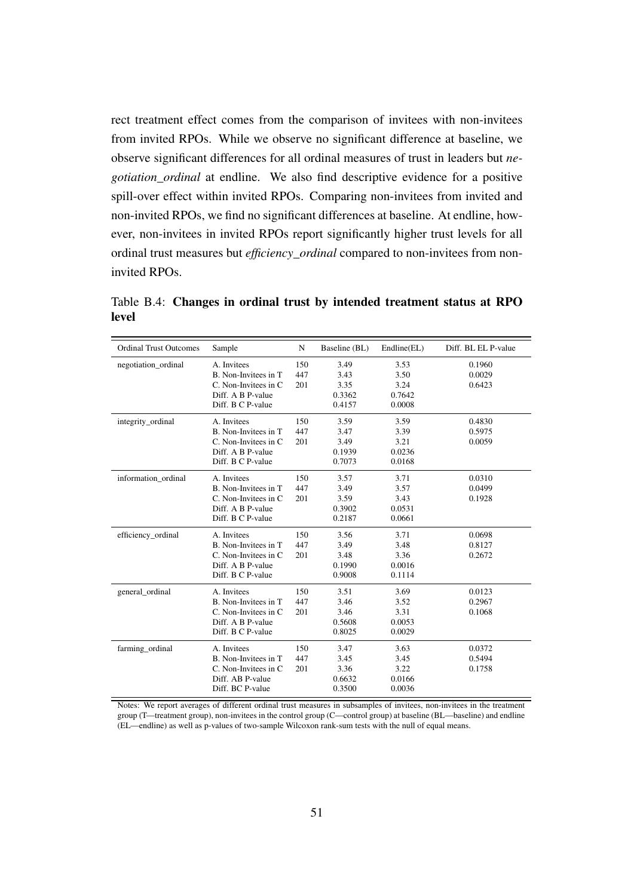rect treatment effect comes from the comparison of invitees with non-invitees from invited RPOs. While we observe no significant difference at baseline, we observe significant differences for all ordinal measures of trust in leaders but *negotiation\_ordinal* at endline. We also find descriptive evidence for a positive spill-over effect within invited RPOs. Comparing non-invitees from invited and non-invited RPOs, we find no significant differences at baseline. At endline, however, non-invitees in invited RPOs report significantly higher trust levels for all ordinal trust measures but *efficiency\_ordinal* compared to non-invitees from noninvited RPOs.

<span id="page-50-0"></span>Table B.4: Changes in ordinal trust by intended treatment status at RPO level

| <b>Ordinal Trust Outcomes</b> | Sample                | N   | Baseline (BL) | Endline(EL) | Diff. BL EL P-value |
|-------------------------------|-----------------------|-----|---------------|-------------|---------------------|
| negotiation_ordinal           | A. Invitees           | 150 | 3.49          | 3.53        | 0.1960              |
|                               | B. Non-Invitees in T  | 447 | 3.43          | 3.50        | 0.0029              |
|                               | C. Non-Invitees in C. | 201 | 3.35          | 3.24        | 0.6423              |
|                               | Diff. A B P-value     |     | 0.3362        | 0.7642      |                     |
|                               | Diff. B C P-value     |     | 0.4157        | 0.0008      |                     |
| integrity_ordinal             | A. Invitees           | 150 | 3.59          | 3.59        | 0.4830              |
|                               | B. Non-Invitees in T  | 447 | 3.47          | 3.39        | 0.5975              |
|                               | C. Non-Invitees in C. | 201 | 3.49          | 3.21        | 0.0059              |
|                               | Diff. A B P-value     |     | 0.1939        | 0.0236      |                     |
|                               | Diff. B C P-value     |     | 0.7073        | 0.0168      |                     |
| information ordinal           | A. Invitees           | 150 | 3.57          | 3.71        | 0.0310              |
|                               | B. Non-Invitees in T  | 447 | 3.49          | 3.57        | 0.0499              |
|                               | C. Non-Invitees in C. | 201 | 3.59          | 3.43        | 0.1928              |
|                               | Diff. A B P-value     |     | 0.3902        | 0.0531      |                     |
|                               | Diff. B C P-value     |     | 0.2187        | 0.0661      |                     |
| efficiency_ordinal            | A. Invitees           | 150 | 3.56          | 3.71        | 0.0698              |
|                               | B. Non-Invitees in T  | 447 | 3.49          | 3.48        | 0.8127              |
|                               | C. Non-Invitees in C. | 201 | 3.48          | 3.36        | 0.2672              |
|                               | Diff. A B P-value     |     | 0.1990        | 0.0016      |                     |
|                               | Diff. B C P-value     |     | 0.9008        | 0.1114      |                     |
| general_ordinal               | A. Invitees           | 150 | 3.51          | 3.69        | 0.0123              |
|                               | B. Non-Invitees in T  | 447 | 3.46          | 3.52        | 0.2967              |
|                               | C. Non-Invitees in C. | 201 | 3.46          | 3.31        | 0.1068              |
|                               | Diff. A B P-value     |     | 0.5608        | 0.0053      |                     |
|                               | Diff. B C P-value     |     | 0.8025        | 0.0029      |                     |
| farming_ordinal               | A. Invitees           | 150 | 3.47          | 3.63        | 0.0372              |
|                               | B. Non-Invitees in T  | 447 | 3.45          | 3.45        | 0.5494              |
|                               | C. Non-Invitees in C. | 201 | 3.36          | 3.22        | 0.1758              |
|                               | Diff. AB P-value      |     | 0.6632        | 0.0166      |                     |
|                               | Diff. BC P-value      |     | 0.3500        | 0.0036      |                     |

Notes: We report averages of different ordinal trust measures in subsamples of invitees, non-invitees in the treatment group (T—treatment group), non-invitees in the control group (C—control group) at baseline (BL—baseline) and endline (EL—endline) as well as p-values of two-sample Wilcoxon rank-sum tests with the null of equal means.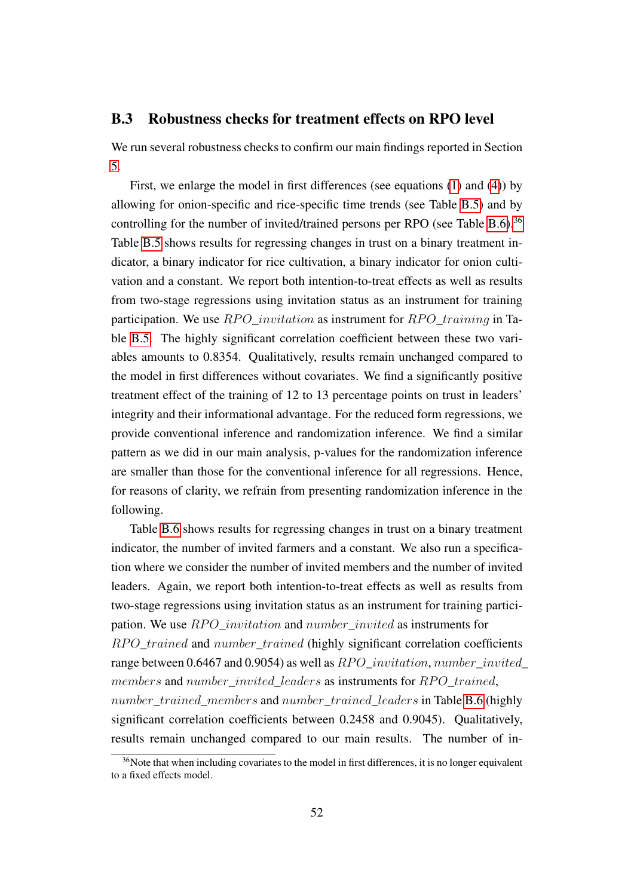#### <span id="page-51-0"></span>B.3 Robustness checks for treatment effects on RPO level

We run several robustness checks to confirm our main findings reported in Section [5.](#page-24-0)

First, we enlarge the model in first differences (see equations [\(1\)](#page-25-0) and [\(4\)](#page-27-1)) by allowing for onion-specific and rice-specific time trends (see Table [B.5\)](#page-53-0) and by controlling for the number of invited/trained persons per RPO (see Table [B.6\)](#page-54-0).<sup>[36](#page--1-0)</sup> Table [B.5](#page-53-0) shows results for regressing changes in trust on a binary treatment indicator, a binary indicator for rice cultivation, a binary indicator for onion cultivation and a constant. We report both intention-to-treat effects as well as results from two-stage regressions using invitation status as an instrument for training participation. We use  $RPO\_invitation$  as instrument for  $RPO\_training$  in Table [B.5.](#page-53-0) The highly significant correlation coefficient between these two variables amounts to 0.8354. Qualitatively, results remain unchanged compared to the model in first differences without covariates. We find a significantly positive treatment effect of the training of 12 to 13 percentage points on trust in leaders' integrity and their informational advantage. For the reduced form regressions, we provide conventional inference and randomization inference. We find a similar pattern as we did in our main analysis, p-values for the randomization inference are smaller than those for the conventional inference for all regressions. Hence, for reasons of clarity, we refrain from presenting randomization inference in the following.

Table [B.6](#page-54-0) shows results for regressing changes in trust on a binary treatment indicator, the number of invited farmers and a constant. We also run a specification where we consider the number of invited members and the number of invited leaders. Again, we report both intention-to-treat effects as well as results from two-stage regressions using invitation status as an instrument for training participation. We use  $RPO\_invitation$  and  $number\_invited$  as instruments for RPO\_trained and number\_trained (highly significant correlation coefficients range between 0.6467 and 0.9054) as well as  $RPO\_invitation$ , number\_invited\_ members and number invited leaders as instruments for RPO trained, number trained members and number trained leaders in Table [B.6](#page-54-0) (highly significant correlation coefficients between 0.2458 and 0.9045). Qualitatively, results remain unchanged compared to our main results. The number of in-

<sup>&</sup>lt;sup>36</sup>Note that when including covariates to the model in first differences, it is no longer equivalent to a fixed effects model.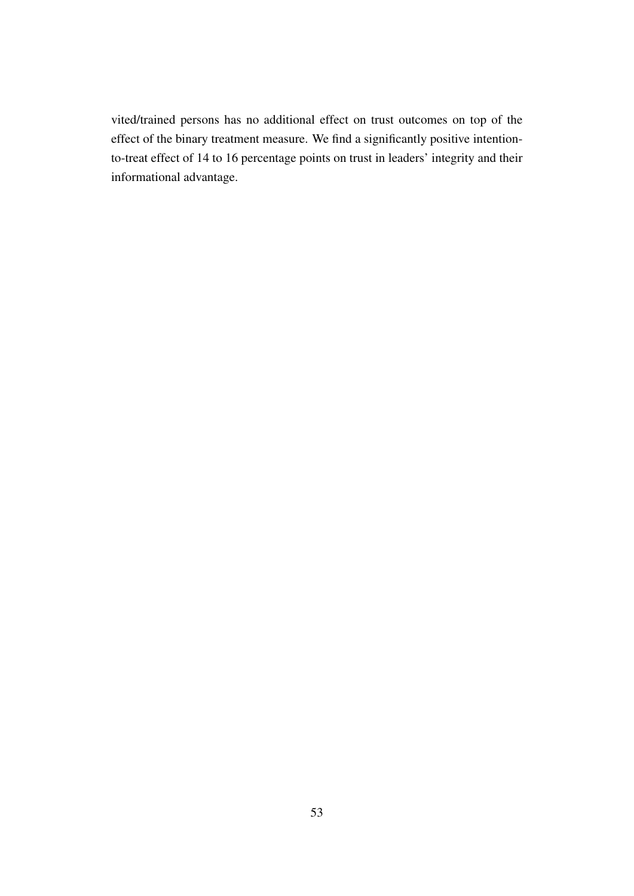vited/trained persons has no additional effect on trust outcomes on top of the effect of the binary treatment measure. We find a significantly positive intentionto-treat effect of 14 to 16 percentage points on trust in leaders' integrity and their informational advantage.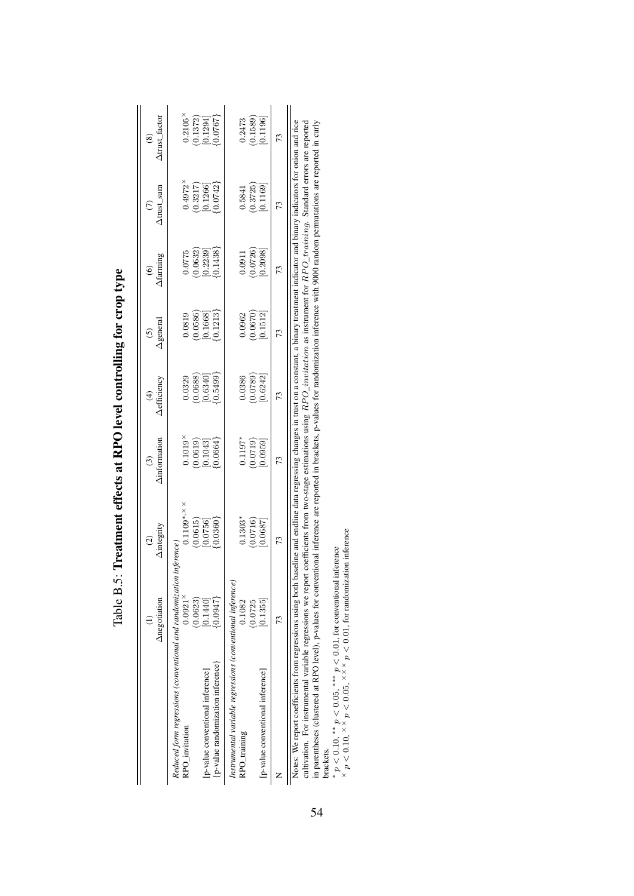|                                                                            | Anegotiation                      | Aintegrity<br>$\widehat{c}$                                                                                                                | <b>Ainformation</b><br>$\odot$             | $\Delta$ efficiency                                       | (5)<br>Ageneral                                            | $\Delta$ farming                                            | $(7)$<br>Atrust_sum                                        | $(8)$ $\Delta \text{trust\_factor}$                       |
|----------------------------------------------------------------------------|-----------------------------------|--------------------------------------------------------------------------------------------------------------------------------------------|--------------------------------------------|-----------------------------------------------------------|------------------------------------------------------------|-------------------------------------------------------------|------------------------------------------------------------|-----------------------------------------------------------|
| Reduced form regressions (conventional and randomization<br>RPO_invitation | $0.0921$ <sup>×</sup><br>(0.0623) | $0.1109$ *, $\times$<br>inference.                                                                                                         | 0.1019                                     | 0.0329                                                    | 0.0819                                                     | 0.0775                                                      | 0.4972                                                     | $0.2105\times$                                            |
| p-value randomization inference<br>[p-value conventional inference]        | 0.1440<br>0.0947                  | $(0.0615)$ [0.0756]<br>$0.0360$ <sup>2</sup>                                                                                               | $[0.0619] \hspace{1cm} [0.1043]$<br>0.0664 | $\begin{bmatrix} 0.0688 \ 0.6340 \end{bmatrix}$<br>0.5499 | $\begin{bmatrix} 0.0586 \\ 0.1668 \\ 0.1213 \end{bmatrix}$ | $\begin{array}{c} (0.0632) \ [0.2239] \ 0.1438 \end{array}$ | $\begin{bmatrix} 0.3217 \\ 0.1266 \\ 0.0742 \end{bmatrix}$ | $\begin{bmatrix} 0.1372 \ 0.1294 \end{bmatrix}$<br>0.0767 |
| Instrumental variable regressions (conventional inference<br>RPO_training  | 0.1082<br>(0.0725)                | $0.1303*$                                                                                                                                  | $0.1197*$                                  | 0.0386                                                    | 0.0962                                                     | 0.0911                                                      | 0.5841                                                     | 0.2473                                                    |
| [p-value conventional inference]                                           | 0.1355                            | $\begin{array}{c} 0.0716 \\ 0.0687 \end{array}$                                                                                            | [0.0719]                                   | $\begin{array}{c} (0.0789) \ 0.6242 \end{array}$          | $\begin{array}{c} (0.0670) \ [0.1512] \end{array}$         | $(0.0726)$<br>$[0.2098]$                                    | $\begin{array}{c} (0.3725) \\ 0.1169 \end{array}$          | $\begin{array}{c} (0.1589) \\ 0.1196 \end{array}$         |
|                                                                            |                                   | 73                                                                                                                                         | 73                                         |                                                           | 73                                                         | 73                                                          | 73                                                         | 73                                                        |
| Notes: We report coefficients from regressions using both                  |                                   | baseline and endline data regressing changes in trust on a constant, a binary treatment indicator and binary indicators for onion and rice |                                            |                                                           |                                                            |                                                             |                                                            |                                                           |

<span id="page-53-0"></span>

| l                                                                       |
|-------------------------------------------------------------------------|
| ֦֧֧֧֧֧֧֛֧֚֚֚֚֚֚֚֚֚֚֚֚֚֚֚֚֚֚֚֚֚֚֚֚֚֚֚֚֬֡֡֡֡֡֬֟֓֡֡֡֬֓֓֓֓֓֓֓֓֡֓֓֞֓֓֞֡֡֡֡֡֬ |
|                                                                         |
| ١<br>í                                                                  |
|                                                                         |
| -<br>-<br>-<br>-                                                        |
|                                                                         |
| ļ                                                                       |
|                                                                         |
|                                                                         |
| San an an S<br>t ettects at l<br>1                                      |
|                                                                         |
|                                                                         |
|                                                                         |
| $\overline{a}$                                                          |
|                                                                         |
|                                                                         |
| アルコン ロンプログラム<br>$\frac{1}{5}$<br>$\frac{1}{2}$                          |

Notes: We report coefficients from regressions using both baseline and endline data regressing changes in trust on a constant, a binary treatment indicator and binary indicators for onion and rice cultivation. For instrumental variable regressions we report coefficients from two-stage estimations using  $RPO_1$  instrument for  $RPO_1$  training. Standard errors are reported in parentheses (clustered at RPO level), p-values for conventional inference are reported in brackets, p-values for randomization inference with 9000 random permutations are reported in curly The parameters of the sension will be a set of the conventional inference are repressing changes in trust on a constant, a binary treatment indicator and binary indicators for onion and rice cultivation. For instrumental

∗×\*  $p < 0.10$ , \*\*  $p < 0.05$ , \*\*\*  $p < 0.01$ , for conventional inference

 $\times p < 0.10$ ,  $\times \times p < 0.05$ ,  $\times \times p < 0.01$ , for randomization inference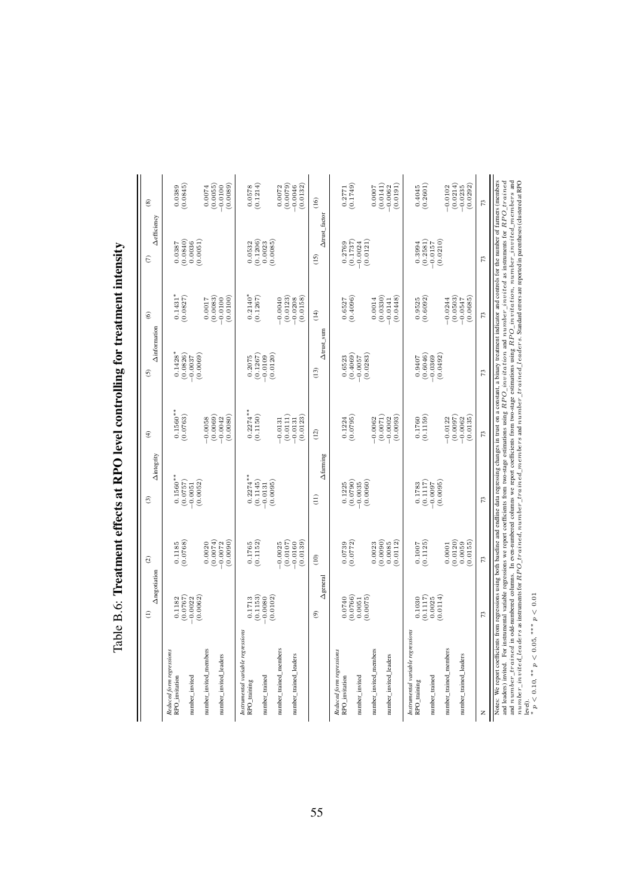<span id="page-54-0"></span>

|                                                                                                                                                                                                                                                                                                                                                                                                     | Anegotiation<br>€                 | $\widehat{\omega}$                              | Aintegrity<br>$\odot$               | Ð                                 | <b>Ainformation</b><br>6            | $\widehat{\mathbf{e}}$            | <b>Aefficiency</b><br>$\widehat{\in}$ | $\circledast$                     |
|-----------------------------------------------------------------------------------------------------------------------------------------------------------------------------------------------------------------------------------------------------------------------------------------------------------------------------------------------------------------------------------------------------|-----------------------------------|-------------------------------------------------|-------------------------------------|-----------------------------------|-------------------------------------|-----------------------------------|---------------------------------------|-----------------------------------|
| Reduced form regressions<br>RPO_invitation<br>number_invited                                                                                                                                                                                                                                                                                                                                        | (7870.0)<br>0.1182<br>$-0.0022$   | (0.0768)<br>0.1185                              | $0.1560**$<br>(0.0757)<br>$-0.0051$ | $0.1560**$<br>(0.0763)            | $0.1428*$<br>(0.0826)<br>$-0.0037$  | $0.1431$ *<br>$(0.0827)$          | $(0.0840)$<br>$0.0036$<br>0.0387      | (0.0845)<br>0.0389                |
| number_invited_members                                                                                                                                                                                                                                                                                                                                                                              | (0.0062)                          | 0.0020                                          | (0.0052)                            | $-0.0058$                         | (0.0069)                            | 0.0017                            | 0.0051)                               | 0.0074                            |
| number_invited_leaders                                                                                                                                                                                                                                                                                                                                                                              |                                   | (0.0074)<br>(0.0090)<br>$-0.0072$               |                                     | (0.0069)<br>(0.0080)<br>$-0.0042$ |                                     | (0.0083)<br>(0.0100)<br>$-0.0100$ |                                       | (0.0055)<br>(0.0089)<br>$-0.0100$ |
| Instrumental variable regressions<br>RPO_training                                                                                                                                                                                                                                                                                                                                                   | 0.1713                            | 0.1765                                          | $0.2274***$                         | $0.2274***$                       | 0.2075                              | $0.2140*$                         | 0.0532                                | 0.0578                            |
| number_trained                                                                                                                                                                                                                                                                                                                                                                                      | (0.1153)<br>(0.0102)<br>$-0.0080$ | (0.1152)                                        | (0.1145)<br>(0.0095)<br>$-0.0131$   | (0.1150)                          | (0.1267)<br>(0.0120)<br>$-0.0109$   | (0.1267)                          | $(0.1206)$<br>$0.0023$<br>(0.0085)    | (0.1214)                          |
| number_trained_members                                                                                                                                                                                                                                                                                                                                                                              |                                   | (0.0107)<br>$-0.0025$                           |                                     | (0.0111)<br>$-0.0131$             |                                     | (0.0123)<br>$-0.0040$             |                                       | (0.0079)<br>0.0072                |
| number_trained_leaders                                                                                                                                                                                                                                                                                                                                                                              |                                   | (0.0139)<br>$-0.0160$                           |                                     | (0.0123)<br>$-0.0131$             |                                     | (0.0158)<br>$-0.0208$             |                                       | (0.0132)<br>$-0.0046$             |
|                                                                                                                                                                                                                                                                                                                                                                                                     | $\Delta$ general<br>ම             | $\frac{1}{2}$                                   | Afarming<br>$\widehat{\Xi}$         | (12)                              | $\Delta$ trust_sum<br>(13)          | (14)                              | Atrust_factor<br>(15)                 | (16)                              |
| Reduced form regressions<br>RPO_invitation                                                                                                                                                                                                                                                                                                                                                          | 0.0740                            | (0.0772)                                        | 0.1225                              | $(0.1224$<br>$(0.0795)$           | 0.6523                              | $(0.6527$<br>$(0.4096)$           | 0.2769                                | $(0.2771$<br>$(0.1749)$           |
| number_invited                                                                                                                                                                                                                                                                                                                                                                                      | (0.0766)<br>(0.0075)<br>0.0051    |                                                 | (0.0790)<br>(0.0060)<br>$-0.0035$   |                                   | $(0.4069)$<br>$-0.0057$<br>(0.0283) |                                   | (0.1737)<br>(0.0121)<br>$-0.0024$     |                                   |
| number_invited_members                                                                                                                                                                                                                                                                                                                                                                              |                                   | 0.0023                                          |                                     | $-0.0062$                         |                                     | 0.0014                            |                                       | 0.0007                            |
| number_invited_leaders                                                                                                                                                                                                                                                                                                                                                                              |                                   | (0.0090)<br>(0.0112)<br>0.0085                  |                                     | (0.0071)<br>(0.0093)<br>$-0.0002$ |                                     | (0.0330)<br>(0.0448)<br>$-0.0141$ |                                       | (0.0141)<br>(0.0191)<br>$-0.0062$ |
| Instrumental variable regressions<br>RPO_training                                                                                                                                                                                                                                                                                                                                                   | 0.1030                            | $\begin{array}{c} 0.1007 \\ 0.1125 \end{array}$ | 0.1783                              | 0.1760                            | 0.9407                              | $(0.9525$<br>$(0.6092)$           | 0.3994                                | $(0.4045$<br>$(0.2601)$           |
| number_trained                                                                                                                                                                                                                                                                                                                                                                                      | (0.1117)<br>0.0114<br>0.0025      |                                                 | (0.1117)<br>(0.0095)<br>$-0.0097$   | (0.1159)                          | $(0.6046)$<br>-0.0369<br>(0.0492)   |                                   | $(0.2581)$<br>-0.0157<br>(0.0210)     |                                   |
| number_trained_members                                                                                                                                                                                                                                                                                                                                                                              |                                   | (0.0120)<br>0.0001                              |                                     | (0.0097)<br>$-0.0122$             |                                     | (0.0503)<br>$-0.0244$             |                                       | (0.0214)<br>$-0.0102$             |
| number_trained_leaders                                                                                                                                                                                                                                                                                                                                                                              |                                   | (0.0155)<br>0.0059                              |                                     | (0.0135)<br>$-0.0062$             |                                     | (0.0685)<br>$-0.0547$             |                                       | (0.0292)<br>$-0.0235$             |
| z                                                                                                                                                                                                                                                                                                                                                                                                   | 73                                | 73                                              | 73                                  | 73                                | 73                                  | 73                                | 73                                    | 73                                |
| Notes: We report coefficients from regressions using both baseline and endline data regressing changes in trust on a constant, a binary treatment indicator and controls for the number of farmers (members<br>and leaders) invited. For instrumental variable regressions we report coefficients from two-stage estimations using RPO_invitation and number_invited as instruments for RPO_trained |                                   |                                                 |                                     |                                   |                                     |                                   |                                       |                                   |

and  $n$ umber $\_t$ rai $n$ ed in odd-numbered columns. In even-numbered columns we report coefficients from two-stage estimations using  $RPO\_invitation$ ,  $number$  and  $n$  and  $n$  are  $n$  of  $n$  and  $n$  of  $n$  and  $n$  and  $n$  and  $n$  and  $n$  $n$ umber\_invited\_leaders as instruments for  $RPO\_train$ d, number\_trained\_members and number\_trained\_leaders. Standard errors are reported in parentheses (clustered at  $RPO$ 

level). ∗

 ${}^*p < 0.10, {}^{**}p < 0.05, {}^{***}p < 0.01$ 

Table B.6: Treatment effects at RPO level controlling for treatment intensity Table B.6: Treatment effects at RPO level controlling for treatment intensity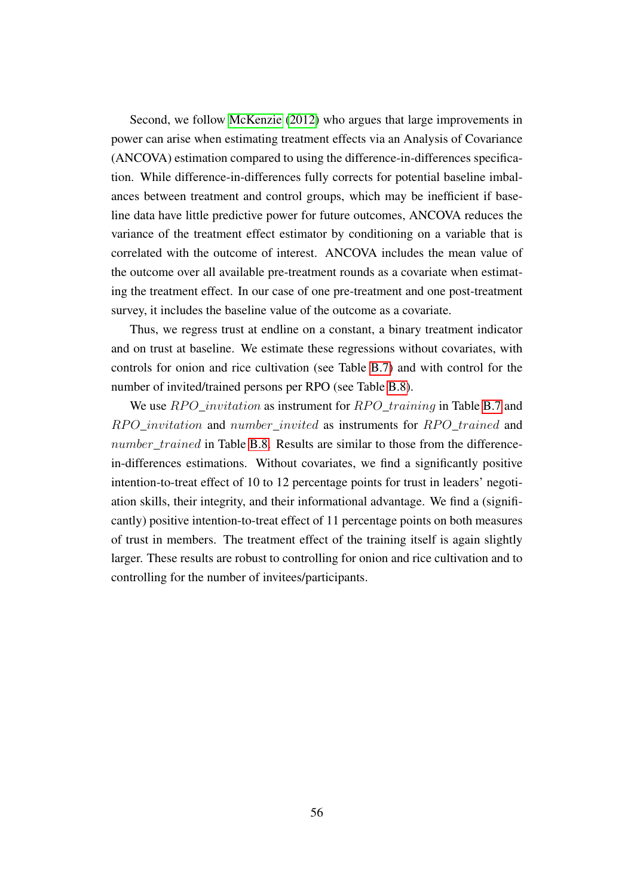Second, we follow [McKenzie](#page-41-12) [\(2012\)](#page-41-12) who argues that large improvements in power can arise when estimating treatment effects via an Analysis of Covariance (ANCOVA) estimation compared to using the difference-in-differences specification. While difference-in-differences fully corrects for potential baseline imbalances between treatment and control groups, which may be inefficient if baseline data have little predictive power for future outcomes, ANCOVA reduces the variance of the treatment effect estimator by conditioning on a variable that is correlated with the outcome of interest. ANCOVA includes the mean value of the outcome over all available pre-treatment rounds as a covariate when estimating the treatment effect. In our case of one pre-treatment and one post-treatment survey, it includes the baseline value of the outcome as a covariate.

Thus, we regress trust at endline on a constant, a binary treatment indicator and on trust at baseline. We estimate these regressions without covariates, with controls for onion and rice cultivation (see Table [B.7\)](#page-56-0) and with control for the number of invited/trained persons per RPO (see Table [B.8\)](#page-57-0).

We use  $RPO\_invitation$  as instrument for  $RPO\_training$  in Table [B.7](#page-56-0) and RPO invitation and number invited as instruments for RPO trained and number trained in Table [B.8.](#page-57-0) Results are similar to those from the differencein-differences estimations. Without covariates, we find a significantly positive intention-to-treat effect of 10 to 12 percentage points for trust in leaders' negotiation skills, their integrity, and their informational advantage. We find a (significantly) positive intention-to-treat effect of 11 percentage points on both measures of trust in members. The treatment effect of the training itself is again slightly larger. These results are robust to controlling for onion and rice cultivation and to controlling for the number of invitees/participants.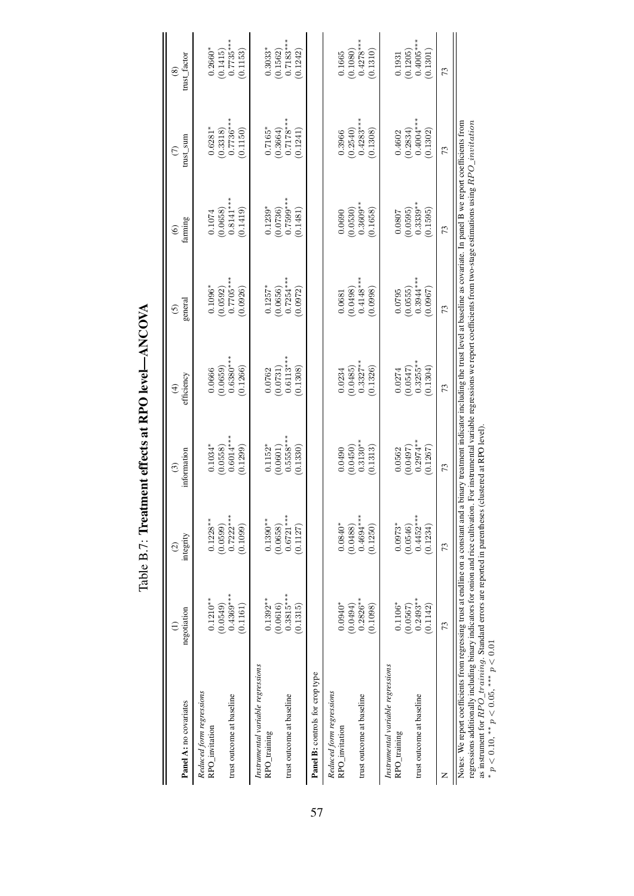| Panel A: no covariates                                                                                                                                                                                                                                                                                                                                                                                                                                                                                                                            | negotiation<br>Ξ                    | integrity<br>$\widehat{\circ}$      | information<br>⊙                    | efficiency<br>$\widehat{f}$         | general<br><u>ତ</u>                 | farming<br>$\circledcirc$           | trust_sum<br>$\in$                  | trust_factor<br>$\circledast$       |
|---------------------------------------------------------------------------------------------------------------------------------------------------------------------------------------------------------------------------------------------------------------------------------------------------------------------------------------------------------------------------------------------------------------------------------------------------------------------------------------------------------------------------------------------------|-------------------------------------|-------------------------------------|-------------------------------------|-------------------------------------|-------------------------------------|-------------------------------------|-------------------------------------|-------------------------------------|
| Reduced form regressions<br>RPO_invitation                                                                                                                                                                                                                                                                                                                                                                                                                                                                                                        | $0.1210**$                          | $0.1228**$                          | $0.1034*$                           | 0.0666                              | $0.1096*$                           | 0.1074                              | $0.6281*$                           | $0.2660*$                           |
| trust outcome at baseline                                                                                                                                                                                                                                                                                                                                                                                                                                                                                                                         | $0.4369***$<br>(0.0549)<br>(0.1161) | $0.7222***$<br>(0.0599)<br>(0.1099) | $0.6014***$<br>(0.0558)<br>(0.1299) | $0.6380***$<br>(0.0659)<br>(0.1266) | $0.7705***$<br>(0.0592)<br>(0.0926) | $0.8141***$<br>(0.0658)<br>(0.1419) | $0.7736***$<br>(0.3318)<br>(0.1150) | $0.7735***$<br>(0.1415)<br>(0.1153) |
| Instrumental variable regressions<br>RPO_training                                                                                                                                                                                                                                                                                                                                                                                                                                                                                                 | $0.1392**$                          | $0.1390**$                          | $0.1152*$                           | 0.0762                              | $0.1257*$                           | $0.1239*$                           | $0.7165*$                           | $0.3033*$                           |
| trust outcome at baseline                                                                                                                                                                                                                                                                                                                                                                                                                                                                                                                         | $0.3815***$<br>(0.0616)<br>(0.1315) | $0.6721***$<br>(0.0658)<br>(0.1127) | $0.5558**$<br>(0.1330)<br>(0.0601)  | $0.6113***$<br>(0.1308)<br>(0.0731) | $0.7254***$<br>(0.0656)<br>(0.0972) | $0.7599***$<br>(0.0736)<br>(0.1481) | $0.7178**$<br>(0.3664)<br>(0.1241)  | $0.7183***$<br>(0.1562)<br>(0.1242) |
| Panel B: controls for crop type                                                                                                                                                                                                                                                                                                                                                                                                                                                                                                                   |                                     |                                     |                                     |                                     |                                     |                                     |                                     |                                     |
| Reduced form regressions<br>RPO_invitation                                                                                                                                                                                                                                                                                                                                                                                                                                                                                                        | $0.0940*$                           | $0.0840*$                           | 0.0490                              | 0.0234                              | 0.0681                              | 0.0690                              | 0.3966                              | 0.1665                              |
| trust outcome at baseline                                                                                                                                                                                                                                                                                                                                                                                                                                                                                                                         | $0.2826**$<br>(0.0494)<br>(0.1098)  | $0.4694***$<br>(0.0488)<br>(0.1250) | $0.3130**$<br>(0.1313)<br>(0.0450)  | $0.3327***$<br>(0.1326)<br>(0.0485) | $0.4148***$<br>(0.0998)<br>(0.0498) | $0.3609**$<br>(0.0530)<br>0.1658    | $0.4283***$<br>(0.2540)<br>(0.1308) | $0.4278***$<br>(0.1310)<br>(0.1080) |
| Instrumental variable regressions<br>RPO_training                                                                                                                                                                                                                                                                                                                                                                                                                                                                                                 | $0.1106*$                           | $0.0973*$                           | 0.0562                              | 0.0274                              | 0.0795                              | 0.0807                              | 0.4602                              | 0.1931                              |
| trust outcome at baseline                                                                                                                                                                                                                                                                                                                                                                                                                                                                                                                         | $0.2493***$<br>(0.0567)<br>(0.1142) | $0.4452***$<br>(0.0546)<br>(0.1234) | $0.2974***$<br>(0.0497)<br>(0.1267) | $0.3255**$<br>(0.0547)<br>(0.1304)  | $0.3944***$<br>(0.0555)<br>(0.0967) | $0.3339***$<br>(0.0595)<br>(0.1595) | $0.4004***$<br>(0.2834)<br>(0.1302) | $0.4005***$<br>(0.1205)<br>(0.1301) |
| z                                                                                                                                                                                                                                                                                                                                                                                                                                                                                                                                                 | 73                                  | 73                                  | 73                                  | 73                                  | 73                                  | 73                                  | 73                                  | 73                                  |
| Notes: We report coefficients from regressing trust at endline on a constant and a binary treatment indicator including the trust level at baseline as covariate. In panel B we report coefficients from<br>regressions additionally including binary indicators for onion and rice cultivation. For instrumental variable regressions we report coefficients from two-stage estimations using RPO_invitation<br>as instrument for $RPO\_training$ . Standard errors are reported in parentheses<br>* $p < 0.10$ , ** $p < 0.05$ , *** $p < 0.01$ |                                     |                                     | clustered at RPO level              |                                     |                                     |                                     |                                     |                                     |

Table B.7: Treatment effects at RPO level-ANCOVA Table B.7: Treatment effects at RPO level—ANCOVA

<span id="page-56-0"></span> $p < 0.10$ , \*\*  $p < 0.05$ , \*\*\*  $p < 0.01$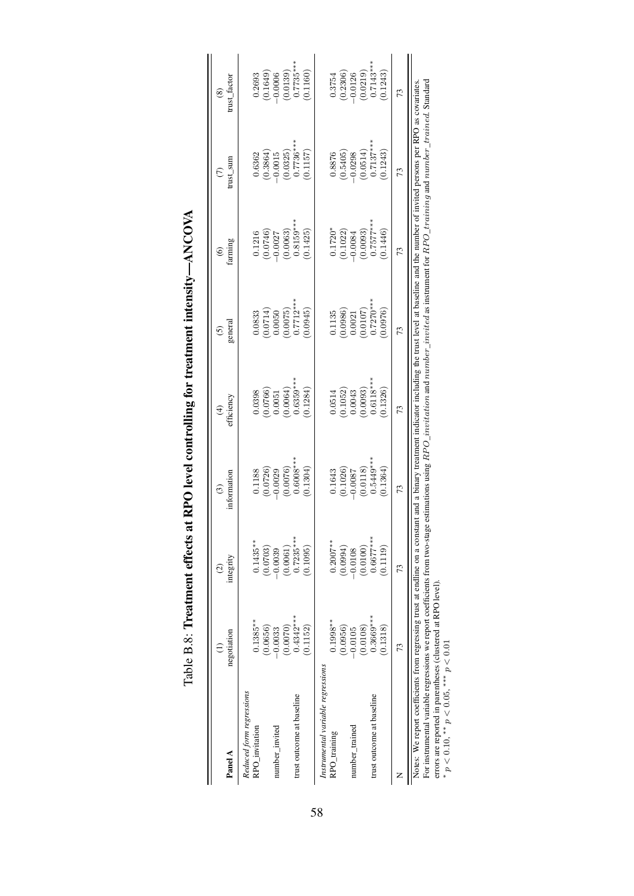| Panel A                                                                                                                                                   | negotiation | integrity   | information<br>$\odot$                                                                                                       | efficiency<br>$\widehat{\mathcal{F}}$                                                                                              | general<br>$\odot$      | farming<br>$\widehat{\mathbf{e}}$ | $\frac{1}{2}$<br>$\epsilon$ | rust_factor<br>$\circledast$ |
|-----------------------------------------------------------------------------------------------------------------------------------------------------------|-------------|-------------|------------------------------------------------------------------------------------------------------------------------------|------------------------------------------------------------------------------------------------------------------------------------|-------------------------|-----------------------------------|-----------------------------|------------------------------|
| Reduced form regressions<br>RPO_invitation                                                                                                                | $0.1385***$ | $0.1435***$ | 0.1188                                                                                                                       | 0.0398                                                                                                                             | 0.833                   | 0.1216                            | 0.6362                      | 0.2693                       |
|                                                                                                                                                           | (0.0656)    | 0.0703)     | (0.0726)                                                                                                                     | (0.0766)                                                                                                                           | 0.0714)                 | (0.0746)                          | (0.3864)                    |                              |
| number_invited                                                                                                                                            | $-0.0033$   | 0.0039      | $-0.0029$                                                                                                                    | 0.0051                                                                                                                             | 0.0050                  | $-0.0027$                         | $-0.0015$                   | $(0.1649)$<br>-0.0006        |
|                                                                                                                                                           | (0.0070)    | (0.0061)    | (0.0076)                                                                                                                     | (0.0064)                                                                                                                           | $(0.0075)$<br>0.7712**  | (0.0063)                          | (0.0325)                    | $(0.0139)$<br>$0.7735**$     |
| trust outcome at baseline                                                                                                                                 | $0.4342***$ | $0.7235***$ | $0.6008***$                                                                                                                  | $0.6359***$                                                                                                                        |                         | $0.8159***$                       | $0.7736***$                 |                              |
|                                                                                                                                                           | (0.1152)    | (0.1095)    | 0.1304                                                                                                                       | 0.1284                                                                                                                             | 0.0945                  | 0.1425                            | 0.1157                      | 0.1160                       |
| Instrumental variable regressions                                                                                                                         |             |             |                                                                                                                              |                                                                                                                                    |                         |                                   |                             |                              |
| RPO_training                                                                                                                                              | $0.1998**$  | $0.2007***$ | 0.1643                                                                                                                       | 0.0514                                                                                                                             | 0.1135                  | $0.1720*$                         | 0.8876                      | 0.3754                       |
|                                                                                                                                                           | (0.0956)    | (0.0994)    | (0.1026)                                                                                                                     | (0.1052)                                                                                                                           | (0.0986)                | (0.1022)                          | (0.5405)                    |                              |
| number_trained                                                                                                                                            | $-0.0105$   | $-0.0108$   | $-0.0087$<br>(0.0118)<br>0.5449***                                                                                           | 0.0043                                                                                                                             | 0.0021                  | $-0.0084$                         | $-0.0298$                   | $(0.2306)$<br>-0.0126        |
|                                                                                                                                                           | (0.0108)    | (0.0100)    |                                                                                                                              | (0.0093)                                                                                                                           | $(0.0107)$<br>0.7270*** | (0.0093)                          | $(0.0514)$<br>0.7137***     | $(0.0219)$<br>0.7143***      |
| trust outcome at baseline                                                                                                                                 | $0.3669***$ | $0.6677***$ |                                                                                                                              | $0.6118***$                                                                                                                        |                         | $0.7577**$                        |                             |                              |
|                                                                                                                                                           | 0.1318      | 0.1119      | (0.1364)                                                                                                                     | 0.1326                                                                                                                             | 0.0976                  | 0.1446                            | 0.1243                      | 0.1243)                      |
|                                                                                                                                                           | 73          | 73          | 73                                                                                                                           | 73                                                                                                                                 | 73                      | 73                                | 73                          | 73                           |
| Notes: We report coefficients from regressing trust at endline on a consta<br>For instrumental variable regressions we report coefficients from two-stage |             |             | estimations using $RPO\_invitation$ and $number\_invited$ as instrument for $RPO\_training$ and $number\_trained$ . Standard | nt and a binary treatment indicator including the trust level at baseline and the number of invited persons per RPO as covariates. |                         |                                   |                             |                              |

Table B.8: Treatment effects at RPO level controlling for treatment intensity—ANCOVA

Table B.8: Treatment effects at RPO level controlling for treatment intensity-ANCOVA

<span id="page-57-0"></span>errors are reported in parentheses (clustered at RPO level). errors are reported in parentheses (clustered at RPO level).<br> \*  $p < 0.10,$  \*\*  $p < 0.05,$  \*\*\*  $p < 0.01$  $p < 0.10$ , \*\*  $p < 0.05$ , \*\*\*  $p < 0.01$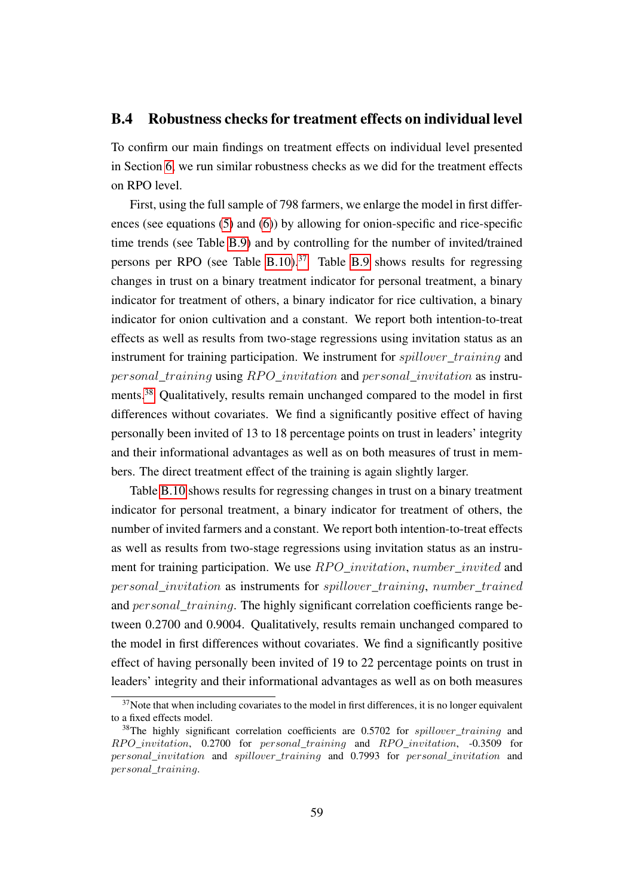#### <span id="page-58-0"></span>B.4 Robustness checks for treatment effects on individual level

To confirm our main findings on treatment effects on individual level presented in Section [6,](#page-30-0) we run similar robustness checks as we did for the treatment effects on RPO level.

First, using the full sample of 798 farmers, we enlarge the model in first differences (see equations [\(5\)](#page-30-1) and [\(6\)](#page-31-0)) by allowing for onion-specific and rice-specific time trends (see Table [B.9\)](#page-60-0) and by controlling for the number of invited/trained persons per RPO (see Table [B.10\)](#page-61-0).<sup>[37](#page--1-0)</sup> Table [B.9](#page-60-0) shows results for regressing changes in trust on a binary treatment indicator for personal treatment, a binary indicator for treatment of others, a binary indicator for rice cultivation, a binary indicator for onion cultivation and a constant. We report both intention-to-treat effects as well as results from two-stage regressions using invitation status as an instrument for training participation. We instrument for *spillover\_training* and personal\_training using RPO\_invitation and personal\_invitation as instruments.[38](#page--1-0) Qualitatively, results remain unchanged compared to the model in first differences without covariates. We find a significantly positive effect of having personally been invited of 13 to 18 percentage points on trust in leaders' integrity and their informational advantages as well as on both measures of trust in members. The direct treatment effect of the training is again slightly larger.

Table [B.10](#page-61-0) shows results for regressing changes in trust on a binary treatment indicator for personal treatment, a binary indicator for treatment of others, the number of invited farmers and a constant. We report both intention-to-treat effects as well as results from two-stage regressions using invitation status as an instrument for training participation. We use  $RPO\_invitation$ , number\_invited and personal\_invitation as instruments for spillover\_training, number\_trained and *personal\_training*. The highly significant correlation coefficients range between 0.2700 and 0.9004. Qualitatively, results remain unchanged compared to the model in first differences without covariates. We find a significantly positive effect of having personally been invited of 19 to 22 percentage points on trust in leaders' integrity and their informational advantages as well as on both measures

 $37$ Note that when including covariates to the model in first differences, it is no longer equivalent to a fixed effects model.

<sup>&</sup>lt;sup>38</sup>The highly significant correlation coefficients are  $0.5702$  for *spillover* training and  $RPO$  invitation, 0.2700 for personal training and RPO invitation,  $-0.3509$  for personal\_invitation and spillover\_training and 0.7993 for personal\_invitation and personal\_training.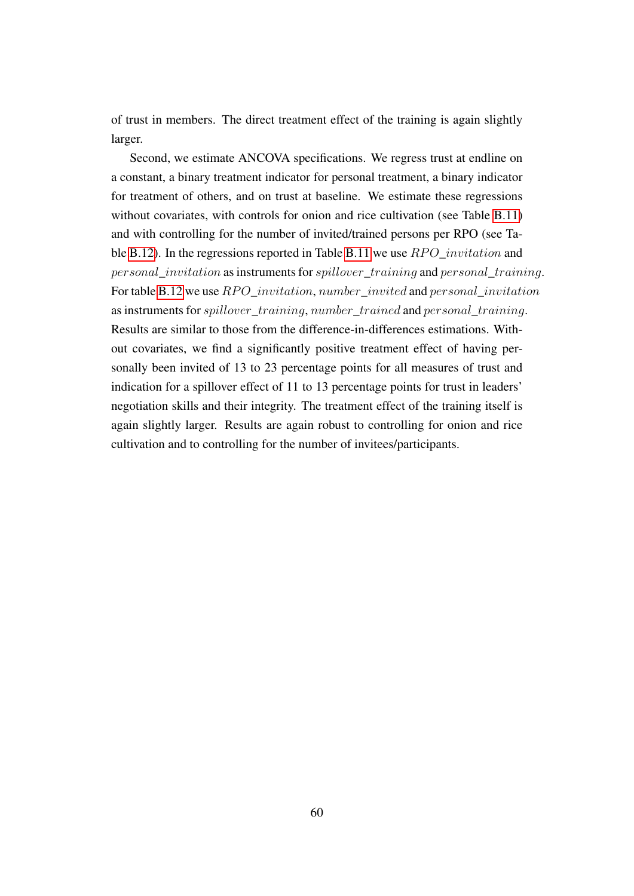of trust in members. The direct treatment effect of the training is again slightly larger.

Second, we estimate ANCOVA specifications. We regress trust at endline on a constant, a binary treatment indicator for personal treatment, a binary indicator for treatment of others, and on trust at baseline. We estimate these regressions without covariates, with controls for onion and rice cultivation (see Table [B.11\)](#page-62-0) and with controlling for the number of invited/trained persons per RPO (see Ta-ble [B.12\)](#page-63-0). In the regressions reported in Table [B.11](#page-62-0) we use  $RPO$  invitation and personal\_invitation as instruments for spillover\_training and personal\_training. For table [B.12](#page-63-0) we use  $RPO$  invitation, number invited and personal invitation as instruments for *spillover* training, number trained and personal training. Results are similar to those from the difference-in-differences estimations. Without covariates, we find a significantly positive treatment effect of having personally been invited of 13 to 23 percentage points for all measures of trust and indication for a spillover effect of 11 to 13 percentage points for trust in leaders' negotiation skills and their integrity. The treatment effect of the training itself is again slightly larger. Results are again robust to controlling for onion and rice cultivation and to controlling for the number of invitees/participants.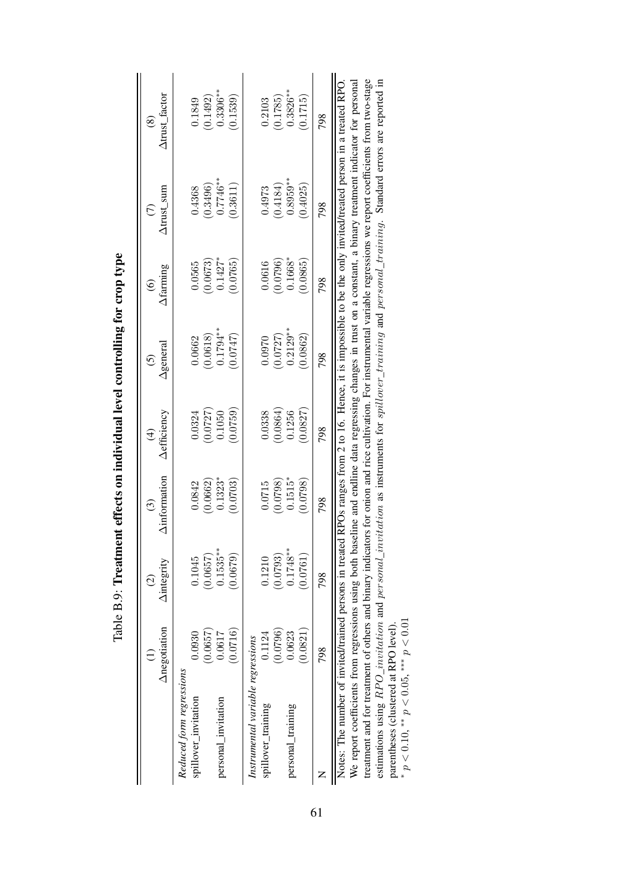|                                                        | Anegotiation | <b>Aintegrity</b><br>$\widehat{c}$ | <b>Ainformation</b><br>$\odot$ | <b>Aefficiency</b><br>$\hat{t}$ | Agenerai<br>$\odot$ | Afarming<br>$\circledcirc$ | Atrust_sum<br>$\widehat{C}$ | Atrust_factor<br>$\circledS$                                                                               |
|--------------------------------------------------------|--------------|------------------------------------|--------------------------------|---------------------------------|---------------------|----------------------------|-----------------------------|------------------------------------------------------------------------------------------------------------|
| Reduced form regressions                               | (0.0657)     | (0.0657)                           | (0.0662)                       | (0.0727)                        | (0.0618)            | (0.0673)                   | 0.3496)                     | (0.1492)                                                                                                   |
| spillover_invitation                                   | 0.0930       | 0.1045                             | 0.0842                         | 0.0324                          | 0.6662              | 0.0565                     | 0.4368                      | 0.1849                                                                                                     |
| personal_invitation                                    | 0.0716       | $0.1535***$                        | $0.1323*$                      | 0.0759                          | $0.1794***$         | $0.1427*$                  | $0.7746***$                 | $0.3306***$                                                                                                |
|                                                        | 0.0617       | (0.0679)                           | 0.0703                         | 0.1050                          | 0.0747              | 0.0765                     | 0.3611                      | 0.1539                                                                                                     |
| Instrumental variable regressions                      | (0.0796)     | (0.0793)                           | (0.0798)                       | (0.0864)                        | (0.0727)            | (0.0796)                   | (0.4184)                    | (0.1785)                                                                                                   |
| spillover_training                                     | 0.1124       | 0.1210                             | 0.0715                         | 0.0338                          | 0.0970              | 0.0616                     | 0.4973                      | 0.2103                                                                                                     |
| personal_training                                      | (0.0821)     | $0.1748***$                        | $0.1515*$                      | 0.0827                          | $0.2129***$         | $0.1668*$                  | $0.8959***$                 | $0.3826***$                                                                                                |
|                                                        | 0.0623       | (0.0761)                           | 0.0798                         | 0.1256                          | 0.0862              | 0.0865                     | 0.4025                      | 0.1715                                                                                                     |
|                                                        | 798          | 798                                | 798                            | 798                             | 798                 | 798                        | 798                         | 798                                                                                                        |
| Notes: The number of invited/trained persons in treate |              |                                    |                                |                                 |                     |                            |                             | d RPOs ranges from 2 to 16. Hence, it is impossible to be the only invited/treated person in a treated RPO |

Table B.9: Treatment effects on individual level controlling for crop type Table B.9: Treatment effects on individual level controlling for crop type

treatment and for treatment of others and binary indicators for onion and rice cultivation. For instrumental variable regressions we report coefficients from two-stage estimations using  $RPO_$  invitation and personal invitation as instruments for spillover training and personal training. Standard errors are reported in We report coefficients from regressions using both baseline and endline data regressing changes in trust on a constant, a binary treatment indicator for personal Notes: The number of invited/trained persons in treated RPOs ranges from 2 to 16. Hence, it is impossible to be the only invited/treated person in a treated RPO. We report coefficients from regressions using both baseline and endline data regressing changes in trust on a constant, a binary treatment indicator for personal treatment and for treatment of others and binary indicators for onion and rice cultivation. For instrumental variable regressions we report coefficients from two-stage estimations using  $RPO\_invitation$  and personal\_invitation as instruments for spillover\_training and personal\_training. Standard errors are reported in  $\frac{1}{4}$  p < 0.10, \*\* p < 0.05, \*\*\* p < 0.01 parentheses (clustered at RPO level).  ${}^*p$  < 0.10,  ${}^*p$  < 0.05,  ${}^{***}p$  < 0.01 parentheses (clustered at RPO level).  $\mathbb{I}$ 

<span id="page-60-0"></span>61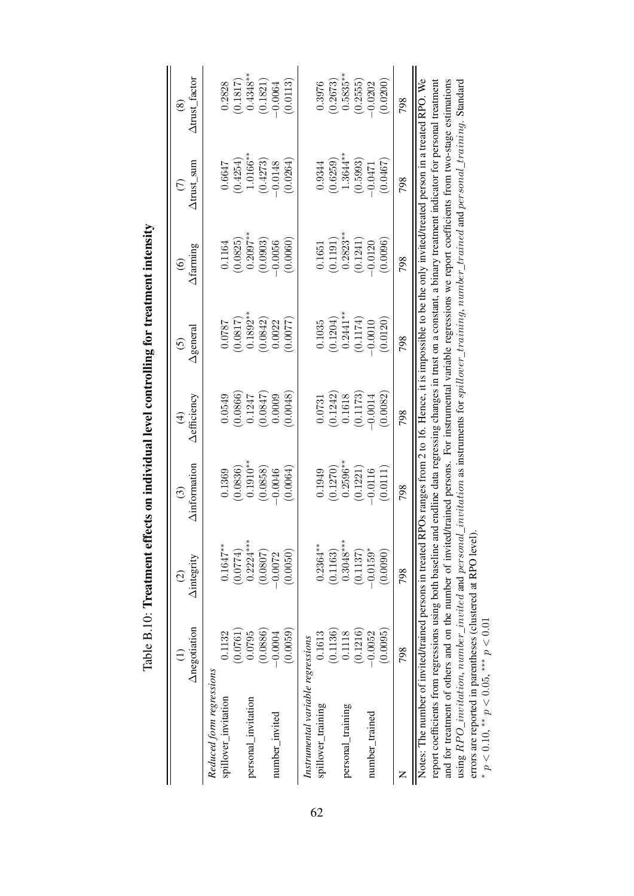|                                                                                                                                                                                                                                                                                                                                               | Anegotiation | <b>Aintegrity</b><br>$\widehat{\circ}$ | <b>Ainformation</b><br>$\widehat{\mathbb{C}}$                                                                | Aefficiency<br>$\widehat{\mathcal{A}}$ | $\Delta$ general<br>$\odot$ | Afaming<br>$\widehat{\circ}$ | Atrust_sum<br>E | Atrust_factor<br>$\circledast$ |
|-----------------------------------------------------------------------------------------------------------------------------------------------------------------------------------------------------------------------------------------------------------------------------------------------------------------------------------------------|--------------|----------------------------------------|--------------------------------------------------------------------------------------------------------------|----------------------------------------|-----------------------------|------------------------------|-----------------|--------------------------------|
| Reduced form regressions                                                                                                                                                                                                                                                                                                                      |              |                                        |                                                                                                              |                                        |                             |                              |                 |                                |
| spillover_invitation                                                                                                                                                                                                                                                                                                                          | 0.1132       | $0.1647***$                            | 0.1369                                                                                                       | 0.0549                                 | 0.0787                      | 0.1164                       | 0.6647          | 0.2828                         |
|                                                                                                                                                                                                                                                                                                                                               | (0.0761)     | (0.0774)                               | (0.0836)                                                                                                     | (0.0866)                               | (0.0817)                    | (0.0825)                     | (0.4254)        | (0.1817)                       |
| personal_invitation                                                                                                                                                                                                                                                                                                                           | 0.0795       | $0.2224***$                            | $0.1910***$                                                                                                  | 0.1247                                 | $0.1892**$                  | $0.2097***$                  | $1.0166***$     | $0.4348***$                    |
|                                                                                                                                                                                                                                                                                                                                               | (0.0886)     | (0.0807)                               | (0.0858)                                                                                                     | 0.0847                                 | (0.0842)                    | (0.0903)                     | (0.4273)        | (0.1821)                       |
| number_invited                                                                                                                                                                                                                                                                                                                                | $-0.0004$    | $-0.0072$                              | $-0.0046$                                                                                                    | 0.0009                                 | 0.0022                      | $-0.0056$                    | $-0.0148$       | $-0.0064$                      |
|                                                                                                                                                                                                                                                                                                                                               | (0.0059)     | (0.0050)                               | (0.0064)                                                                                                     | 0.0048                                 | 0.0077                      | (0.0060)                     | (0.0264)        | (0.0113)                       |
| Instrumental variable regressions                                                                                                                                                                                                                                                                                                             |              |                                        |                                                                                                              |                                        |                             |                              |                 |                                |
| spillover_training                                                                                                                                                                                                                                                                                                                            | 0.1613       | $0.2364***$                            | 0.1949                                                                                                       | 0.0731                                 | 0.1035                      | 0.1651                       | 0.9344          | 0.3976                         |
|                                                                                                                                                                                                                                                                                                                                               | (0.1136)     | (0.1163)                               | (0.1270)                                                                                                     | (0.1242)                               | (0.1204)                    | (0.1191)                     | (0.6259)        | (0.2673)                       |
| personal_training                                                                                                                                                                                                                                                                                                                             | 0.1118       | $0.3048***$                            | $0.2596***$                                                                                                  | 0.1618                                 | $0.2441***$                 | $0.2823**$                   | $1.3644***$     | $0.5835***$                    |
|                                                                                                                                                                                                                                                                                                                                               | (0.1216)     | (0.1137)                               | (0.1221)                                                                                                     | (0.1173)                               | (0.1174)                    | (0.1241)                     | (0.5993)        | (0.2555)                       |
| number_trained                                                                                                                                                                                                                                                                                                                                | $-0.0052$    | $-0.0159$ *                            | $-0.0116$                                                                                                    | $-0.0014$                              | $-0.0010$                   | $-0.0120$                    | $-0.047$        | $-0.0202$                      |
|                                                                                                                                                                                                                                                                                                                                               | (0.0095)     | (0.0090)                               | (0.0111)                                                                                                     | (0.0082)                               | (0.0120)                    | 0.0096                       | (0.0467)        | (0.0200)                       |
|                                                                                                                                                                                                                                                                                                                                               | 798          | 798                                    | 798                                                                                                          | 798                                    | 798                         | 798                          | 798             | 798                            |
| Notes: The number of invited/trained persons in treated                                                                                                                                                                                                                                                                                       |              |                                        | RPOs ranges from 2 to 16. Hence, it is impossible to be the only invited/treated person in a treated RPO. We |                                        |                             |                              |                 |                                |
| and for treatment of others and on the number of invited/trained persons. For instrumental variable regressions we report coefficients from two-stage estimations<br>report coefficients from regressions using both baseline and endline data regressing changes in trust on a constant, a binary treatment indicator for personal treatment |              |                                        |                                                                                                              |                                        |                             |                              |                 |                                |
| using $RPO\_invitation$ , $number\_invited$ and $personal\_invitation$ as instruments for $spillover\_training$ , $number\_trained$ and $perssonal\_training$ . Standard                                                                                                                                                                      |              |                                        |                                                                                                              |                                        |                             |                              |                 |                                |
| errors are reported in parentheses (clustered at RPO level).                                                                                                                                                                                                                                                                                  |              |                                        |                                                                                                              |                                        |                             |                              |                 |                                |
| * $p < 0.10$ , ** $p < 0.05$ , *** $p < 0.01$                                                                                                                                                                                                                                                                                                 |              |                                        |                                                                                                              |                                        |                             |                              |                 |                                |

 $p < 0.10$ ,  $* p < 0.05$ ,  $*** p < 0.01$ 

<span id="page-61-0"></span>Table B.10: Treatment effects on individual level controlling for treatment intensity Table B.10: Treatment effects on individual level controlling for treatment intensity

62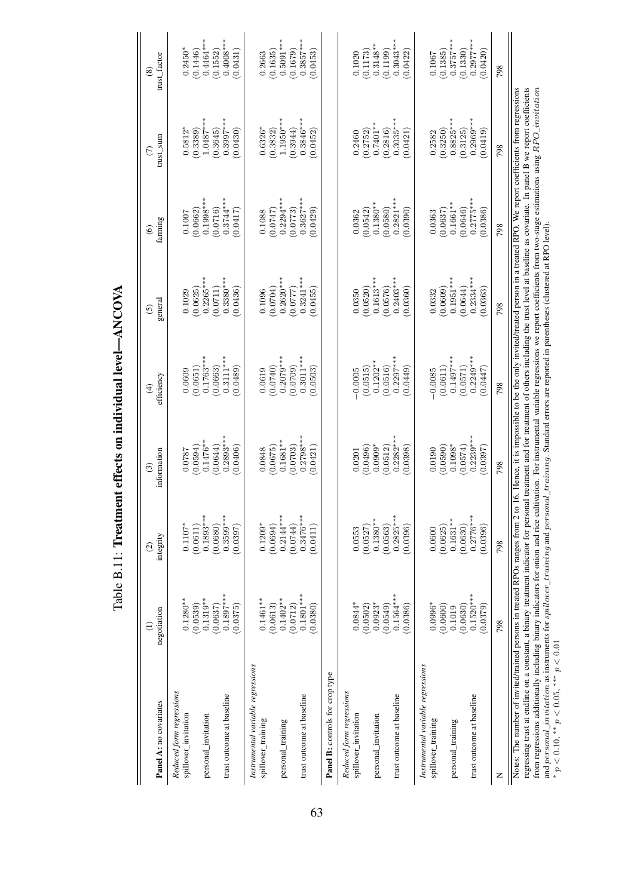| Panel A: no covariates                                                                                                                                                                                                                                                                                                                                                                                                                                                                                                                                                                                 | negotiation             | integrity<br>$\widehat{\omega}$ | information<br>⊙        | efficiency<br>⊕          | general<br>6                                                                                                                                                                                                      | farming<br>ၜ                      | ${\rm ms}$ L ${\rm sun}$<br>E | trust_factor<br>@       |
|--------------------------------------------------------------------------------------------------------------------------------------------------------------------------------------------------------------------------------------------------------------------------------------------------------------------------------------------------------------------------------------------------------------------------------------------------------------------------------------------------------------------------------------------------------------------------------------------------------|-------------------------|---------------------------------|-------------------------|--------------------------|-------------------------------------------------------------------------------------------------------------------------------------------------------------------------------------------------------------------|-----------------------------------|-------------------------------|-------------------------|
| Reduced form regressions<br>spillover_invitation                                                                                                                                                                                                                                                                                                                                                                                                                                                                                                                                                       | $0.1280**$              | $0.1107*$                       | 0.0787                  | 0.0609                   | 0.1029                                                                                                                                                                                                            | 0.1007                            | $0.5812*$                     | $0.2450*$               |
|                                                                                                                                                                                                                                                                                                                                                                                                                                                                                                                                                                                                        | (0.0539)                | (0.0611)                        | (0.0594)                | (0.0651)                 | (0.0625)                                                                                                                                                                                                          | (0.0662)                          | (0.3389)                      | (0.1446)                |
| personal_invitation                                                                                                                                                                                                                                                                                                                                                                                                                                                                                                                                                                                    | $0.1319***$<br>(0.0637) | $0.1893***$<br>(0.0680)         | $0.1476**$<br>(0.0644)  | $0.1763**$<br>(0.0663)   | $0.2265*$<br>(0.0711)                                                                                                                                                                                             | $0.1998*$<br>(0.0716)             | $1.0487***$<br>(0.3645)       | $0.4464**$<br>(0.1552)  |
| trust outcome at baseline                                                                                                                                                                                                                                                                                                                                                                                                                                                                                                                                                                              | $0.1897***$<br>(0.0375) | $0.3599***$<br>(0.0397)         | $0.2893***$<br>(0.0406) | $0.3111**$<br>(6840, 0)  | $0.3380*$<br>(0.0436)                                                                                                                                                                                             | $0.3744***$<br>(0.0417)           | $0.3997***$<br>(0.0430)       | $0.4008***$<br>(0.0431) |
| Instrumental variable regressions<br>spillover_training                                                                                                                                                                                                                                                                                                                                                                                                                                                                                                                                                | $0.1461**$              | $0.1209*$                       | 0.0848                  | 0.0619                   | 0.1096                                                                                                                                                                                                            | 0.1088                            | $0.6326*$                     | 0.2663                  |
|                                                                                                                                                                                                                                                                                                                                                                                                                                                                                                                                                                                                        | (0.0613)                | (0.0694)                        | (0.0675)                | (0.0740)                 | (0.0704)                                                                                                                                                                                                          | (0.0747)                          | (0.3832)                      | (0.1635)                |
| personal_training                                                                                                                                                                                                                                                                                                                                                                                                                                                                                                                                                                                      | $0.1402**$              | $0.2144***$                     | $0.1681**$              | $0.2079**$               | $0.2620***$                                                                                                                                                                                                       | $0.2294***$                       | $1.1950***$                   | $0.5091***$             |
| trust outcome at baseline                                                                                                                                                                                                                                                                                                                                                                                                                                                                                                                                                                              | $0.1801***$<br>(0.0712) | $0.3476***$<br>(0.0744)         | $0.2798***$<br>(0.0703) | $0.3011***$<br>(6070, 0) | $0.3241***$<br>(7770.0)                                                                                                                                                                                           | $0.3627***$<br>(0.0773)           | $0.3846***$<br>(0.3944)       | $0.3857***$<br>(0.1679) |
|                                                                                                                                                                                                                                                                                                                                                                                                                                                                                                                                                                                                        | (0.0380)                | (0.0411)                        | 0.0421                  | (0.0503)                 | 0.0455                                                                                                                                                                                                            | (0.0429)                          | (0.0452)                      | (0.0453)                |
| Panel B: controls for crop type                                                                                                                                                                                                                                                                                                                                                                                                                                                                                                                                                                        |                         |                                 |                         |                          |                                                                                                                                                                                                                   |                                   |                               |                         |
| Reduced form regressions<br>spillover_invitation                                                                                                                                                                                                                                                                                                                                                                                                                                                                                                                                                       | $0.0844*$               | 0.0553                          | 0.0201                  | $-0.0005$                | 0.0350                                                                                                                                                                                                            | 0.0362                            | 0.2460                        | 0.1020                  |
| personal_invitation                                                                                                                                                                                                                                                                                                                                                                                                                                                                                                                                                                                    | $0.0923*$<br>(0.0502)   | $0.1380**$<br>(0.0527)          | $0.0909*$<br>(0.0496)   | $0.1202**$<br>(0.0515)   | $0.1613***$<br>(0.0520)                                                                                                                                                                                           | $0.1380**$<br>(0.0542)            | $0.7401**$<br>(0.2752)        | $0.3148**$<br>(0.1173)  |
|                                                                                                                                                                                                                                                                                                                                                                                                                                                                                                                                                                                                        | $0.1564***$<br>(0.0549) | $0.2825***$<br>(0.0563)         | (0.0512)                | $0.2297***$<br>(0.0516)  | (0.0576)                                                                                                                                                                                                          | (0.0580)                          | $0.3035***$<br>(0.2816)       | $0.3043***$<br>(0.1199) |
| trust outcome at baseline                                                                                                                                                                                                                                                                                                                                                                                                                                                                                                                                                                              | (0.0386)                | (0.0396)                        | $0.2282***$<br>(0.0398) | (6449)                   | $0.2403***$<br>0.0360                                                                                                                                                                                             | $0.2821***$<br>(0.0390)           | (0.0421)                      | (0.0422)                |
| Instrumental variable regressions<br>spillover_training                                                                                                                                                                                                                                                                                                                                                                                                                                                                                                                                                | $0.0996*$               | 0.0600                          | 0.0190                  | $-0.0085$                | 0.0332                                                                                                                                                                                                            | 0.0363                            | 0.2582                        | 0.1067                  |
| personal_training                                                                                                                                                                                                                                                                                                                                                                                                                                                                                                                                                                                      | (0.0600)<br>0.1019      | $0.1631***$<br>(0.0625)         | (0.0590)<br>$0.1098*$   | $0.1497***$<br>(0.0611)  | $0.1951*$<br>(0.0609)                                                                                                                                                                                             | (0.0637)<br>$0.1661$ <sup>2</sup> | $0.8825***$<br>(0.3250)       | $0.3757***$<br>(0.1385) |
|                                                                                                                                                                                                                                                                                                                                                                                                                                                                                                                                                                                                        | (0.0630)                | (0.0630)                        | (0.0574)                | (0.0571)                 | (0.0644)                                                                                                                                                                                                          | (0.0646)                          | (0.3125)                      | (0.1330)                |
| trust outcome at baseline                                                                                                                                                                                                                                                                                                                                                                                                                                                                                                                                                                              | $0.1520***$<br>(0.0379) | $0.2776***$<br>(0.0396)         | $0.2239***$<br>(0.0397) | $0.2249***$<br>(0.0447)  | $0.2334***$<br>(0.0363)                                                                                                                                                                                           | $0.2775***$<br>(0.0386)           | $0.2969***$<br>(6.1419)       | $0.2977***$<br>(0.0420) |
|                                                                                                                                                                                                                                                                                                                                                                                                                                                                                                                                                                                                        | 798                     | 798                             | 798                     | 798                      | 798                                                                                                                                                                                                               | 798                               | 798                           | 798                     |
| regressing trust at endline on a constant, a binary treatment indicator for personal treatment and for treatment of others including the trust level at baseline as covariate. In panel B we report coefficients<br>from regressions additionally including binary indicators for onion and rice cultivation. For instrumental variable regressions we report coefficients from two-stage estimations using RPO <i>invitation</i><br>Notes: The number of invited/trained persons in treated RPOs ranges from 2 to<br>and $personal\_invitation$ as instruments for $spillover\_training$ and $person$ |                         |                                 |                         |                          | 16. Hence, it is impossible to be the only invited/treated person in a treated RPO. We report coefficients from regressions<br>al_training. Standard errors are reported in parentheses (clustered at RPO level). |                                   |                               |                         |
| * $p < 0.10$ , ** $p < 0.05$ , *** $p < 0.01$                                                                                                                                                                                                                                                                                                                                                                                                                                                                                                                                                          |                         |                                 |                         |                          |                                                                                                                                                                                                                   |                                   |                               |                         |

<span id="page-62-0"></span>Table B.11: Treatment effects on individual level-ANCOVA Table B.11: Treatment effects on individual level—ANCOVA

 $p < 0.10$ , \*\*  $p < 0.05$ , \*\*\*  $p < 0.01$